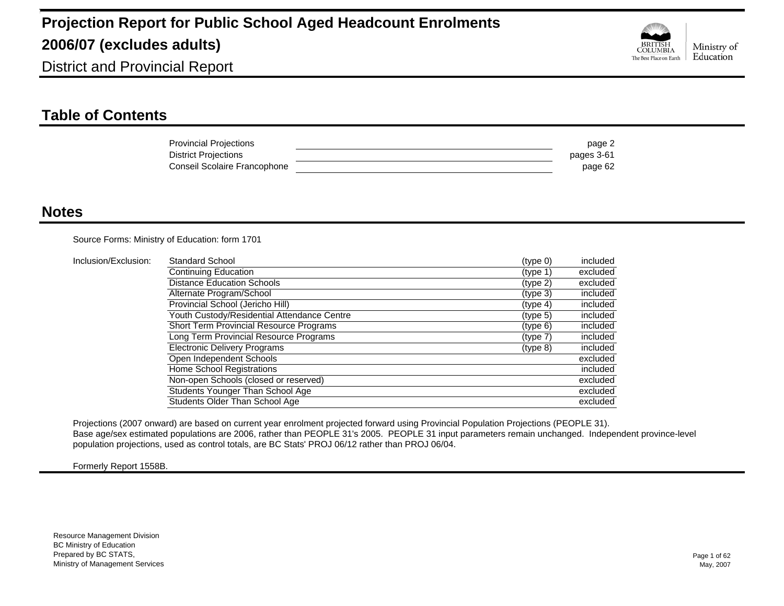

District and Provincial Report

### **Table of Contents**

| <b>Provincial Projections</b> | page 2     |
|-------------------------------|------------|
| <b>District Projections</b>   | pages 3-61 |
| Conseil Scolaire Francophone  | page 62    |

#### **Notes**

Source Forms: Ministry of Education: form 1701

| Inclusion/Exclusion: | Standard School                                | (type 0)             | included |
|----------------------|------------------------------------------------|----------------------|----------|
|                      | Continuing Education                           | (type 1)             | excluded |
|                      | <b>Distance Education Schools</b>              | (tvpe <sub>2</sub> ) | excluded |
|                      | Alternate Program/School                       | (type 3)             | included |
|                      | Provincial School (Jericho Hill)               | (type 4)             | included |
|                      | Youth Custody/Residential Attendance Centre    | (tvpe <sub>5</sub> ) | included |
|                      | <b>Short Term Provincial Resource Programs</b> | (type 6)             | included |
|                      | Long Term Provincial Resource Programs         | (type 7)             | included |
|                      | <b>Electronic Delivery Programs</b>            | (type 8)             | included |
|                      | Open Independent Schools                       |                      | excluded |
|                      | Home School Registrations                      |                      | included |
|                      | Non-open Schools (closed or reserved)          |                      | excluded |
|                      | Students Younger Than School Age               |                      | excluded |
|                      | Students Older Than School Age                 |                      | excluded |

Projections (2007 onward) are based on current year enrolment projected forward using Provincial Population Projections (PEOPLE 31). Base age/sex estimated populations are 2006, rather than PEOPLE 31's 2005. PEOPLE 31 input parameters remain unchanged. Independent province-level population projections, used as control totals, are BC Stats' PROJ 06/12 rather than PROJ 06/04.

Formerly Report 1558B.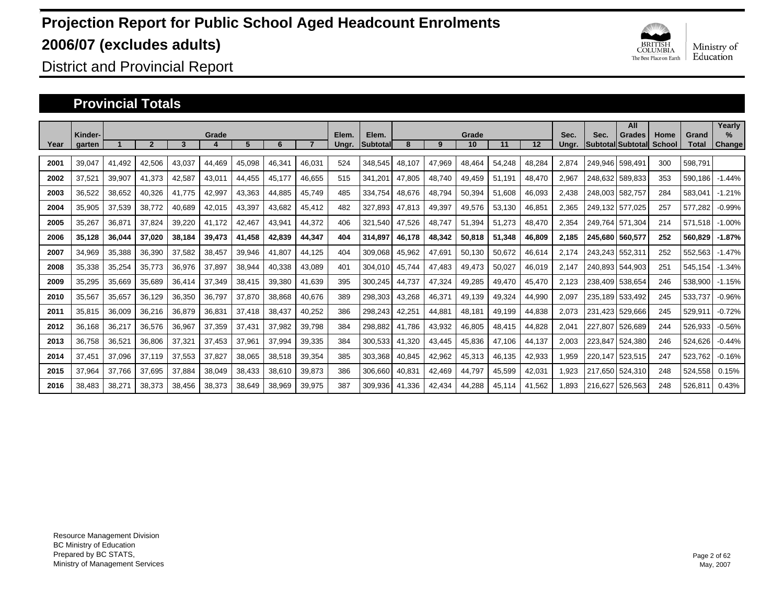

District and Provincial Report

#### **Provincial Totals**

|      | Kinder- |        |        |        | Grade  |        |        |        | Elem. | Elem.    |        |        | Grade  |        |        | Sec.  | Sec.    | All<br>Grades            | Home   | Grand   | Yearly<br>$\frac{9}{6}$ |
|------|---------|--------|--------|--------|--------|--------|--------|--------|-------|----------|--------|--------|--------|--------|--------|-------|---------|--------------------------|--------|---------|-------------------------|
| Year | garten  |        |        | 3      |        | 5      | 6      |        | Ungr. | Subtotal | 8      | 9      | 10     | 11     | 12     | Ungr. |         | <b>Subtotal Subtotal</b> | School | Total   | Change                  |
| 2001 | 39,047  | 41.492 | 42,506 | 43,037 | 44,469 | 45,098 | 46,341 | 46,031 | 524   | 348,545  | 48,107 | 47,969 | 48,464 | 54,248 | 48,284 | 2,874 | 249.946 | 598.491                  | 300    | 598,791 |                         |
| 2002 | 37,521  | 39,907 | 41,373 | 42,587 | 43,011 | 44,455 | 45,177 | 46,655 | 515   | 341,20   | 47,805 | 48.740 | 49,459 | 51.191 | 48,470 | 2,967 | 248,632 | 589,833                  | 353    | 590,186 | $-1.44%$                |
| 2003 | 36,522  | 38,652 | 40,326 | 41.775 | 42,997 | 43,363 | 44,885 | 45,749 | 485   | 334,754  | 48,676 | 48.794 | 50,394 | 51,608 | 46,093 | 2,438 | 248.003 | 582,757                  | 284    | 583,041 | $-1.21%$                |
| 2004 | 35,905  | 37,539 | 38,772 | 40,689 | 42,015 | 43,397 | 43,682 | 45,412 | 482   | 327.893  | 47,813 | 49,397 | 49,576 | 53,130 | 46,851 | 2.365 | 249.132 | 577.025                  | 257    | 577,282 | $-0.99%$                |
| 2005 | 35,267  | 36,871 | 37,824 | 39,220 | 41,172 | 42,467 | 43,941 | 44,372 | 406   | 321,540  | 47,526 | 48,747 | 51,394 | 51,273 | 48,470 | 2,354 | 249.764 | 571.304                  | 214    | 571,518 | $-1.00%$                |
| 2006 | 35,128  | 36,044 | 37,020 | 38,184 | 39,473 | 41,458 | 42,839 | 44,347 | 404   | 314,897  | 46,178 | 48,342 | 50,818 | 51,348 | 46,809 | 2.185 | 245.680 | 560.577                  | 252    | 560,829 | $-1.87%$                |
| 2007 | 34,969  | 35,388 | 36,390 | 37,582 | 38,457 | 39,946 | 41,807 | 44,125 | 404   | 309,068  | 45,962 | 47,691 | 50,130 | 50,672 | 46,614 | 2.174 |         | 243,243 552,311          | 252    | 552,563 | $-1.47%$                |
| 2008 | 35,338  | 35,254 | 35,773 | 36,976 | 37,897 | 38,944 | 40,338 | 43,089 | 401   | 304.010  | 45.744 | 47.483 | 49,473 | 50,027 | 46,019 | 2.147 | 240.893 | 544.903                  | 251    | 545.154 | $-1.34%$                |
| 2009 | 35,295  | 35,669 | 35,689 | 36,414 | 37,349 | 38,415 | 39,380 | 41,639 | 395   | 300,245  | 44,737 | 47,324 | 49,285 | 49,470 | 45,470 | 2,123 | 238,409 | 538,654                  | 246    | 538,900 | $-1.15%$                |
| 2010 | 35,567  | 35,657 | 36,129 | 36,350 | 36,797 | 37,870 | 38,868 | 40,676 | 389   | 298,303  | 43,268 | 46,371 | 49,139 | 49,324 | 44,990 | 2,097 | 235,189 | 533,492                  | 245    | 533,737 | $-0.96%$                |
| 2011 | 35,815  | 36,009 | 36,216 | 36,879 | 36,831 | 37,418 | 38,437 | 40,252 | 386   | 298,243  | 42,25' | 44,881 | 48,181 | 49,199 | 44,838 | 2,073 | 231.423 | 529.666                  | 245    | 529,911 | $-0.72%$                |
| 2012 | 36,168  | 36,217 | 36,576 | 36,967 | 37,359 | 37,431 | 37,982 | 39,798 | 384   | 298.882  | 41.786 | 43,932 | 46,805 | 48.415 | 44,828 | 2.041 | 227.807 | 526.689                  | 244    | 526,933 | $-0.56%$                |
| 2013 | 36,758  | 36,521 | 36,806 | 37,321 | 37,453 | 37,961 | 37,994 | 39,335 | 384   | 300,533  | 41,320 | 43,445 | 45,836 | 47,106 | 44,137 | 2,003 | 223,847 | 524,380                  | 246    | 524,626 | $-0.44%$                |
| 2014 | 37,451  | 37,096 | 37,119 | 37,553 | 37,827 | 38,065 | 38,518 | 39,354 | 385   | 303,368  | 40,845 | 42,962 | 45,313 | 46,135 | 42,933 | 1,959 | 220.147 | 523,515                  | 247    | 523,762 | $-0.16%$                |
| 2015 | 37,964  | 37,766 | 37,695 | 37,884 | 38,049 | 38,433 | 38,610 | 39,873 | 386   | 306,660  | 40,831 | 42,469 | 44,797 | 45,599 | 42,031 | 1,923 | 217.650 | 524,310                  | 248    | 524,558 | 0.15%                   |
| 2016 | 38.483  | 38,271 | 38,373 | 38.456 | 38,373 | 38,649 | 38,969 | 39,975 | 387   | 309.936  | 41.336 | 42,434 | 44,288 | 45,114 | 41,562 | 1.893 | 216.627 | 526.563                  | 248    | 526,811 | 0.43%                   |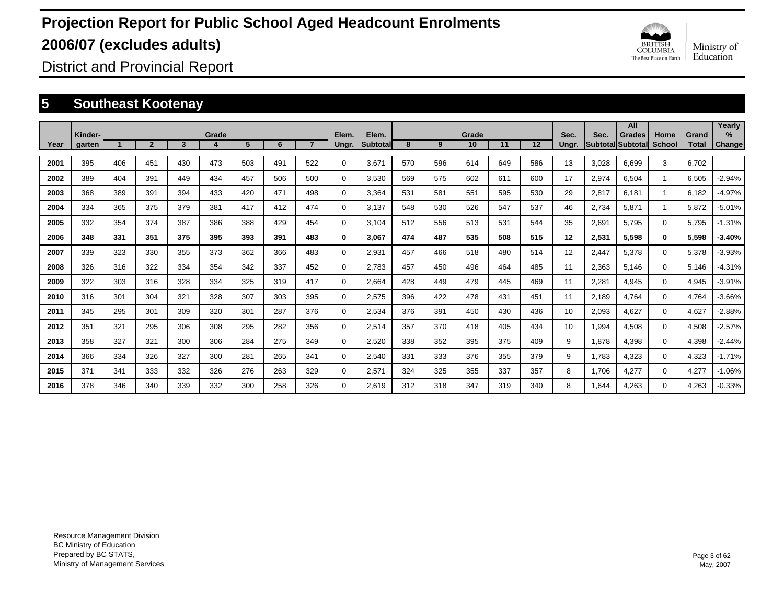

District and Provincial Report

### **5 Southeast Kootenay**

|      | Kinder- |                         |                |     | Grade |     |     |              | Elem.    | Elem.    |     |     | Grade |     |                   | Sec.  | Sec.  | All<br><b>Grades</b>     | Home          | Grand | Yearly<br>$\%$ |
|------|---------|-------------------------|----------------|-----|-------|-----|-----|--------------|----------|----------|-----|-----|-------|-----|-------------------|-------|-------|--------------------------|---------------|-------|----------------|
| Year | garten  | $\overline{\mathbf{A}}$ | $\overline{2}$ | 3   | 4     | 5   | 6   | $\mathbf{7}$ | Ungr.    | Subtotal | 8   | 9   | 10    | 11  | $12 \overline{ }$ | Ungr. |       | <b>Subtotal Subtotal</b> | <b>School</b> | Total | <b>Change</b>  |
| 2001 | 395     | 406                     | 451            | 430 | 473   | 503 | 491 | 522          | 0        | 3,671    | 570 | 596 | 614   | 649 | 586               | 13    | 3,028 | 6.699                    | 3             | 6.702 |                |
| 2002 | 389     | 404                     | 391            | 449 | 434   | 457 | 506 | 500          | 0        | 3,530    | 569 | 575 | 602   | 611 | 600               | 17    | 2,974 | 6,504                    |               | 6,505 | $-2.94%$       |
| 2003 | 368     | 389                     | 391            | 394 | 433   | 420 | 471 | 498          | 0        | 3,364    | 531 | 581 | 551   | 595 | 530               | 29    | 2,817 | 6,181                    |               | 6,182 | $-4.97%$       |
| 2004 | 334     | 365                     | 375            | 379 | 381   | 417 | 412 | 474          | 0        | 3,137    | 548 | 530 | 526   | 547 | 537               | 46    | 2,734 | 5,871                    |               | 5,872 | $-5.01%$       |
| 2005 | 332     | 354                     | 374            | 387 | 386   | 388 | 429 | 454          | 0        | 3,104    | 512 | 556 | 513   | 531 | 544               | 35    | 2,691 | 5,795                    | $\mathbf 0$   | 5,795 | $-1.31%$       |
| 2006 | 348     | 331                     | 351            | 375 | 395   | 393 | 391 | 483          | 0        | 3,067    | 474 | 487 | 535   | 508 | 515               | 12    | 2,531 | 5,598                    | 0             | 5,598 | $-3.40%$       |
| 2007 | 339     | 323                     | 330            | 355 | 373   | 362 | 366 | 483          | 0        | 2,931    | 457 | 466 | 518   | 480 | 514               | 12    | 2,447 | 5,378                    | $\mathbf 0$   | 5,378 | $-3.93%$       |
| 2008 | 326     | 316                     | 322            | 334 | 354   | 342 | 337 | 452          | 0        | 2,783    | 457 | 450 | 496   | 464 | 485               | 11    | 2,363 | 5,146                    | 0             | 5,146 | $-4.31%$       |
| 2009 | 322     | 303                     | 316            | 328 | 334   | 325 | 319 | 417          | 0        | 2,664    | 428 | 449 | 479   | 445 | 469               | 11    | 2,281 | 4,945                    | 0             | 4,945 | $-3.91%$       |
| 2010 | 316     | 301                     | 304            | 321 | 328   | 307 | 303 | 395          | 0        | 2,575    | 396 | 422 | 478   | 431 | 451               | 11    | 2,189 | 4,764                    | 0             | 4,764 | $-3.66%$       |
| 2011 | 345     | 295                     | 301            | 309 | 320   | 301 | 287 | 376          | 0        | 2,534    | 376 | 391 | 450   | 430 | 436               | 10    | 2,093 | 4.627                    | $\mathbf 0$   | 4,627 | $-2.88%$       |
| 2012 | 351     | 321                     | 295            | 306 | 308   | 295 | 282 | 356          | 0        | 2,514    | 357 | 370 | 418   | 405 | 434               | 10    | 1,994 | 4,508                    | 0             | 4,508 | $-2.57%$       |
| 2013 | 358     | 327                     | 321            | 300 | 306   | 284 | 275 | 349          | 0        | 2,520    | 338 | 352 | 395   | 375 | 409               | 9     | 1,878 | 4,398                    | 0             | 4,398 | $-2.44%$       |
| 2014 | 366     | 334                     | 326            | 327 | 300   | 281 | 265 | 341          | 0        | 2,540    | 331 | 333 | 376   | 355 | 379               | 9     | 1,783 | 4,323                    | 0             | 4,323 | $-1.71%$       |
| 2015 | 371     | 341                     | 333            | 332 | 326   | 276 | 263 | 329          | 0        | 2,571    | 324 | 325 | 355   | 337 | 357               | 8     | 1.706 | 4,277                    | 0             | 4,277 | $-1.06%$       |
| 2016 | 378     | 346                     | 340            | 339 | 332   | 300 | 258 | 326          | $\Omega$ | 2.619    | 312 | 318 | 347   | 319 | 340               | 8     | 1.644 | 4.263                    | 0             | 4,263 | $-0.33%$       |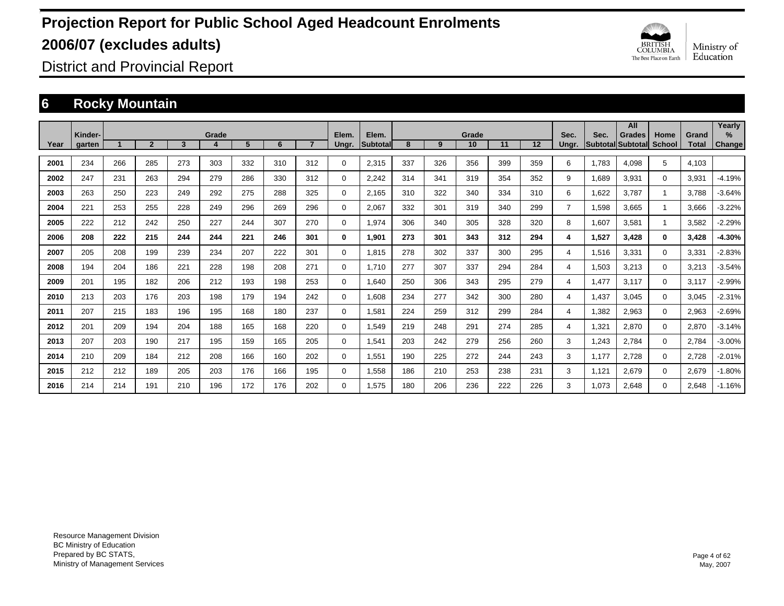

District and Provincial Report

### **6 Rocky Mountain**

|      |                   |     |                |     |            |     |     |     |                |                          |     |     |             |     |     |                |       | All                         |                |                       | Yearly         |
|------|-------------------|-----|----------------|-----|------------|-----|-----|-----|----------------|--------------------------|-----|-----|-------------|-----|-----|----------------|-------|-----------------------------|----------------|-----------------------|----------------|
| Year | Kinder-<br>garten |     | $\overline{2}$ | 3   | Grade<br>4 | 5   | 6   |     | Elem.<br>Ungr. | Elem.<br><b>Subtotal</b> | 8   | 9   | Grade<br>10 | 11  | 12  | Sec.<br>Ungr.  | Sec.  | Grades<br>Subtotal Subtotal | Home<br>School | Grand<br><b>Total</b> | $\%$<br>Change |
| 2001 | 234               | 266 | 285            | 273 | 303        | 332 | 310 | 312 | $\Omega$       | 2,315                    | 337 | 326 | 356         | 399 | 359 | 6              | 1.783 | 4,098                       | 5              | 4,103                 |                |
| 2002 | 247               | 231 | 263            | 294 | 279        | 286 | 330 | 312 | 0              | 2,242                    | 314 | 341 | 319         | 354 | 352 | 9              | 1,689 | 3,931                       | $\Omega$       | 3,931                 | $-4.19%$       |
| 2003 | 263               | 250 | 223            | 249 | 292        | 275 | 288 | 325 | 0              | 2.165                    | 310 | 322 | 340         | 334 | 310 | 6              | 1,622 | 3.787                       |                | 3.788                 | $-3.64%$       |
| 2004 | 221               | 253 | 255            | 228 | 249        | 296 | 269 | 296 | 0              | 2.067                    | 332 | 301 | 319         | 340 | 299 | $\overline{7}$ | 1,598 | 3.665                       |                | 3.666                 | $-3.22%$       |
| 2005 | 222               | 212 | 242            | 250 | 227        | 244 | 307 | 270 | 0              | 1,974                    | 306 | 340 | 305         | 328 | 320 | 8              | 1,607 | 3,581                       |                | 3,582                 | $-2.29%$       |
| 2006 | 208               | 222 | 215            | 244 | 244        | 221 | 246 | 301 | 0              | 1.901                    | 273 | 301 | 343         | 312 | 294 | 4              | 1,527 | 3.428                       | $\mathbf{0}$   | 3,428                 | $-4.30%$       |
| 2007 | 205               | 208 | 199            | 239 | 234        | 207 | 222 | 301 | 0              | 1.815                    | 278 | 302 | 337         | 300 | 295 | 4              | 1,516 | 3,331                       | $\Omega$       | 3,331                 | $-2.83%$       |
| 2008 | 194               | 204 | 186            | 221 | 228        | 198 | 208 | 271 | 0              | 1,710                    | 277 | 307 | 337         | 294 | 284 | 4              | 1,503 | 3,213                       | $\Omega$       | 3,213                 | $-3.54%$       |
| 2009 | 201               | 195 | 182            | 206 | 212        | 193 | 198 | 253 | 0              | 1,640                    | 250 | 306 | 343         | 295 | 279 | 4              | 1,477 | 3,117                       | $\Omega$       | 3,117                 | $-2.99%$       |
| 2010 | 213               | 203 | 176            | 203 | 198        | 179 | 194 | 242 | 0              | 1,608                    | 234 | 277 | 342         | 300 | 280 | 4              | 1,437 | 3,045                       | $\Omega$       | 3,045                 | $-2.31%$       |
| 2011 | 207               | 215 | 183            | 196 | 195        | 168 | 180 | 237 | 0              | 1,581                    | 224 | 259 | 312         | 299 | 284 | 4              | 1,382 | 2,963                       | $\Omega$       | 2,963                 | $-2.69%$       |
| 2012 | 201               | 209 | 194            | 204 | 188        | 165 | 168 | 220 | 0              | 1,549                    | 219 | 248 | 291         | 274 | 285 | 4              | 1,321 | 2,870                       | 0              | 2,870                 | $-3.14%$       |
| 2013 | 207               | 203 | 190            | 217 | 195        | 159 | 165 | 205 | 0              | 1,541                    | 203 | 242 | 279         | 256 | 260 | 3              | 1,243 | 2,784                       | $\mathbf 0$    | 2,784                 | $-3.00%$       |
| 2014 | 210               | 209 | 184            | 212 | 208        | 166 | 160 | 202 | 0              | 1,551                    | 190 | 225 | 272         | 244 | 243 | 3              | 1,177 | 2,728                       | $\mathbf 0$    | 2,728                 | $-2.01%$       |
| 2015 | 212               | 212 | 189            | 205 | 203        | 176 | 166 | 195 | 0              | 1,558                    | 186 | 210 | 253         | 238 | 231 | 3              | 1.121 | 2,679                       | $\mathbf 0$    | 2,679                 | $-1.80%$       |
| 2016 | 214               | 214 | 191            | 210 | 196        | 172 | 176 | 202 | $\Omega$       | 1.575                    | 180 | 206 | 236         | 222 | 226 | 3              | 1.073 | 2.648                       | $\Omega$       | 2.648                 | $-1.16%$       |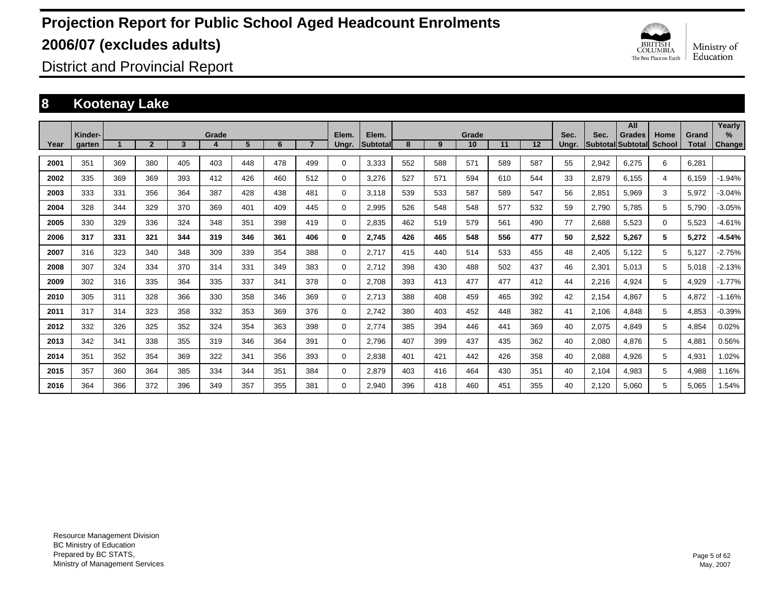

District and Provincial Report

### **8 Kootenay Lake**

| Year | Kinder-<br>garten |     | $\overline{2}$ | 3   | Grade<br>4 | 5   | 6   | $\overline{7}$ | Elem.<br>Ungr. | Elem.<br><b>Subtotal</b> | 8   | 9   | Grade<br>10 | 11  | 12  | Sec.<br>Ungr. | Sec.  | All<br>Grades<br>Subtotal Subtotal | Home<br><b>School</b> | Grand<br>Total | Yearly<br>$\%$ |
|------|-------------------|-----|----------------|-----|------------|-----|-----|----------------|----------------|--------------------------|-----|-----|-------------|-----|-----|---------------|-------|------------------------------------|-----------------------|----------------|----------------|
|      |                   |     |                |     |            |     |     |                |                |                          |     |     |             |     |     |               |       |                                    |                       |                | <b>Change</b>  |
| 2001 | 351               | 369 | 380            | 405 | 403        | 448 | 478 | 499            | $\Omega$       | 3,333                    | 552 | 588 | 571         | 589 | 587 | 55            | 2,942 | 6,275                              | 6                     | 6,281          |                |
| 2002 | 335               | 369 | 369            | 393 | 412        | 426 | 460 | 512            | 0              | 3,276                    | 527 | 571 | 594         | 610 | 544 | 33            | 2,879 | 6.155                              | 4                     | 6,159          | $-1.94%$       |
| 2003 | 333               | 331 | 356            | 364 | 387        | 428 | 438 | 481            | $\Omega$       | 3,118                    | 539 | 533 | 587         | 589 | 547 | 56            | 2,851 | 5,969                              | 3                     | 5,972          | $-3.04%$       |
| 2004 | 328               | 344 | 329            | 370 | 369        | 401 | 409 | 445            | $\Omega$       | 2,995                    | 526 | 548 | 548         | 577 | 532 | 59            | 2,790 | 5,785                              | 5                     | 5,790          | $-3.05%$       |
| 2005 | 330               | 329 | 336            | 324 | 348        | 351 | 398 | 419            | $\Omega$       | 2,835                    | 462 | 519 | 579         | 561 | 490 | 77            | 2,688 | 5,523                              | $\Omega$              | 5,523          | $-4.61%$       |
| 2006 | 317               | 331 | 321            | 344 | 319        | 346 | 361 | 406            | 0              | 2,745                    | 426 | 465 | 548         | 556 | 477 | 50            | 2,522 | 5,267                              | 5                     | 5,272          | $-4.54%$       |
| 2007 | 316               | 323 | 340            | 348 | 309        | 339 | 354 | 388            | $\Omega$       | 2,717                    | 415 | 440 | 514         | 533 | 455 | 48            | 2,405 | 5,122                              | 5                     | 5,127          | $-2.75%$       |
| 2008 | 307               | 324 | 334            | 370 | 314        | 331 | 349 | 383            | $\Omega$       | 2.712                    | 398 | 430 | 488         | 502 | 437 | 46            | 2,301 | 5.013                              | 5                     | 5.018          | $-2.13%$       |
| 2009 | 302               | 316 | 335            | 364 | 335        | 337 | 341 | 378            | $\Omega$       | 2.708                    | 393 | 413 | 477         | 477 | 412 | 44            | 2,216 | 4,924                              | 5                     | 4,929          | $-1.77%$       |
| 2010 | 305               | 311 | 328            | 366 | 330        | 358 | 346 | 369            | $\Omega$       | 2.713                    | 388 | 408 | 459         | 465 | 392 | 42            | 2,154 | 4,867                              | 5                     | 4,872          | $-1.16%$       |
| 2011 | 317               | 314 | 323            | 358 | 332        | 353 | 369 | 376            | $\Omega$       | 2,742                    | 380 | 403 | 452         | 448 | 382 | 41            | 2,106 | 4,848                              | 5                     | 4,853          | $-0.39%$       |
| 2012 | 332               | 326 | 325            | 352 | 324        | 354 | 363 | 398            | 0              | 2,774                    | 385 | 394 | 446         | 441 | 369 | 40            | 2,075 | 4,849                              | 5                     | 4,854          | 0.02%          |
| 2013 | 342               | 341 | 338            | 355 | 319        | 346 | 364 | 391            | 0              | 2,796                    | 407 | 399 | 437         | 435 | 362 | 40            | 2,080 | 4,876                              | 5                     | 4,881          | 0.56%          |
| 2014 | 351               | 352 | 354            | 369 | 322        | 341 | 356 | 393            | 0              | 2,838                    | 401 | 421 | 442         | 426 | 358 | 40            | 2,088 | 4,926                              | 5                     | 4,931          | 1.02%          |
| 2015 | 357               | 360 | 364            | 385 | 334        | 344 | 351 | 384            | $\Omega$       | 2,879                    | 403 | 416 | 464         | 430 | 351 | 40            | 2,104 | 4,983                              | 5                     | 4,988          | 1.16%          |
| 2016 | 364               | 366 | 372            | 396 | 349        | 357 | 355 | 381            | $\Omega$       | 2.940                    | 396 | 418 | 460         | 451 | 355 | 40            | 2.120 | 5.060                              | 5                     | 5.065          | .54%           |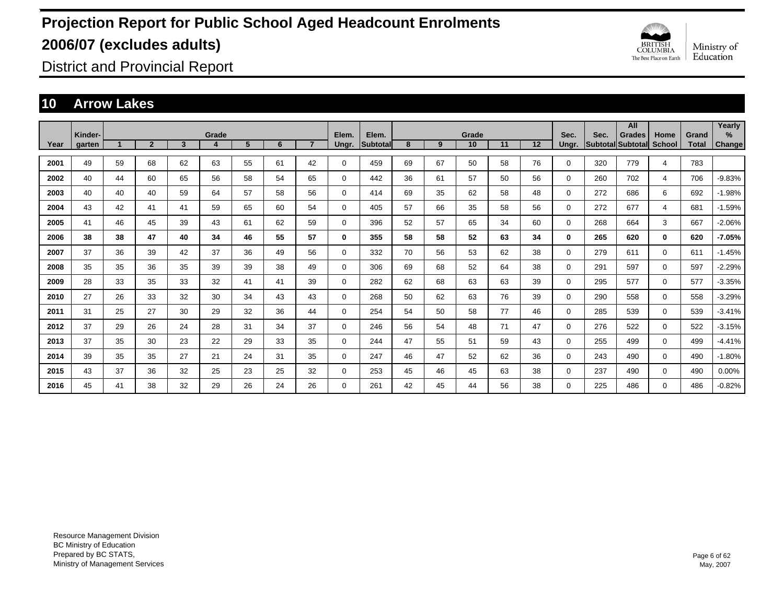

District and Provincial Report

### **10 Arrow Lakes**

|      |         |    |                |    |       |    |    |                |             |          |    |    |       |    |    |             |      | All               |              |              | Yearly        |
|------|---------|----|----------------|----|-------|----|----|----------------|-------------|----------|----|----|-------|----|----|-------------|------|-------------------|--------------|--------------|---------------|
|      | Kinder- |    |                |    | Grade |    |    | $\overline{7}$ | Elem.       | Elem.    |    |    | Grade |    |    | Sec.        | Sec. | <b>Grades</b>     | Home         | Grand        | %             |
| Year | garten  |    | $\overline{2}$ | 3  | 4     | 5  | 6  |                | Ungr.       | Subtotal | 8  | 9  | 10    | 11 | 12 | Ungr.       |      | Subtotal Subtotal | School       | <b>Total</b> | <b>Change</b> |
| 2001 | 49      | 59 | 68             | 62 | 63    | 55 | 61 | 42             | $\mathbf 0$ | 459      | 69 | 67 | 50    | 58 | 76 | $\mathbf 0$ | 320  | 779               | 4            | 783          |               |
| 2002 | 40      | 44 | 60             | 65 | 56    | 58 | 54 | 65             | $\mathbf 0$ | 442      | 36 | 61 | 57    | 50 | 56 | 0           | 260  | 702               | 4            | 706          | $-9.83%$      |
| 2003 | 40      | 40 | 40             | 59 | 64    | 57 | 58 | 56             | $\mathbf 0$ | 414      | 69 | 35 | 62    | 58 | 48 | 0           | 272  | 686               | 6            | 692          | $-1.98%$      |
| 2004 | 43      | 42 | 41             | 41 | 59    | 65 | 60 | 54             | 0           | 405      | 57 | 66 | 35    | 58 | 56 | 0           | 272  | 677               | 4            | 681          | $-1.59%$      |
| 2005 | 41      | 46 | 45             | 39 | 43    | 61 | 62 | 59             | 0           | 396      | 52 | 57 | 65    | 34 | 60 | $\mathbf 0$ | 268  | 664               | 3            | 667          | $-2.06%$      |
| 2006 | 38      | 38 | 47             | 40 | 34    | 46 | 55 | 57             | 0           | 355      | 58 | 58 | 52    | 63 | 34 | $\bf{0}$    | 265  | 620               | $\mathbf{0}$ | 620          | $-7.05%$      |
| 2007 | 37      | 36 | 39             | 42 | 37    | 36 | 49 | 56             | $\mathbf 0$ | 332      | 70 | 56 | 53    | 62 | 38 | $\Omega$    | 279  | 611               | $\Omega$     | 611          | $-1.45%$      |
| 2008 | 35      | 35 | 36             | 35 | 39    | 39 | 38 | 49             | 0           | 306      | 69 | 68 | 52    | 64 | 38 | $\mathbf 0$ | 291  | 597               | 0            | 597          | $-2.29%$      |
| 2009 | 28      | 33 | 35             | 33 | 32    | 41 | 41 | 39             | 0           | 282      | 62 | 68 | 63    | 63 | 39 | 0           | 295  | 577               | 0            | 577          | $-3.35%$      |
| 2010 | 27      | 26 | 33             | 32 | 30    | 34 | 43 | 43             | 0           | 268      | 50 | 62 | 63    | 76 | 39 | 0           | 290  | 558               | 0            | 558          | $-3.29%$      |
| 2011 | 31      | 25 | 27             | 30 | 29    | 32 | 36 | 44             | 0           | 254      | 54 | 50 | 58    | 77 | 46 | 0           | 285  | 539               | 0            | 539          | $-3.41%$      |
| 2012 | 37      | 29 | 26             | 24 | 28    | 31 | 34 | 37             | 0           | 246      | 56 | 54 | 48    | 71 | 47 | 0           | 276  | 522               | 0            | 522          | $-3.15%$      |
| 2013 | 37      | 35 | 30             | 23 | 22    | 29 | 33 | 35             | 0           | 244      | 47 | 55 | 51    | 59 | 43 | 0           | 255  | 499               | 0            | 499          | $-4.41%$      |
| 2014 | 39      | 35 | 35             | 27 | 21    | 24 | 31 | 35             | 0           | 247      | 46 | 47 | 52    | 62 | 36 | 0           | 243  | 490               | 0            | 490          | $-1.80%$      |
| 2015 | 43      | 37 | 36             | 32 | 25    | 23 | 25 | 32             | 0           | 253      | 45 | 46 | 45    | 63 | 38 | $\mathbf 0$ | 237  | 490               | 0            | 490          | 0.00%         |
| 2016 | 45      | 41 | 38             | 32 | 29    | 26 | 24 | 26             | $\Omega$    | 261      | 42 | 45 | 44    | 56 | 38 | $\Omega$    | 225  | 486               | $\Omega$     | 486          | $-0.82%$      |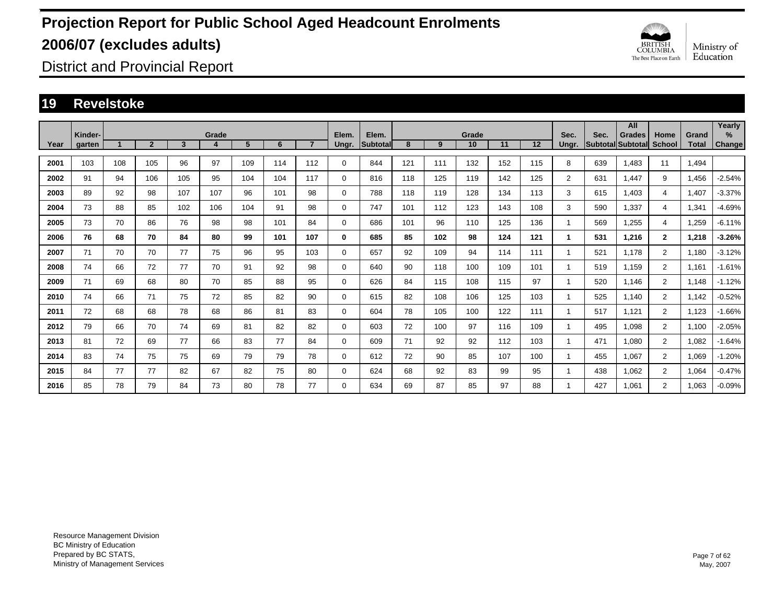

District and Provincial Report

### **19 Revelstoke**

|      |                   |     |                |                         |            |     |     |                |                |                          |     |     |             |     |     |                |      | All                                |                |                       | Yearly         |
|------|-------------------|-----|----------------|-------------------------|------------|-----|-----|----------------|----------------|--------------------------|-----|-----|-------------|-----|-----|----------------|------|------------------------------------|----------------|-----------------------|----------------|
| Year | Kinder-<br>garten |     | $\overline{2}$ | $\overline{\mathbf{3}}$ | Grade<br>4 | 5   | 6   | $\overline{7}$ | Elem.<br>Ungr. | Elem.<br><b>Subtotal</b> | 8   | 9   | Grade<br>10 | 11  | 12  | Sec.<br>Ungr.  | Sec. | <b>Grades</b><br>Subtotal Subtotal | Home<br>School | Grand<br><b>Total</b> | $\%$<br>Change |
|      |                   |     |                |                         |            |     |     |                |                |                          |     |     |             |     |     |                |      |                                    |                |                       |                |
| 2001 | 103               | 108 | 105            | 96                      | 97         | 109 | 114 | 112            | 0              | 844                      | 121 | 111 | 132         | 152 | 115 | 8              | 639  | .483                               | 11             | 1.494                 |                |
| 2002 | 91                | 94  | 106            | 105                     | 95         | 104 | 104 | 117            | 0              | 816                      | 118 | 125 | 119         | 142 | 125 | $\overline{2}$ | 631  | .447                               | 9              | 1.456                 | $-2.54%$       |
| 2003 | 89                | 92  | 98             | 107                     | 107        | 96  | 101 | 98             | 0              | 788                      | 118 | 119 | 128         | 134 | 113 | 3              | 615  | .403                               | 4              | 1.407                 | $-3.37%$       |
| 2004 | 73                | 88  | 85             | 102                     | 106        | 104 | 91  | 98             | 0              | 747                      | 101 | 112 | 123         | 143 | 108 | 3              | 590  | .337                               | 4              | 1,341                 | $-4.69%$       |
| 2005 | 73                | 70  | 86             | 76                      | 98         | 98  | 101 | 84             | $\mathbf 0$    | 686                      | 101 | 96  | 110         | 125 | 136 | 1              | 569  | .255                               | 4              | 1,259                 | $-6.11%$       |
| 2006 | 76                | 68  | 70             | 84                      | 80         | 99  | 101 | 107            | 0              | 685                      | 85  | 102 | 98          | 124 | 121 | 1.             | 531  | 1,216                              | $\overline{2}$ | 1,218                 | $-3.26%$       |
| 2007 | 71                | 70  | 70             | 77                      | 75         | 96  | 95  | 103            | 0              | 657                      | 92  | 109 | 94          | 114 | 111 | 1              | 521  | 1.178                              | $\overline{2}$ | 1.180                 | $-3.12%$       |
| 2008 | 74                | 66  | 72             | 77                      | 70         | 91  | 92  | 98             | 0              | 640                      | 90  | 118 | 100         | 109 | 101 | 1              | 519  | 1.159                              | $\overline{2}$ | 1.161                 | $-1.61%$       |
| 2009 | 71                | 69  | 68             | 80                      | 70         | 85  | 88  | 95             | 0              | 626                      | 84  | 115 | 108         | 115 | 97  | 1              | 520  | 1.146                              | $\overline{2}$ | 1.148                 | $-1.12%$       |
| 2010 | 74                | 66  | 71             | 75                      | 72         | 85  | 82  | 90             | 0              | 615                      | 82  | 108 | 106         | 125 | 103 | 1              | 525  | 1.140                              | $\overline{2}$ | 1,142                 | $-0.52%$       |
| 2011 | 72                | 68  | 68             | 78                      | 68         | 86  | 81  | 83             | $\mathbf 0$    | 604                      | 78  | 105 | 100         | 122 | 111 | 1              | 517  | 1,121                              | $\overline{2}$ | 1,123                 | $-1.66%$       |
| 2012 | 79                | 66  | 70             | 74                      | 69         | 81  | 82  | 82             | $\mathbf 0$    | 603                      | 72  | 100 | 97          | 116 | 109 | 1              | 495  | 1,098                              | $\overline{2}$ | 1,100                 | $-2.05%$       |
| 2013 | 81                | 72  | 69             | 77                      | 66         | 83  | 77  | 84             | 0              | 609                      | 71  | 92  | 92          | 112 | 103 | 1              | 471  | 1,080                              | $\overline{2}$ | 1,082                 | $-1.64%$       |
| 2014 | 83                | 74  | 75             | 75                      | 69         | 79  | 79  | 78             | 0              | 612                      | 72  | 90  | 85          | 107 | 100 | 1              | 455  | 1.067                              | $\overline{2}$ | 1,069                 | $-1.20%$       |
| 2015 | 84                | 77  | 77             | 82                      | 67         | 82  | 75  | 80             | 0              | 624                      | 68  | 92  | 83          | 99  | 95  | 1              | 438  | 1.062                              | $\overline{2}$ | 1,064                 | $-0.47%$       |
| 2016 | 85                | 78  | 79             | 84                      | 73         | 80  | 78  | 77             | $\Omega$       | 634                      | 69  | 87  | 85          | 97  | 88  | 1              | 427  | 1.061                              | $\overline{2}$ | 1,063                 | $-0.09%$       |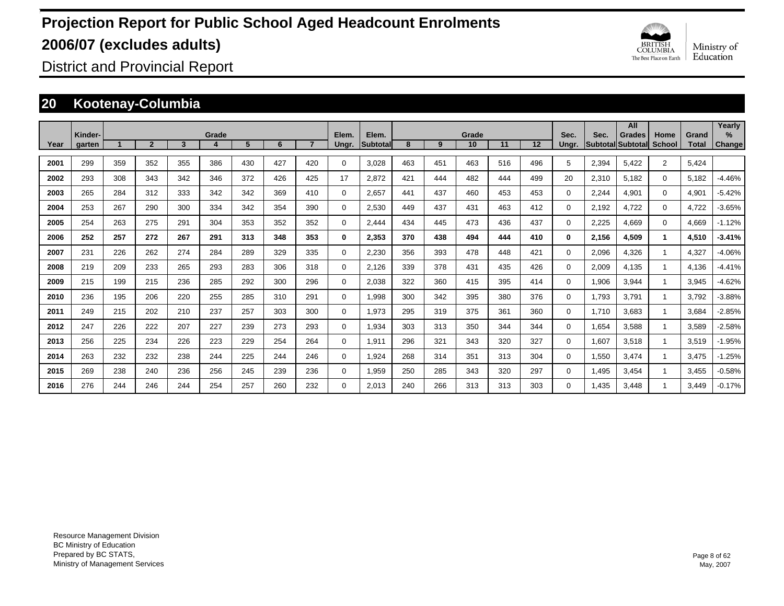

District and Provincial Report

### **20 Kootenay-Columbia**

|      |                   |     |                |     |            |     |     |     |                |                   |     |     |             |     |     |               |       | All                                       |                |                       | Yearly                         |
|------|-------------------|-----|----------------|-----|------------|-----|-----|-----|----------------|-------------------|-----|-----|-------------|-----|-----|---------------|-------|-------------------------------------------|----------------|-----------------------|--------------------------------|
| Year | Kinder-<br>garten |     | $\overline{2}$ | 3   | Grade<br>4 | 5   | 6   |     | Elem.<br>Ungr. | Elem.<br>Subtotal | 8   | 9   | Grade<br>10 | 11  | 12  | Sec.<br>Ungr. | Sec.  | <b>Grades</b><br><b>Subtotal Subtotal</b> | Home<br>School | Grand<br><b>Total</b> | $\frac{9}{6}$<br><b>Change</b> |
| 2001 | 299               | 359 | 352            | 355 | 386        | 430 | 427 | 420 | 0              | 3.028             | 463 | 451 | 463         | 516 | 496 | 5             | 2,394 | 5,422                                     | $\overline{2}$ | 5,424                 |                                |
| 2002 | 293               | 308 | 343            | 342 | 346        | 372 | 426 | 425 | 17             | 2,872             | 421 | 444 | 482         | 444 | 499 | 20            | 2,310 | 5,182                                     | $\mathbf 0$    | 5,182                 | $-4.46%$                       |
| 2003 | 265               | 284 | 312            | 333 | 342        | 342 | 369 | 410 | 0              | 2,657             | 441 | 437 | 460         | 453 | 453 | 0             | 2,244 | 4,901                                     | $\mathbf 0$    | 4,901                 | $-5.42%$                       |
| 2004 | 253               | 267 | 290            | 300 | 334        | 342 | 354 | 390 | 0              | 2,530             | 449 | 437 | 431         | 463 | 412 | 0             | 2,192 | 4,722                                     | $\mathbf 0$    | 4,722                 | $-3.65%$                       |
| 2005 | 254               | 263 | 275            | 291 | 304        | 353 | 352 | 352 | 0              | 2.444             | 434 | 445 | 473         | 436 | 437 | 0             | 2,225 | 4.669                                     | $\mathbf 0$    | 4,669                 | $-1.12%$                       |
| 2006 | 252               | 257 | 272            | 267 | 291        | 313 | 348 | 353 | 0              | 2,353             | 370 | 438 | 494         | 444 | 410 | 0             | 2,156 | 4.509                                     | 1              | 4,510                 | $-3.41%$                       |
| 2007 | 231               | 226 | 262            | 274 | 284        | 289 | 329 | 335 | 0              | 2,230             | 356 | 393 | 478         | 448 | 421 | 0             | 2,096 | 4.326                                     |                | 4,327                 | $-4.06%$                       |
| 2008 | 219               | 209 | 233            | 265 | 293        | 283 | 306 | 318 | 0              | 2,126             | 339 | 378 | 431         | 435 | 426 | 0             | 2,009 | 4,135                                     |                | 4,136                 | $-4.41%$                       |
| 2009 | 215               | 199 | 215            | 236 | 285        | 292 | 300 | 296 | 0              | 2,038             | 322 | 360 | 415         | 395 | 414 | 0             | 1,906 | 3,944                                     |                | 3,945                 | $-4.62%$                       |
| 2010 | 236               | 195 | 206            | 220 | 255        | 285 | 310 | 291 | 0              | 1,998             | 300 | 342 | 395         | 380 | 376 | 0             | 1,793 | 3,791                                     |                | 3,792                 | $-3.88%$                       |
| 2011 | 249               | 215 | 202            | 210 | 237        | 257 | 303 | 300 | 0              | 1,973             | 295 | 319 | 375         | 361 | 360 | 0             | 1,710 | 3,683                                     |                | 3,684                 | $-2.85%$                       |
| 2012 | 247               | 226 | 222            | 207 | 227        | 239 | 273 | 293 | 0              | 1,934             | 303 | 313 | 350         | 344 | 344 | 0             | 1,654 | 3,588                                     |                | 3,589                 | $-2.58%$                       |
| 2013 | 256               | 225 | 234            | 226 | 223        | 229 | 254 | 264 | $\mathbf 0$    | 1,911             | 296 | 321 | 343         | 320 | 327 | 0             | 1,607 | 3,518                                     |                | 3,519                 | $-1.95%$                       |
| 2014 | 263               | 232 | 232            | 238 | 244        | 225 | 244 | 246 | $\mathbf 0$    | 1,924             | 268 | 314 | 351         | 313 | 304 | 0             | 1,550 | 3,474                                     |                | 3,475                 | -1.25%                         |
| 2015 | 269               | 238 | 240            | 236 | 256        | 245 | 239 | 236 | $\mathbf 0$    | 1,959             | 250 | 285 | 343         | 320 | 297 | 0             | 1,495 | 3,454                                     |                | 3,455                 | $-0.58%$                       |
| 2016 | 276               | 244 | 246            | 244 | 254        | 257 | 260 | 232 | 0              | 2.013             | 240 | 266 | 313         | 313 | 303 | 0             | 1.435 | 3.448                                     |                | 3.449                 | $-0.17%$                       |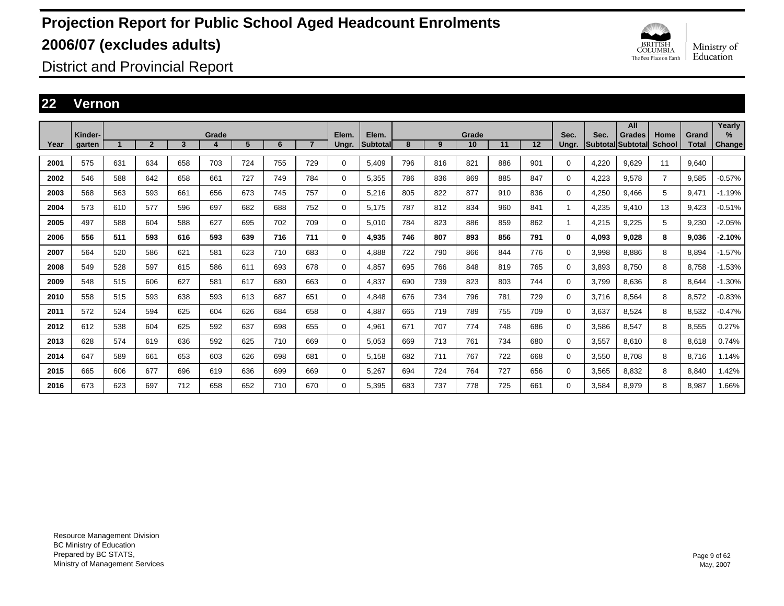

District and Provincial Report

### **22 Vernon**

|      |                   |     |                |              |            |     |     |                |                |                   |     |     |             |     |     |               |       | All                                |                |                       | Yearly                |
|------|-------------------|-----|----------------|--------------|------------|-----|-----|----------------|----------------|-------------------|-----|-----|-------------|-----|-----|---------------|-------|------------------------------------|----------------|-----------------------|-----------------------|
| Year | Kinder-<br>aarten |     | $\overline{2}$ | $\mathbf{3}$ | Grade<br>4 | 5   | 6   | $\overline{7}$ | Elem.<br>Ungr. | Elem.<br>Subtotal | 8   | 9   | Grade<br>10 | 11  | 12  | Sec.<br>Unar. | Sec.  | <b>Grades</b><br>Subtotal Subtotal | Home<br>School | Grand<br><b>Total</b> | $\%$<br><b>Change</b> |
| 2001 | 575               | 631 | 634            | 658          | 703        | 724 | 755 | 729            | $\Omega$       | 5,409             | 796 | 816 | 821         | 886 | 901 | $\Omega$      | 4,220 | 9.629                              | 11             | 9.640                 |                       |
| 2002 | 546               | 588 | 642            | 658          | 661        | 727 | 749 | 784            | 0              | 5,355             | 786 | 836 | 869         | 885 | 847 | $\mathbf 0$   | 4,223 | 9,578                              | $\overline{7}$ | 9,585                 | $-0.57%$              |
| 2003 | 568               | 563 | 593            | 661          | 656        | 673 | 745 | 757            | 0              | 5.216             | 805 | 822 | 877         | 910 | 836 | $\mathbf 0$   | 4,250 | 9.466                              | 5              | 9.471                 | $-1.19%$              |
| 2004 | 573               | 610 | 577            | 596          | 697        | 682 | 688 | 752            | 0              | 5,175             | 787 | 812 | 834         | 960 | 841 | 1             | 4,235 | 9,410                              | 13             | 9,423                 | $-0.51%$              |
| 2005 | 497               | 588 | 604            | 588          | 627        | 695 | 702 | 709            | 0              | 5,010             | 784 | 823 | 886         | 859 | 862 | 1             | 4,215 | 9,225                              | 5              | 9,230                 | $-2.05%$              |
| 2006 | 556               | 511 | 593            | 616          | 593        | 639 | 716 | 711            | 0              | 4.935             | 746 | 807 | 893         | 856 | 791 | 0             | 4,093 | 9.028                              | 8              | 9,036                 | $-2.10%$              |
| 2007 | 564               | 520 | 586            | 621          | 581        | 623 | 710 | 683            | 0              | 4.888             | 722 | 790 | 866         | 844 | 776 | $\mathbf 0$   | 3,998 | 8.886                              | 8              | 8.894                 | $-1.57%$              |
| 2008 | 549               | 528 | 597            | 615          | 586        | 611 | 693 | 678            | 0              | 4,857             | 695 | 766 | 848         | 819 | 765 | $\mathbf 0$   | 3,893 | 8,750                              | 8              | 8,758                 | $-1.53%$              |
| 2009 | 548               | 515 | 606            | 627          | 581        | 617 | 680 | 663            | $\Omega$       | 4,837             | 690 | 739 | 823         | 803 | 744 | $\Omega$      | 3,799 | 8,636                              | 8              | 8.644                 | $-1.30%$              |
| 2010 | 558               | 515 | 593            | 638          | 593        | 613 | 687 | 651            | 0              | 4.848             | 676 | 734 | 796         | 781 | 729 | $\mathbf 0$   | 3,716 | 8.564                              | 8              | 8,572                 | $-0.83%$              |
| 2011 | 572               | 524 | 594            | 625          | 604        | 626 | 684 | 658            | 0              | 4.887             | 665 | 719 | 789         | 755 | 709 | 0             | 3,637 | 8.524                              | 8              | 8.532                 | $-0.47%$              |
| 2012 | 612               | 538 | 604            | 625          | 592        | 637 | 698 | 655            | 0              | 4,961             | 671 | 707 | 774         | 748 | 686 | 0             | 3,586 | 8,547                              | 8              | 8,555                 | 0.27%                 |
| 2013 | 628               | 574 | 619            | 636          | 592        | 625 | 710 | 669            | 0              | 5,053             | 669 | 713 | 761         | 734 | 680 | 0             | 3,557 | 8,610                              | 8              | 8,618                 | 0.74%                 |
| 2014 | 647               | 589 | 661            | 653          | 603        | 626 | 698 | 681            | 0              | 5,158             | 682 | 711 | 767         | 722 | 668 | 0             | 3,550 | 8.708                              | 8              | 8.716                 | 1.14%                 |
| 2015 | 665               | 606 | 677            | 696          | 619        | 636 | 699 | 669            | 0              | 5,267             | 694 | 724 | 764         | 727 | 656 | 0             | 3,565 | 8.832                              | 8              | 8.840                 | 1.42%                 |
| 2016 | 673               | 623 | 697            | 712          | 658        | 652 | 710 | 670            | $\Omega$       | 5,395             | 683 | 737 | 778         | 725 | 661 | $\Omega$      | 3,584 | 8,979                              | 8              | 8,987                 | 1.66%                 |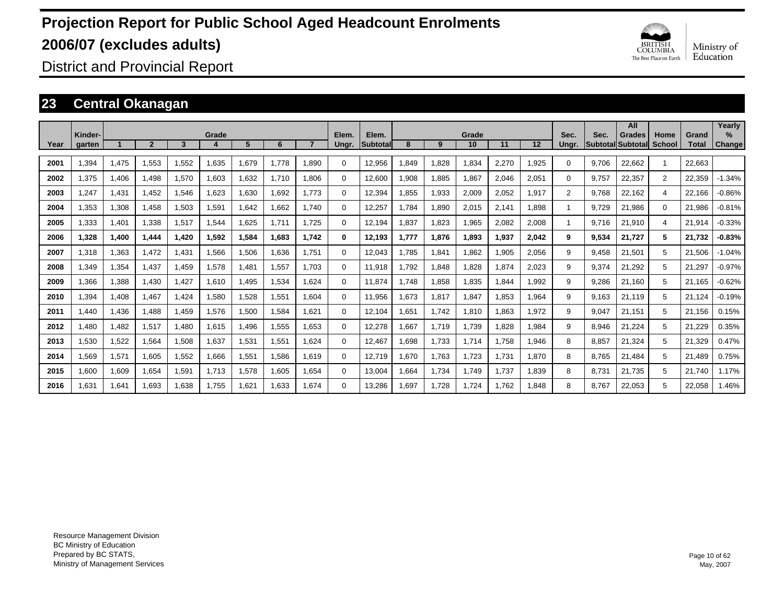

District and Provincial Report

### **23 Central Okanagan**

|      |                   |       |                |       |       |       |       |       |                |                   |       |       |             |       |       |                |       | All                                       |                       |                       | Yearly             |
|------|-------------------|-------|----------------|-------|-------|-------|-------|-------|----------------|-------------------|-------|-------|-------------|-------|-------|----------------|-------|-------------------------------------------|-----------------------|-----------------------|--------------------|
| Year | Kinder-<br>garten |       | $\overline{2}$ | 3     | Grade | 5     | 6     |       | Elem.<br>Ungr. | Elem.<br>Subtotal | 8     | 9     | Grade<br>10 | 11    | 12    | Sec.<br>Ungr.  | Sec.  | <b>Grades</b><br><b>Subtotal Subtotal</b> | Home<br><b>School</b> | Grand<br><b>Total</b> | %<br><b>Change</b> |
| 2001 | .394              | 1,475 | 1.553          | 1,552 | 1,635 | 1.679 | 1.778 | 1.890 | $\Omega$       | 12.956            | .849  | 1.828 | 1,834       | 2,270 | 1.925 | 0              | 9.706 | 22.662                                    |                       | 22.663                |                    |
| 2002 | 1.375             | 1,406 | 1.498          | 1,570 | 1.603 | 1.632 | 1.710 | 1.806 | $\Omega$       | 12.600            | .908  | 1,885 | 1.867       | 2,046 | 2,051 | $\Omega$       | 9.757 | 22.357                                    | $\overline{2}$        | 22,359                | $-1.34%$           |
| 2003 | ,247              | 1,431 | 1,452          | 1,546 | 1,623 | 1,630 | 1,692 | 1.773 | 0              | 12,394            | ,855  | 1,933 | 2,009       | 2,052 | 1,917 | $\overline{2}$ | 9,768 | 22,162                                    | 4                     | 22,166                | $-0.86%$           |
| 2004 | 1,353             | 1,308 | 1,458          | 1,503 | 1,591 | 1,642 | 1,662 | 1.740 | 0              | 12,257            | .784  | 1,890 | 2,015       | 2,141 | 1,898 | 1              | 9,729 | 21,986                                    | $\Omega$              | 21,986                | $-0.81%$           |
| 2005 | 1,333             | 1,401 | 1,338          | 1,517 | 1,544 | 1,625 | 1.711 | 1,725 | 0              | 12,194            | ,837  | 1,823 | 1,965       | 2,082 | 2,008 | 1              | 9.716 | 21,910                                    | 4                     | 21,914                | $-0.33%$           |
| 2006 | 1.328             | 1,400 | 1,444          | 1.420 | 1,592 | 1,584 | 1,683 | 1.742 | 0              | 12,193            | 1.777 | 1,876 | 1,893       | 1,937 | 2,042 | 9              | 9,534 | 21.727                                    | 5                     | 21,732                | $-0.83%$           |
| 2007 | 1.318             | 1,363 | 1.472          | 1,431 | 1,566 | 1,506 | 1,636 | 1.751 | 0              | 12,043            | .785  | 1,841 | 1,862       | 1,905 | 2,056 | 9              | 9.458 | 21.501                                    | 5                     | 21,506                | $-1.04%$           |
| 2008 | .349              | 1,354 | 1,437          | 1.459 | 1,578 | 1,481 | 1,557 | 1.703 | $\Omega$       | 11.918            | .792  | 1,848 | 1,828       | 1.874 | 2,023 | 9              | 9,374 | 21,292                                    | 5                     | 21,297                | $-0.97%$           |
| 2009 | 1,366             | 1,388 | 1,430          | 1,427 | 1,610 | 1,495 | 1,534 | 1,624 | $\Omega$       | 11,874            | .748  | 1,858 | 1,835       | 1,844 | 1,992 | 9              | 9,286 | 21,160                                    | 5                     | 21,165                | $-0.62%$           |
| 2010 | 1,394             | 1,408 | 1,467          | ,424  | 1,580 | 1,528 | 1,551 | 1.604 | $\Omega$       | 11,956            | .673  | 1,817 | 1,847       | 1,853 | 1,964 | 9              | 9,163 | 21.119                                    | 5                     | 21,124                | $-0.19%$           |
| 2011 | .440              | 1,436 | 1,488          | 1,459 | 1,576 | 1,500 | 1,584 | 1.621 | 0              | 12.104            | .651  | 1.742 | 1,810       | 1.863 | 1.972 | 9              | 9,047 | 21.151                                    | 5                     | 21,156                | 0.15%              |
| 2012 | .480              | 1,482 | 1.517          | .480  | 1,615 | 1,496 | 1,555 | 1.653 | 0              | 12,278            | .667  | 1.719 | 1,739       | 1.828 | 1.984 | 9              | 8,946 | 21.224                                    | 5                     | 21.229                | 0.35%              |
| 2013 | 1.530             | 1,522 | 1.564          | 1,508 | 1,637 | 1,531 | 1.551 | 1.624 | $\Omega$       | 12,467            | .698  | 1.733 | 1.714       | 1.758 | 1.946 | 8              | 8,857 | 21.324                                    | 5                     | 21,329                | 0.47%              |
| 2014 | .569              | 1,571 | 1,605          | 1.552 | 1.666 | 1,551 | 1.586 | 1.619 | $\Omega$       | 12.719            | .670  | 1.763 | 1,723       | 1.731 | 1,870 | 8              | 8.765 | 21.484                                    | 5                     | 21.489                | 0.75%              |
| 2015 | 1,600             | 1,609 | 1,654          | 1,591 | 1,713 | 1,578 | 1,605 | 1,654 | $\Omega$       | 13,004            | .664  | 1,734 | 1,749       | 1.737 | 1,839 | 8              | 8,731 | 21,735                                    | 5                     | 21.740                | 1.17%              |
| 2016 | .631              | 1,641 | 1,693          | 1,638 | 1,755 | 1,621 | 1.633 | 1.674 | $\Omega$       | 13,286            | ,697  | 1.728 | 1,724       | 1.762 | 1.848 | 8              | 8.767 | 22,053                                    | 5                     | 22,058                | 1.46%              |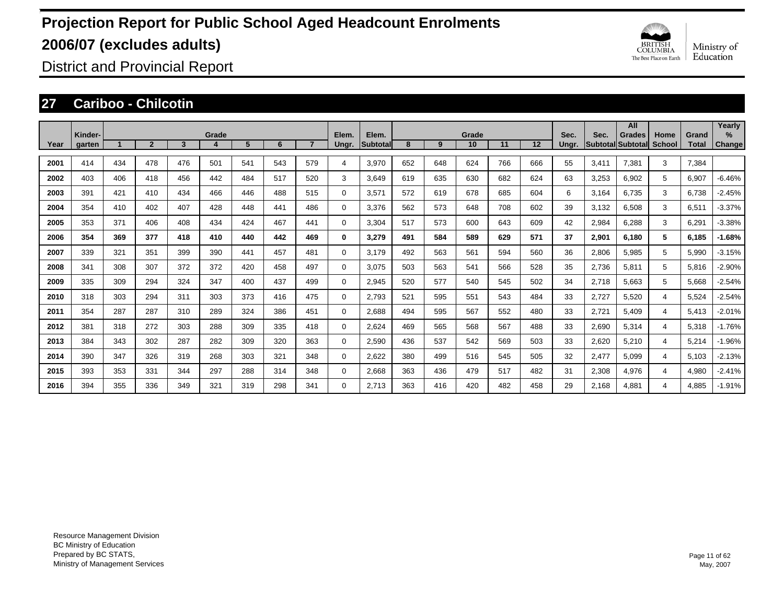

District and Provincial Report

### **27 Cariboo - Chilcotin**

|      |                   |     |                |     |       |     |     |                |                |                          |     |     |             |     |     |               |       | All                         |                |                       | Yearly                         |
|------|-------------------|-----|----------------|-----|-------|-----|-----|----------------|----------------|--------------------------|-----|-----|-------------|-----|-----|---------------|-------|-----------------------------|----------------|-----------------------|--------------------------------|
| Year | Kinder-<br>garten |     | $\overline{2}$ | 3   | Grade | 5   | 6   | $\overline{7}$ | Elem.<br>Ungr. | Elem.<br><b>Subtotal</b> | 8   | 9   | Grade<br>10 | 11  | 12  | Sec.<br>Ungr. | Sec.  | Grades<br>Subtotal Subtotal | Home<br>School | Grand<br><b>Total</b> | $\frac{9}{6}$<br><b>Change</b> |
| 2001 | 414               | 434 | 478            | 476 | 501   | 541 | 543 | 579            | 4              | 3,970                    | 652 | 648 | 624         | 766 | 666 | 55            | 3,411 | 7,381                       | 3              | 7,384                 |                                |
| 2002 | 403               | 406 | 418            | 456 | 442   | 484 | 517 | 520            | 3              | 3.649                    | 619 | 635 | 630         | 682 | 624 | 63            | 3,253 | 6,902                       | 5              | 6,907                 | $-6.46%$                       |
| 2003 | 391               | 421 | 410            | 434 | 466   | 446 | 488 | 515            | 0              | 3,571                    | 572 | 619 | 678         | 685 | 604 | 6             | 3,164 | 6,735                       | 3              | 6,738                 | $-2.45%$                       |
| 2004 | 354               | 410 | 402            | 407 | 428   | 448 | 441 | 486            | 0              | 3.376                    | 562 | 573 | 648         | 708 | 602 | 39            | 3,132 | 6,508                       | 3              | 6,511                 | $-3.37%$                       |
| 2005 | 353               | 371 | 406            | 408 | 434   | 424 | 467 | 441            | 0              | 3,304                    | 517 | 573 | 600         | 643 | 609 | 42            | 2,984 | 6,288                       | 3              | 6,291                 | $-3.38%$                       |
| 2006 | 354               | 369 | 377            | 418 | 410   | 440 | 442 | 469            | 0              | 3,279                    | 491 | 584 | 589         | 629 | 571 | 37            | 2,901 | 6.180                       | 5              | 6.185                 | $-1.68%$                       |
| 2007 | 339               | 321 | 351            | 399 | 390   | 441 | 457 | 481            | 0              | 3.179                    | 492 | 563 | 561         | 594 | 560 | 36            | 2,806 | 5,985                       | 5              | 5,990                 | $-3.15%$                       |
| 2008 | 341               | 308 | 307            | 372 | 372   | 420 | 458 | 497            | 0              | 3,075                    | 503 | 563 | 541         | 566 | 528 | 35            | 2,736 | 5,811                       | 5              | 5,816                 | $-2.90%$                       |
| 2009 | 335               | 309 | 294            | 324 | 347   | 400 | 437 | 499            | 0              | 2,945                    | 520 | 577 | 540         | 545 | 502 | 34            | 2,718 | 5,663                       | 5              | 5,668                 | $-2.54%$                       |
| 2010 | 318               | 303 | 294            | 311 | 303   | 373 | 416 | 475            | 0              | 2,793                    | 521 | 595 | 551         | 543 | 484 | 33            | 2,727 | 5,520                       | 4              | 5,524                 | $-2.54%$                       |
| 2011 | 354               | 287 | 287            | 310 | 289   | 324 | 386 | 451            | 0              | 2,688                    | 494 | 595 | 567         | 552 | 480 | 33            | 2,721 | 5,409                       | 4              | 5,413                 | $-2.01%$                       |
| 2012 | 381               | 318 | 272            | 303 | 288   | 309 | 335 | 418            | 0              | 2,624                    | 469 | 565 | 568         | 567 | 488 | 33            | 2,690 | 5,314                       | 4              | 5,318                 | $-1.76%$                       |
| 2013 | 384               | 343 | 302            | 287 | 282   | 309 | 320 | 363            | 0              | 2,590                    | 436 | 537 | 542         | 569 | 503 | 33            | 2,620 | 5,210                       | 4              | 5,214                 | $-1.96%$                       |
| 2014 | 390               | 347 | 326            | 319 | 268   | 303 | 321 | 348            | 0              | 2,622                    | 380 | 499 | 516         | 545 | 505 | 32            | 2,477 | 5.099                       | 4              | 5,103                 | $-2.13%$                       |
| 2015 | 393               | 353 | 331            | 344 | 297   | 288 | 314 | 348            | 0              | 2,668                    | 363 | 436 | 479         | 517 | 482 | 31            | 2,308 | 4,976                       | 4              | 4,980                 | $-2.41%$                       |
| 2016 | 394               | 355 | 336            | 349 | 321   | 319 | 298 | 341            | $\Omega$       | 2.713                    | 363 | 416 | 420         | 482 | 458 | 29            | 2.168 | 4.881                       | 4              | 4.885                 | $-1.91%$                       |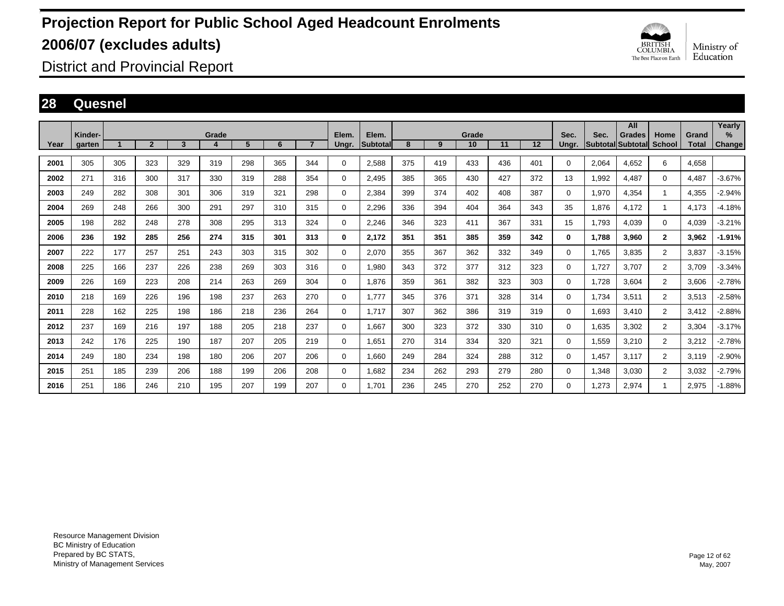

District and Provincial Report

### **28 Quesnel**

|      |                   |     |                |     |            |     |     |                |                |                           |     |     |             |     |     |               |                                 | All           |                       |                       | Yearly                |
|------|-------------------|-----|----------------|-----|------------|-----|-----|----------------|----------------|---------------------------|-----|-----|-------------|-----|-----|---------------|---------------------------------|---------------|-----------------------|-----------------------|-----------------------|
| Year | Kinder-<br>garten |     | $\overline{2}$ | 3   | Grade<br>4 | 5   | 6   | $\overline{7}$ | Elem.<br>Ungr. | Elem.<br><b>Subtotall</b> | 8   | 9   | Grade<br>10 | 11  | 12  | Sec.<br>Ungr. | Sec.<br><b>Subtotal Subtota</b> | <b>Grades</b> | Home<br><b>School</b> | Grand<br><b>Total</b> | $\%$<br><b>Change</b> |
|      |                   |     |                |     |            |     |     |                |                |                           |     |     |             |     |     |               |                                 |               |                       |                       |                       |
| 2001 | 305               | 305 | 323            | 329 | 319        | 298 | 365 | 344            | 0              | 2,588                     | 375 | 419 | 433         | 436 | 401 | $\Omega$      | 2.064                           | 4.652         | 6                     | 4.658                 |                       |
| 2002 | 271               | 316 | 300            | 317 | 330        | 319 | 288 | 354            | 0              | 2,495                     | 385 | 365 | 430         | 427 | 372 | 13            | 1,992                           | 4,487         | $\Omega$              | 4,487                 | $-3.67%$              |
| 2003 | 249               | 282 | 308            | 301 | 306        | 319 | 321 | 298            | 0              | 2,384                     | 399 | 374 | 402         | 408 | 387 | $\Omega$      | 1,970                           | 4,354         | 1                     | 4,355                 | $-2.94%$              |
| 2004 | 269               | 248 | 266            | 300 | 291        | 297 | 310 | 315            | 0              | 2,296                     | 336 | 394 | 404         | 364 | 343 | 35            | 1.876                           | 4.172         | 1                     | 4,173                 | $-4.18%$              |
| 2005 | 198               | 282 | 248            | 278 | 308        | 295 | 313 | 324            | 0              | 2.246                     | 346 | 323 | 411         | 367 | 331 | 15            | 1.793                           | 4.039         | $\mathbf 0$           | 4.039                 | $-3.21%$              |
| 2006 | 236               | 192 | 285            | 256 | 274        | 315 | 301 | 313            | 0              | 2,172                     | 351 | 351 | 385         | 359 | 342 | 0             | 1,788                           | 3,960         | $\mathbf{2}$          | 3,962                 | $-1.91%$              |
| 2007 | 222               | 177 | 257            | 251 | 243        | 303 | 315 | 302            | $\mathbf 0$    | 2,070                     | 355 | 367 | 362         | 332 | 349 | 0             | 1,765                           | 3,835         | $\overline{2}$        | 3,837                 | $-3.15%$              |
| 2008 | 225               | 166 | 237            | 226 | 238        | 269 | 303 | 316            | $\mathbf 0$    | 1,980                     | 343 | 372 | 377         | 312 | 323 | 0             | 1,727                           | 3,707         | $\overline{2}$        | 3,709                 | $-3.34%$              |
| 2009 | 226               | 169 | 223            | 208 | 214        | 263 | 269 | 304            | $\mathbf 0$    | 1.876                     | 359 | 361 | 382         | 323 | 303 | 0             | 1,728                           | 3.604         | $\overline{2}$        | 3,606                 | $-2.78%$              |
| 2010 | 218               | 169 | 226            | 196 | 198        | 237 | 263 | 270            | $\mathbf 0$    | 1,777                     | 345 | 376 | 371         | 328 | 314 | 0             | 1,734                           | 3,511         | $\overline{2}$        | 3,513                 | $-2.58%$              |
| 2011 | 228               | 162 | 225            | 198 | 186        | 218 | 236 | 264            | $\mathbf 0$    | 1.717                     | 307 | 362 | 386         | 319 | 319 | 0             | 1,693                           | 3,410         | $\overline{2}$        | 3,412                 | $-2.88%$              |
| 2012 | 237               | 169 | 216            | 197 | 188        | 205 | 218 | 237            | $\mathbf 0$    | 1.667                     | 300 | 323 | 372         | 330 | 310 | 0             | 1,635                           | 3,302         | $\overline{2}$        | 3,304                 | $-3.17%$              |
| 2013 | 242               | 176 | 225            | 190 | 187        | 207 | 205 | 219            | $\mathbf 0$    | 1.651                     | 270 | 314 | 334         | 320 | 321 | 0             | 1,559                           | 3,210         | $\overline{2}$        | 3,212                 | $-2.78%$              |
| 2014 | 249               | 180 | 234            | 198 | 180        | 206 | 207 | 206            | $\mathbf 0$    | 1,660                     | 249 | 284 | 324         | 288 | 312 | 0             | 1,457                           | 3,117         | $\overline{2}$        | 3,119                 | $-2.90%$              |
| 2015 | 251               | 185 | 239            | 206 | 188        | 199 | 206 | 208            | $\mathbf 0$    | 1.682                     | 234 | 262 | 293         | 279 | 280 | 0             | 1,348                           | 3,030         | $\overline{2}$        | 3,032                 | $-2.79%$              |
| 2016 | 251               | 186 | 246            | 210 | 195        | 207 | 199 | 207            | 0              | 1.701                     | 236 | 245 | 270         | 252 | 270 | 0             | 1.273                           | 2.974         |                       | 2,975                 | $-1.88%$              |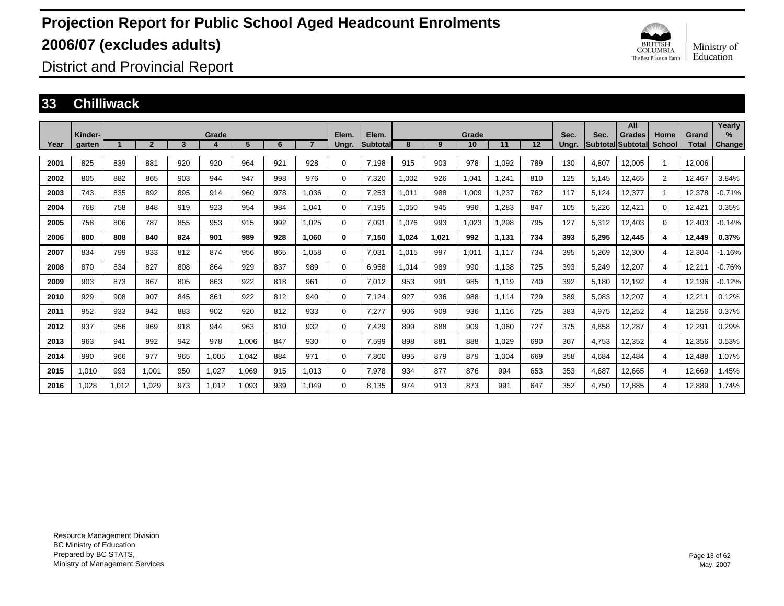

District and Provincial Report

#### **33 Chilliwack**

|      |                   |       |                |     |            |       |     |                |                |                          |       |       |             |       |     |               |       | All                                       |                |                       | Yearly         |
|------|-------------------|-------|----------------|-----|------------|-------|-----|----------------|----------------|--------------------------|-------|-------|-------------|-------|-----|---------------|-------|-------------------------------------------|----------------|-----------------------|----------------|
| Year | Kinder-<br>garten |       | $\overline{2}$ | 3   | Grade<br>4 | 5     | 6   | $\overline{7}$ | Elem.<br>Ungr. | Elem.<br><b>Subtotal</b> | 8     | 9     | Grade<br>10 | 11    | 12  | Sec.<br>Ungr. | Sec.  | <b>Grades</b><br><b>Subtotal Subtotal</b> | Home<br>School | Grand<br><b>Total</b> | $\%$<br>Change |
|      |                   |       |                |     |            |       |     |                |                |                          |       |       |             |       |     |               |       |                                           |                |                       |                |
| 2001 | 825               | 839   | 881            | 920 | 920        | 964   | 921 | 928            | $\Omega$       | 7,198                    | 915   | 903   | 978         | 1,092 | 789 | 130           | 4,807 | 12,005                                    | $\overline{1}$ | 12,006                |                |
| 2002 | 805               | 882   | 865            | 903 | 944        | 947   | 998 | 976            | $\Omega$       | 7,320                    | 1,002 | 926   | 1,041       | 1,241 | 810 | 125           | 5,145 | 12,465                                    | $\overline{2}$ | 12,467                | 3.84%          |
| 2003 | 743               | 835   | 892            | 895 | 914        | 960   | 978 | 1.036          | 0              | 7,253                    | 1,011 | 988   | 1,009       | 1,237 | 762 | 117           | 5,124 | 12,377                                    | -1             | 12,378                | $-0.71%$       |
| 2004 | 768               | 758   | 848            | 919 | 923        | 954   | 984 | 1.041          | $\Omega$       | 7,195                    | 1.050 | 945   | 996         | 1,283 | 847 | 105           | 5,226 | 12,421                                    | 0              | 12,421                | 0.35%          |
| 2005 | 758               | 806   | 787            | 855 | 953        | 915   | 992 | 1.025          | $\Omega$       | 7,091                    | 1.076 | 993   | 1.023       | 1.298 | 795 | 127           | 5,312 | 12.403                                    | $\Omega$       | 12.403                | $-0.14%$       |
| 2006 | 800               | 808   | 840            | 824 | 901        | 989   | 928 | 1,060          | 0              | 7,150                    | 1,024 | 1,021 | 992         | 1,131 | 734 | 393           | 5,295 | 12,445                                    | 4              | 12,449                | 0.37%          |
| 2007 | 834               | 799   | 833            | 812 | 874        | 956   | 865 | 1.058          | $\Omega$       | 7,031                    | 1,015 | 997   | 1,011       | 1,117 | 734 | 395           | 5,269 | 12,300                                    | 4              | 12,304                | $-1.16%$       |
| 2008 | 870               | 834   | 827            | 808 | 864        | 929   | 837 | 989            | $\Omega$       | 6,958                    | 1.014 | 989   | 990         | 1,138 | 725 | 393           | 5,249 | 12,207                                    | 4              | 12,211                | $-0.76%$       |
| 2009 | 903               | 873   | 867            | 805 | 863        | 922   | 818 | 961            | 0              | 7,012                    | 953   | 991   | 985         | 1.119 | 740 | 392           | 5,180 | 12,192                                    | 4              | 12,196                | $-0.12%$       |
| 2010 | 929               | 908   | 907            | 845 | 861        | 922   | 812 | 940            | 0              | 7,124                    | 927   | 936   | 988         | 1,114 | 729 | 389           | 5,083 | 12,207                                    | 4              | 12,211                | 0.12%          |
| 2011 | 952               | 933   | 942            | 883 | 902        | 920   | 812 | 933            | 0              | 7,277                    | 906   | 909   | 936         | 1.116 | 725 | 383           | 4,975 | 12,252                                    | 4              | 12,256                | 0.37%          |
| 2012 | 937               | 956   | 969            | 918 | 944        | 963   | 810 | 932            | $\Omega$       | 7,429                    | 899   | 888   | 909         | 1,060 | 727 | 375           | 4,858 | 12,287                                    | 4              | 12,291                | 0.29%          |
| 2013 | 963               | 941   | 992            | 942 | 978        | 1,006 | 847 | 930            | $\Omega$       | 7,599                    | 898   | 881   | 888         | 1,029 | 690 | 367           | 4,753 | 12,352                                    | 4              | 12,356                | 0.53%          |
| 2014 | 990               | 966   | 977            | 965 | 1,005      | 1,042 | 884 | 971            | $\Omega$       | 7,800                    | 895   | 879   | 879         | 1,004 | 669 | 358           | 4,684 | 12,484                                    | 4              | 12,488                | 1.07%          |
| 2015 | 1,010             | 993   | 1,001          | 950 | 1,027      | 1,069 | 915 | 1.013          | 0              | 7,978                    | 934   | 877   | 876         | 994   | 653 | 353           | 4,687 | 12,665                                    | 4              | 12,669                | 1.45%          |
| 2016 | 1.028             | 1.012 | 1.029          | 973 | 1.012      | 1.093 | 939 | 1.049          | $\Omega$       | 8.135                    | 974   | 913   | 873         | 991   | 647 | 352           | 4.750 | 12.885                                    | 4              | 12.889                | 1.74%          |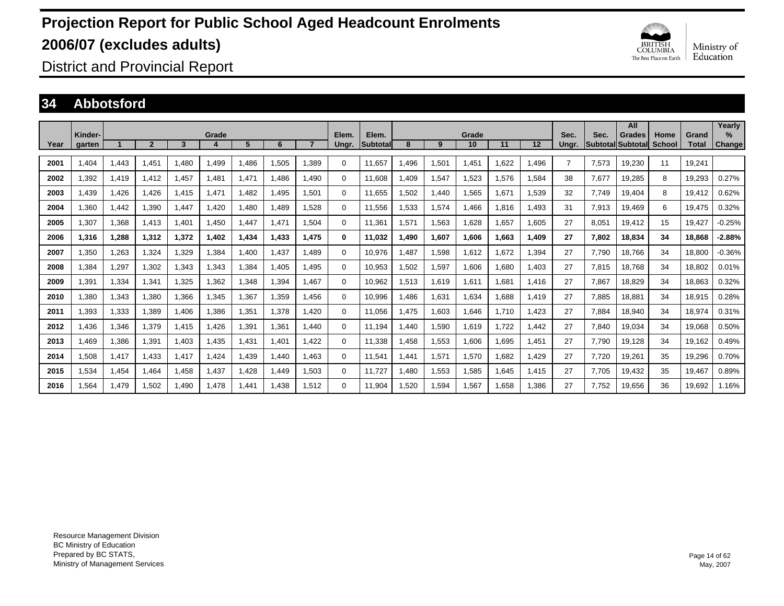

District and Provincial Report

### **34 Abbotsford**

|      |                   |       |                |       |            |       |       |       |                |                           |       |       |             |       |       |                |       | All                                 |                       |                | Yearly                |
|------|-------------------|-------|----------------|-------|------------|-------|-------|-------|----------------|---------------------------|-------|-------|-------------|-------|-------|----------------|-------|-------------------------------------|-----------------------|----------------|-----------------------|
| Year | Kinder-<br>garten |       | $\overline{2}$ | 3     | Grade<br>4 | 5     | 6     |       | Elem.<br>Ungr. | Elem.<br><b>ISubtotal</b> | 8     | 9     | Grade<br>10 | 11    | 12    | Sec.<br>Unar.  | Sec.  | <b>Grades</b><br> Subtotal Subtotal | Home<br><b>School</b> | Grand<br>Total | $\%$<br><b>Change</b> |
|      |                   |       |                |       |            |       |       |       |                |                           |       |       |             |       |       |                |       |                                     |                       |                |                       |
| 2001 | 1,404             | 1.443 | 1.451          | .480  | 1.499      | .486  | 1,505 | 1,389 | 0              | 11,657                    | .496  | 1,501 | 1,451       | .622  | 1,496 | $\overline{7}$ | 7,573 | 19,230                              | 11                    | 19,241         |                       |
| 2002 | 1,392             | 1,419 | 1.412          | 1.457 | 1,481      | .471  | .486  | 1.490 | $\mathbf 0$    | 11.608                    | .409  | 1,547 | 1,523       | .576  | 1,584 | 38             | 7.677 | 19.285                              | 8                     | 19,293         | 0.27%                 |
| 2003 | 1.439             | 1.426 | .426           | 1.415 | 1,471      | .482  | 1.495 | 1.501 | $\mathbf 0$    | 11.655                    | .502  | 1,440 | 1.565       | .671  | 1.539 | 32             | 7.749 | 19.404                              | 8                     | 19.412         | 0.62%                 |
| 2004 | 1,360             | 1,442 | 1,390          | 1.447 | 1,420      | ,480  | 1,489 | 1,528 | $\Omega$       | 11,556                    | .533  | 1,574 | 1,466       | 816.  | 1,493 | 31             | 7,913 | 19,469                              | 6                     | 19,475         | 0.32%                 |
| 2005 | 1,307             | 1,368 | 1,413          | 1,401 | 1,450      | ,447  | 1.471 | 1,504 | $\mathbf 0$    | 11,361                    | 1,571 | 1,563 | 1,628       | .657  | 1.605 | 27             | 8,051 | 19,412                              | 15                    | 19.427         | $-0.25%$              |
| 2006 | 1,316             | 1,288 | 1.312          | 1.372 | 1.402      | 1,434 | 1.433 | 1.475 | $\bf{0}$       | 11.032                    | 1.490 | 1,607 | 1.606       | 1.663 | 1.409 | 27             | 7.802 | 18,834                              | 34                    | 18,868         | $-2.88%$              |
| 2007 | 1,350             | 1,263 | 1,324          | 1,329 | 1,384      | ,400  | 1,437 | 1,489 | 0              | 10,976                    | ,487  | 1,598 | 1,612       | .672  | 1,394 | 27             | 7,790 | 18,766                              | 34                    | 18,800         | $-0.36%$              |
| 2008 | 1,384             | 1,297 | 1,302          | 1,343 | 1,343      | ,384  | 1,405 | 1.495 | 0              | 10,953                    | ,502  | 1,597 | 1,606       | .680  | 1,403 | 27             | 7,815 | 18.768                              | 34                    | 18,802         | 0.01%                 |
| 2009 | 1,391             | 1,334 | 1.341          | 1,325 | 1,362      | ,348  | 1,394 | 1.467 | 0              | 10,962                    | 1,513 | 1,619 | 1,611       | .681  | 1.416 | 27             | 7,867 | 18,829                              | 34                    | 18,863         | 0.32%                 |
| 2010 | 1,380             | 1,343 | 1,380          | 1,366 | 1,345      | 1,367 | 1,359 | 1,456 | 0              | 10,996                    | .486  | 1,631 | 1,634       | .688  | 1,419 | 27             | 7,885 | 18,881                              | 34                    | 18,915         | 0.28%                 |
| 2011 | 1,393             | 1,333 | 1,389          | 1.406 | 1,386      | 1,351 | 1,378 | 1.420 | $\mathbf 0$    | 11,056                    | 1.475 | 1,603 | 1.646       | 1.710 | 1,423 | 27             | 7,884 | 18,940                              | 34                    | 18,974         | 0.31%                 |
| 2012 | 1.436             | 1,346 | 1.379          | 1.415 | 1.426      | 1.391 | 1.361 | 1.440 | $\Omega$       | 11.194                    | .440  | 1,590 | 1.619       | 1.722 | 1,442 | 27             | 7,840 | 19,034                              | 34                    | 19,068         | 0.50%                 |
| 2013 | 1,469             | 1,386 | 1,391          | 1.403 | 1,435      | 1,431 | 1,401 | 1.422 | $\Omega$       | 11,338                    | .458  | 1,553 | 1,606       | 1,695 | 1,451 | 27             | 7,790 | 19,128                              | 34                    | 19,162         | 0.49%                 |
| 2014 | 1,508             | 1,417 | 1.433          | 1.417 | 1,424      | 1,439 | 1.440 | 1.463 | $\mathbf 0$    | 11,541                    | .441  | 1,571 | 1,570       | .682  | 1,429 | 27             | 7.720 | 19,261                              | 35                    | 19,296         | 0.70%                 |
| 2015 | 1,534             | 1.454 | 1.464          | 1.458 | 1,437      | 1.428 | 1.449 | 1,503 | $\mathbf 0$    | 11.727                    | .480  | 1,553 | 1,585       | .645  | 1.415 | 27             | 7.705 | 19.432                              | 35                    | 19.467         | 0.89%                 |
| 2016 | 1,564             | 1.479 | 1,502          | 1.490 | 1,478      | 1.441 | .438  | 1,512 | 0              | 11,904                    | .520  | 1,594 | 1,567       | .658  | 1,386 | 27             | 7.752 | 19,656                              | 36                    | 19,692         | 1.16%                 |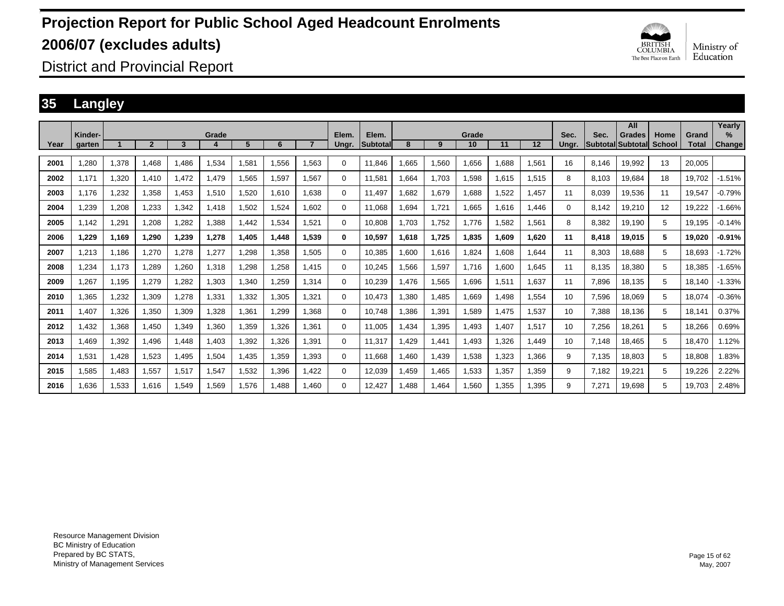

District and Provincial Report

### **35 Langley**

|      |                   |       |                |       |       |       |             |                |                |                          |        |       |             |       |       |               |       | All                                |                |                       | Yearly                |
|------|-------------------|-------|----------------|-------|-------|-------|-------------|----------------|----------------|--------------------------|--------|-------|-------------|-------|-------|---------------|-------|------------------------------------|----------------|-----------------------|-----------------------|
| Year | Kinder-<br>garten |       | $\overline{2}$ | 3     | Grade | 5     | 6           | $\overline{7}$ | Elem.<br>Ungr. | Elem.<br><b>Subtotal</b> | 8      | 9     | Grade<br>10 | 11    | 12    | Sec.<br>Unar. | Sec.  | Grades<br><b>Subtotal Subtotal</b> | Home<br>School | Grand<br><b>Total</b> | $\%$<br><b>Change</b> |
|      |                   |       |                |       |       |       |             |                |                |                          |        |       |             |       |       |               |       |                                    |                |                       |                       |
| 2001 | .280              | 1,378 | 1.468          | .486  | 1,534 | 1,581 | 1.556       | 1.563          | $\Omega$       | 11.846                   | .665   | 1,560 | 1.656       | 1.688 | 1.561 | 16            | 8.146 | 19.992                             | 13             | 20.005                |                       |
| 2002 | 1.171             | 1,320 | 1.410          | 1,472 | 1,479 | 1,565 | 1,597       | 1.567          | 0              | 11,581                   | .664   | 1,703 | 1,598       | 1,615 | 1,515 | 8             | 8,103 | 19,684                             | 18             | 19,702                | $-1.51%$              |
| 2003 | 1.176             | 1,232 | 1,358          | 1.453 | 1,510 | 1,520 | 1.610       | 1.638          | $\Omega$       | 11,497                   | .682   | 1,679 | 1,688       | 1,522 | 1.457 | 11            | 8,039 | 19,536                             | 11             | 19,547                | $-0.79%$              |
| 2004 | .239              | 1,208 | 1,233          | .342  | 1.418 | 1,502 | 1,524       | 1.602          | 0              | 11.068                   | .694   | 1,721 | 1,665       | 1.616 | 1.446 | 0             | 8.142 | 19,210                             | 12             | 19,222                | -1.66%                |
| 2005 | 1.142             | 1,291 | 1,208          | .282  | 1.388 | 1.442 | 1.534       | 1.521          | 0              | 10.808                   | .703   | 1.752 | 1.776       | 1.582 | 1.561 | 8             | 8,382 | 19.190                             | 5              | 19.195                | $-0.14%$              |
| 2006 | 1,229             | 1,169 | 1,290          | 1,239 | 1,278 | 1,405 | 1,448       | 1.539          | 0              | 10,597                   | 618. ا | 1,725 | 1,835       | 1,609 | 1,620 | 11            | 8,418 | 19,015                             | 5              | 19,020                | $-0.91%$              |
| 2007 | 1,213             | 1,186 | 1.270          | ,278  | 1,277 | 1,298 | 1,358       | I.505          | 0              | 10,385                   | ,600   | 1,616 | 1,824       | 1,608 | 1,644 | 11            | 8,303 | 18.688                             | 5              | 18.693                | $-1.72%$              |
| 2008 | ,234              | 1,173 | 1.289          | .260  | 1,318 | 1,298 | 1.258       | 1.415          | 0              | 10.245                   | .566   | 1,597 | 1,716       | 1,600 | 1.645 | 11            | 8.135 | 18.380                             | 5              | 18.385                | $-1.65%$              |
| 2009 | .267              | 1,195 | 1.279          | .282  | 1,303 | 1,340 | .259        | 1.314          | 0              | 10.239                   | .476   | 1,565 | 1,696       | 1,511 | 1.637 | 11            | 7.896 | 18.135                             | 5              | 18.140                | $-1.33%$              |
| 2010 | ,365              | 1,232 | 1,309          | ,278  | 1,331 | 1,332 | 1,305       | 1.321          | 0              | 10,473                   | ,380   | 1,485 | 1,669       | 1,498 | 1,554 | 10            | 7,596 | 18,069                             | 5              | 18,074                | $-0.36%$              |
| 2011 | 1,407             | 1,326 | 1,350          | 1,309 | 1,328 | 1,361 | <b>299.</b> | 1.368          | 0              | 10.748                   | ,386   | 1,391 | 1,589       | 1,475 | 1,537 | 10            | 7,388 | 18,136                             | 5              | 18,141                | 0.37%                 |
| 2012 | .432              | 1,368 | 1,450          | .349  | 1,360 | 1,359 | 1,326       | 1.361          | 0              | 11.005                   | ,434   | 1,395 | 1.493       | 1.407 | 1,517 | 10            | 7,256 | 18,261                             | 5              | 18.266                | 0.69%                 |
| 2013 | .469              | 1,392 | 1.496          | .448  | 1.403 | 1,392 | 1.326       | 1.391          | 0              | 11.317                   | .429   | 1,441 | 1.493       | 1.326 | 1.449 | 10            | 7.148 | 18.465                             | 5              | 18.470                | 1.12%                 |
| 2014 | 1,531             | 1,428 | 1,523          | 1,495 | 1,504 | 1,435 | 1,359       | 1,393          | $\Omega$       | 11,668                   | ,460   | 1,439 | 1,538       | 1,323 | 1,366 | 9             | 7,135 | 18,803                             | 5              | 18,808                | 1.83%                 |
| 2015 | 1,585             | 1,483 | 1,557          | 1,517 | 1,547 | 1,532 | 1,396       | 1.422          | 0              | 12,039                   | ,459   | 1,465 | 1,533       | 1,357 | 1,359 | 9             | 7.182 | 19,221                             | 5              | 19,226                | 2.22%                 |
| 2016 | 1.636             | 1,533 | 1.616          | 1.549 | 1.569 | 1.576 | A88.        | 1.460          | $\Omega$       | 12.427                   | .488   | 1.464 | 1.560       | 1.355 | 1.395 | 9             | 7.271 | 19.698                             | 5              | 19.703                | 2.48%                 |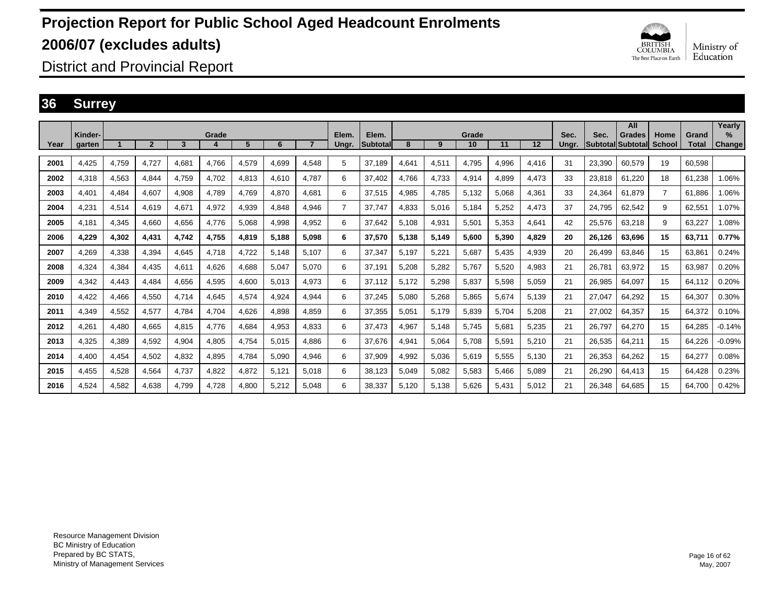

District and Provincial Report

### **36 Surrey**

|      |                   |       |                |       |       |       |       |                |                |                          |       |       |             |       |       |               |                                  | All           |                       |                       | Yearly                |
|------|-------------------|-------|----------------|-------|-------|-------|-------|----------------|----------------|--------------------------|-------|-------|-------------|-------|-------|---------------|----------------------------------|---------------|-----------------------|-----------------------|-----------------------|
| Year | Kinder-<br>garten |       | $\overline{2}$ | 3     | Grade | 5     | 6     | $\overline{7}$ | Elem.<br>Ungr. | Elem.<br><b>Subtotal</b> | 8     | 9     | Grade<br>10 | 11    | 12    | Sec.<br>Unar. | Sec.<br><b>SubtotallSubtotal</b> | <b>Grades</b> | Home<br><b>School</b> | Grand<br><b>Total</b> | $\%$<br><b>Change</b> |
|      |                   |       |                |       |       |       |       |                |                |                          |       |       |             |       |       |               |                                  |               |                       |                       |                       |
| 2001 | 4.425             | 4,759 | 4.727          | 4.681 | 4.766 | 4,579 | 4.699 | 4.548          | 5              | 37.189                   | 4,641 | 4,511 | 4.795       | 4,996 | 4.416 | 31            | 23,390                           | 60.579        | 19                    | 60.598                |                       |
| 2002 | 4.318             | 4,563 | 4.844          | 4.759 | 4,702 | 4,813 | 4.610 | 4.787          | 6              | 37.402                   | 4.766 | 4,733 | 4,914       | 4.899 | 4.473 | 33            | 23.818                           | 61.220        | 18                    | 61.238                | 1.06%                 |
| 2003 | 4.401             | 4,484 | 4.607          | 4,908 | 4.789 | 4.769 | 4.870 | 4.681          | 6              | 37,515                   | 4,985 | 4,785 | 5,132       | 5.068 | 4,361 | 33            | 24.364                           | 61.879        | $\overline{7}$        | 61.886                | .06%                  |
| 2004 | 4,231             | 4,514 | 4,619          | 4,671 | 4,972 | 4,939 | 4,848 | 4.946          | $\overline{7}$ | 37.747                   | 4,833 | 5,016 | 5,184       | 5,252 | 4,473 | 37            | 24,795                           | 62,542        | 9                     | 62,551                | 1.07%                 |
| 2005 | 4,181             | 4,345 | 4,660          | 4,656 | 4,776 | 5,068 | 4,998 | 4,952          | 6              | 37,642                   | 5,108 | 4,931 | 5,501       | 5,353 | 4,641 | 42            | 25,576                           | 63,218        | 9                     | 63,227                | 1.08%                 |
| 2006 | 4,229             | 4,302 | 4,431          | 4.742 | 4,755 | 4,819 | 5.188 | 5.098          | 6              | 37,570                   | 5,138 | 5,149 | 5,600       | 5.390 | 4.829 | 20            | 26.126                           | 63.696        | 15                    | 63,711                | 0.77%                 |
| 2007 | 4.269             | 4,338 | 4.394          | 4.645 | 4,718 | 4,722 | 5.148 | 5.107          | 6              | 37,347                   | 5.197 | 5,221 | 5,687       | 5.435 | 4,939 | 20            | 26.499                           | 63.846        | 15                    | 63.861                | 0.24%                 |
| 2008 | 4.324             | 4,384 | 4.435          | 4.611 | 4.626 | 4.688 | 5.047 | 5.070          | 6              | 37,191                   | 5.208 | 5,282 | 5.767       | 5.520 | 4,983 | 21            | 26.781                           | 63.972        | 15                    | 63,987                | 0.20%                 |
| 2009 | 4.342             | 4,443 | 4.484          | 4.656 | 4,595 | 4.600 | 5.013 | 4.973          | 6              | 37.112                   | 5,172 | 5,298 | 5,837       | 5.598 | 5.059 | 21            | 26.985                           | 64.097        | 15                    | 64.112                | 0.20%                 |
| 2010 | 4,422             | 4,466 | 4,550          | 4,714 | 4,645 | 4,574 | 4,924 | 4,944          | 6              | 37,245                   | 5,080 | 5,268 | 5,865       | 5,674 | 5,139 | 21            | 27,047                           | 64,292        | 15                    | 64,307                | 0.30%                 |
| 2011 | 4,349             | 4,552 | 4,577          | 4.784 | 4,704 | 4,626 | 4,898 | 4,859          | 6              | 37,355                   | 5,051 | 5,179 | 5,839       | 5.704 | 5,208 | 21            | 27,002                           | 64,357        | 15                    | 64,372                | 0.10%                 |
| 2012 | 4,261             | 4,480 | 4,665          | 4,815 | 4,776 | 4,684 | 4,953 | 4.833          | 6              | 37,473                   | 4,967 | 5,148 | 5,745       | 5,681 | 5,235 | 21            | 26,797                           | 64,270        | 15                    | 64.285                | $-0.14%$              |
| 2013 | 4,325             | 4,389 | 4,592          | 4,904 | 4,805 | 4,754 | 5,015 | 4.886          | 6              | 37,676                   | 4,941 | 5,064 | 5,708       | 5,591 | 5,210 | 21            | 26,535                           | 64,211        | 15                    | 64.226                | $-0.09%$              |
| 2014 | 4.400             | 4,454 | 4,502          | 4,832 | 4,895 | 4,784 | 5,090 | 4.946          | 6              | 37,909                   | 4,992 | 5,036 | 5,619       | 5,555 | 5.130 | 21            | 26,353                           | 64,262        | 15                    | 64,277                | 0.08%                 |
| 2015 | 4.455             | 4,528 | 4.564          | 4.737 | 4,822 | 4,872 | 5.121 | 5.018          | 6              | 38.123                   | 5,049 | 5,082 | 5,583       | 5.466 | 5,089 | 21            | 26,290                           | 64.413        | 15                    | 64.428                | 0.23%                 |
| 2016 | 4.524             | 4,582 | 4.638          | 4.799 | 4.728 | 4,800 | 5,212 | 5.048          | 6              | 38,337                   | 5,120 | 5,138 | 5.626       | 5.431 | 5,012 | 21            | 26,348                           | 64,685        | 15                    | 64.700                | 0.42%                 |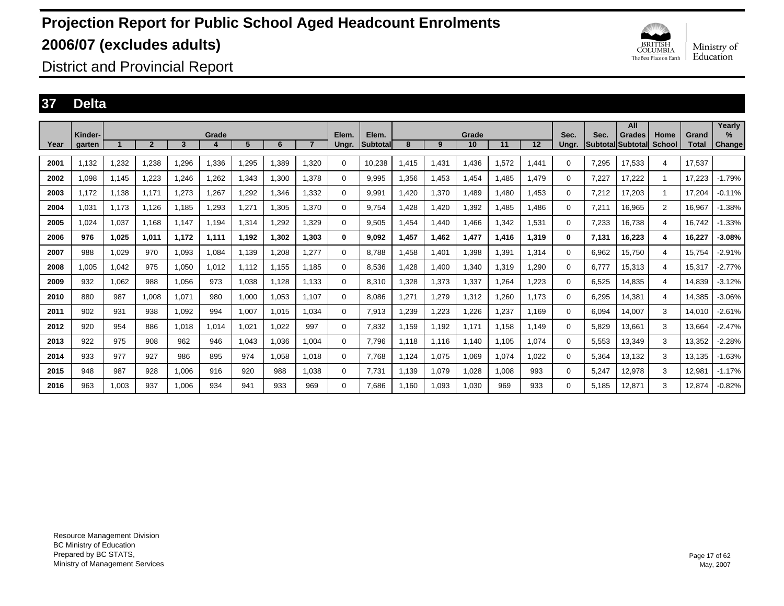

District and Provincial Report

### **37 Delta**

|      |                   |       |                |       |       |       |       |                |                |                          |       |       |             |       |       |               |       | All                                 |                       |                       | Yearly                |
|------|-------------------|-------|----------------|-------|-------|-------|-------|----------------|----------------|--------------------------|-------|-------|-------------|-------|-------|---------------|-------|-------------------------------------|-----------------------|-----------------------|-----------------------|
| Year | Kinder-<br>garten |       | $\overline{2}$ | 3     | Grade | 5     | 6     | $\overline{7}$ | Elem.<br>Ungr. | Elem.<br><b>Subtotal</b> | 8     | 9     | Grade<br>10 | 11    | 12    | Sec.<br>Unar. | Sec.  | <b>Grades</b><br> Subtotal Subtotal | Home<br><b>School</b> | Grand<br><b>Total</b> | $\%$<br><b>Change</b> |
|      |                   |       |                |       |       |       |       |                |                |                          |       |       |             |       |       |               |       |                                     |                       |                       |                       |
| 2001 | 1.132             | 1,232 | 1,238          | 1,296 | 1,336 | ,295  | 1.389 | 1.320          | 0              | 10,238                   | .415  | 1,431 | 1.436       | 1,572 | 1.441 | $\Omega$      | 7,295 | 17,533                              | $\overline{4}$        | 17,537                |                       |
| 2002 | 1.098             | 1.145 | 1.223          | 1.246 | .262  | .343  | 1,300 | 1,378          | 0              | 9.995                    | 1.356 | 1,453 | 1.454       | .485  | 1.479 | 0             | 7,227 | 17.222                              | 1.                    | 17.223                | $-1.79%$              |
| 2003 | 1.172             | 1.138 | 1.171          | 1,273 | .267  | ,292  | 1.346 | 1.332          | 0              | 9.991                    | 1.420 | 1,370 | 1.489       | .480  | 1.453 | 0             | 7,212 | 17.203                              | 1                     | 17.204                | $-0.11%$              |
| 2004 | 1,031             | 1,173 | 1,126          | 1,185 | ,293  | .27'  | 1,305 | 1,370          | 0              | 9,754                    | .428  | 1,420 | 1,392       | ,485  | 1.486 | $\Omega$      | 7,211 | 16,965                              | $\overline{2}$        | 16,967                | $-1.38%$              |
| 2005 | 1,024             | 1,037 | 1,168          | 1.147 | 1,194 | .314  | 1,292 | 1,329          | 0              | 9,505                    | 1,454 | 1,440 | 1,466       | 1,342 | 1,531 | $\Omega$      | 7,233 | 16,738                              | 4                     | 16.742                | $-1.33%$              |
| 2006 | 976               | 1,025 | 1,011          | 1,172 | 1,111 | 1,192 | 1,302 | 1.303          | 0              | 9,092                    | 1,457 | 1,462 | 1,477       | 1,416 | 1,319 | $\bf{0}$      | 7,131 | 16,223                              | 4                     | 16,227                | $-3.08%$              |
| 2007 | 988               | 1,029 | 970            | 1,093 | 1,084 | 1,139 | 1,208 | 1,277          | $\mathbf 0$    | 8.788                    | 1.458 | 1,401 | 1,398       | 1,391 | 1.314 | $\Omega$      | 6,962 | 15.750                              | $\overline{4}$        | 15.754                | -2.91%                |
| 2008 | 1.005             | 1,042 | 975            | 1.050 | 1.012 | 1.112 | 1.155 | 1.185          | 0              | 8.536                    | 1.428 | 1,400 | 1.340       | 1,319 | 1.290 | $\Omega$      | 6.777 | 15,313                              | 4                     | 15,317                | $-2.77%$              |
| 2009 | 932               | 1.062 | 988            | 1.056 | 973   | 1.038 | 1.128 | 1.133          | 0              | 8.310                    | .328  | 1.373 | 1,337       | 1,264 | 1.223 | $\Omega$      | 6.525 | 14.835                              | 4                     | 14.839                | $-3.12%$              |
| 2010 | 880               | 987   | 1,008          | 1,071 | 980   | 1,000 | 1,053 | 1,107          | $\Omega$       | 8,086                    | .271  | 1,279 | 1,312       | 1,260 | 1,173 | $\Omega$      | 6,295 | 14,381                              | 4                     | 14,385                | $-3.06%$              |
| 2011 | 902               | 931   | 938            | 1,092 | 994   | 1,007 | 1,015 | 1,034          | 0              | 7,913                    | ,239  | 1,223 | 1,226       | 1,237 | 1,169 | $\Omega$      | 6,094 | 14,007                              | 3                     | 14,010                | $-2.61%$              |
| 2012 | 920               | 954   | 886            | 1,018 | 1,014 | 1,021 | 1,022 | 997            | 0              | 7,832                    | 1,159 | 1,192 | 1,171       | 1,158 | 1,149 | 0             | 5,829 | 13,661                              | 3                     | 13,664                | $-2.47%$              |
| 2013 | 922               | 975   | 908            | 962   | 946   | 1,043 | 1,036 | 1,004          | 0              | 7.796                    | 1.118 | 1,116 | 1,140       | 1,105 | 1,074 | 0             | 5,553 | 13,349                              | 3                     | 13,352                | $-2.28%$              |
| 2014 | 933               | 977   | 927            | 986   | 895   | 974   | 1,058 | 1.018          | 0              | 7.768                    | 1,124 | 1,075 | 1,069       | 1.074 | 1.022 | 0             | 5,364 | 13,132                              | 3                     | 13,135                | $-1.63%$              |
| 2015 | 948               | 987   | 928            | 1,006 | 916   | 920   | 988   | 1.038          | 0              | 7.731                    | 1.139 | 1,079 | 1,028       | 1.008 | 993   | $\Omega$      | 5.247 | 12,978                              | 3                     | 12,981                | $-1.17%$              |
| 2016 | 963               | 1,003 | 937            | 1,006 | 934   | 941   | 933   | 969            | $\Omega$       | 7.686                    | 1.160 | 1,093 | 1,030       | 969   | 933   | 0             | 5.185 | 12,871                              | 3                     | 12,874                | $-0.82%$              |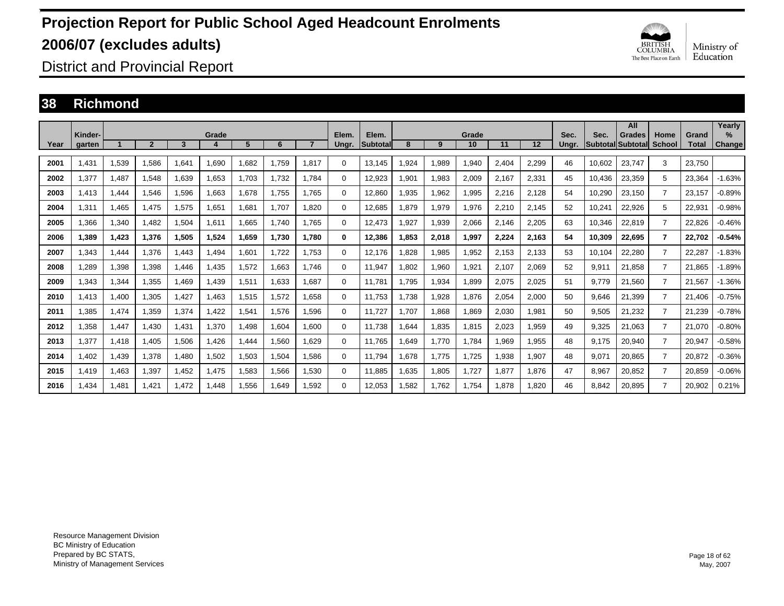

District and Provincial Report

### **38 Richmond**

|      | Kinder- |       |              |       | Grade |       |       |       | Elem.    | Elem.           |       |       | Grade |       |       | Sec.  | Sec.   | All<br><b>Grades</b>      | Home           | Grand        | Yearlv<br>$\%$ |
|------|---------|-------|--------------|-------|-------|-------|-------|-------|----------|-----------------|-------|-------|-------|-------|-------|-------|--------|---------------------------|----------------|--------------|----------------|
| Year | garten  |       | $\mathbf{2}$ | 3     |       | 5     | 6     |       | Ungr.    | <b>Subtotal</b> | 8     | 9     | 10    | 11    | 12    | Ungr. |        | <b>SubtotallSubtotall</b> | <b>School</b>  | <b>Total</b> | Change         |
| 2001 | 1.431   | 1,539 | 1.586        | 1,641 | 1,690 | 1,682 | 1.759 | 1.817 | $\Omega$ | 13,145          | .924  | 1,989 | 1,940 | 2,404 | 2,299 | 46    | 10,602 | 23,747                    | 3              | 23.750       |                |
| 2002 | 1.377   | 1,487 | 1.548        | 1.639 | 1,653 | 1.703 | 1.732 | 1.784 | 0        | 12,923          | 1,901 | 1,983 | 2,009 | 2.167 | 2,331 | 45    | 10.436 | 23,359                    | 5              | 23,364       | $-1.63%$       |
| 2003 | 1.413   | 1,444 | 1.546        | 1,596 | 1.663 | 1.678 | 1.755 | 1.765 | 0        | 12,860          | ,935  | 1,962 | 1,995 | 2,216 | 2,128 | 54    | 10,290 | 23,150                    | $\overline{7}$ | 23.157       | $-0.89%$       |
| 2004 | .311    | 1,465 | 1.475        | 1,575 | 1,651 | 1.681 | 1.707 | 1.820 | 0        | 12,685          | .879  | 1,979 | 1,976 | 2,210 | 2,145 | 52    | 10,241 | 22,926                    | 5              | 22,931       | $-0.98%$       |
| 2005 | .366    | 1,340 | 1,482        | 1,504 | 1,611 | 1.665 | 1.740 | 1.765 | 0        | 12,473          | ,927  | 1,939 | 2,066 | 2,146 | 2,205 | 63    | 10.346 | 22,819                    | $\overline{7}$ | 22,826       | $-0.46%$       |
| 2006 | 1.389   | 1,423 | 1.376        | 1,505 | 1,524 | 1.659 | 1.730 | 1.780 | 0        | 12,386          | .853  | 2,018 | 1,997 | 2.224 | 2,163 | 54    | 10,309 | 22,695                    | 7              | 22.702       | $-0.54%$       |
| 2007 | .343    | 1,444 | 1.376        | 1.443 | .494  | 1.601 | 1.722 | 1.753 | $\Omega$ | 12.176          | .828  | 1,985 | 1,952 | 2,153 | 2.133 | 53    | 10.104 | 22.280                    | $\overline{7}$ | 22.287       | $-1.83%$       |
| 2008 | ,289    | 1,398 | 1,398        | 1,446 | .435  | 1,572 | 1,663 | 1.746 | $\Omega$ | 11,947          | .802  | 1,960 | 1,921 | 2,107 | 2,069 | 52    | 9,911  | 21,858                    | $\overline{7}$ | 21,865       | $-1.89%$       |
| 2009 | .343    | 1,344 | 1,355        | 1.469 | .439  | 1,511 | 1,633 | 1.687 | $\Omega$ | 11,781          | 1.795 | 1,934 | 1,899 | 2,075 | 2,025 | 51    | 9.779  | 21,560                    | $\overline{7}$ | 21,567       | $-1.36%$       |
| 2010 | 1.413   | 1,400 | 1,305        | 1,427 | .463  | 1,515 | 1,572 | 1,658 | $\Omega$ | 11,753          | ,738  | 1,928 | 1,876 | 2,054 | 2,000 | 50    | 9,646  | 21,399                    | $\overline{7}$ | 21.406       | $-0.75%$       |
| 2011 | .385    | 1,474 | 1,359        | 1,374 | .422  | 1,541 | 1,576 | 1,596 | $\Omega$ | 11,727          | 1.707 | 1,868 | 1,869 | 2,030 | 1,981 | 50    | 9,505  | 21,232                    | $\overline{7}$ | 21,239       | $-0.78%$       |
| 2012 | .358    | 1,447 | 1,430        | 1,431 | 1,370 | 1,498 | 1,604 | 1,600 | 0        | 11,738          | .644  | 1,835 | 1,815 | 2,023 | 1,959 | 49    | 9,325  | 21,063                    | $\overline{7}$ | 21,070       | $-0.80%$       |
| 2013 | .377    | 1,418 | 1,405        | 1,506 | .426  | 1,444 | 1,560 | 1.629 | 0        | 11.765          | .649  | 1,770 | 1.784 | .969  | 1,955 | 48    | 9.175  | 20,940                    | $\overline{7}$ | 20,947       | $-0.58%$       |
| 2014 | .402    | 1,439 | 1.378        | 1.480 | 1,502 | 1,503 | 1,504 | 1.586 | 0        | 11.794          | 1.678 | 1,775 | 1,725 | 0.938 | 1,907 | 48    | 9,071  | 20,865                    | $\overline{7}$ | 20,872       | $-0.36%$       |
| 2015 | l.419   | 1,463 | 1,397        | 1.452 | 1.475 | 1,583 | 1,566 | 1,530 | 0        | 11.885          | .635  | 1,805 | 1.727 | .877  | 1.876 | 47    | 8,967  | 20,852                    | $\overline{7}$ | 20,859       | $-0.06%$       |
| 2016 | .434    | 1.481 | 1.421        | 1.472 | 1.448 | 1.556 | 1.649 | 1.592 | $\Omega$ | 12.053          | 1.582 | 1.762 | 1.754 | .878  | 1.820 | 46    | 8.842  | 20.895                    | 7              | 20.902       | 0.21%          |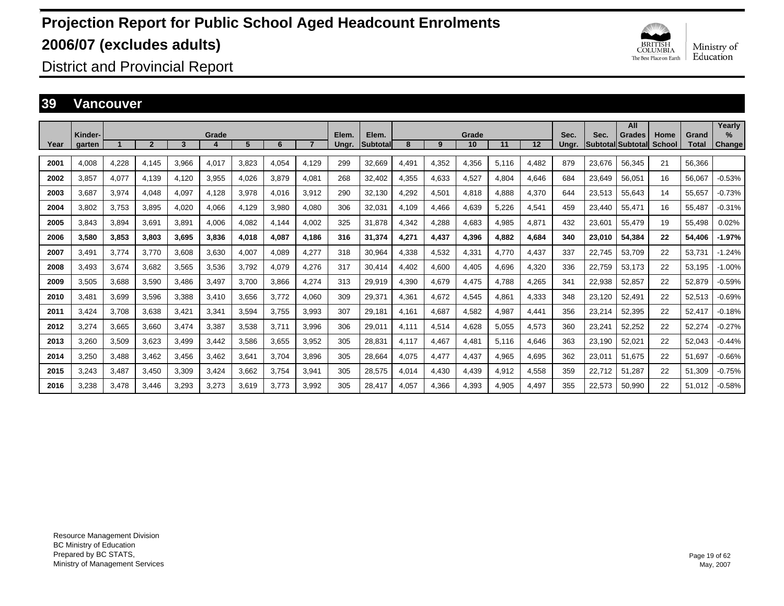

District and Provincial Report

### **39 Vancouver**

|      |                   |       |                |       |       |       |       |       |                |                   |       |       |             |       |       |               |        | All                                       |                       |                       | Yearly                         |
|------|-------------------|-------|----------------|-------|-------|-------|-------|-------|----------------|-------------------|-------|-------|-------------|-------|-------|---------------|--------|-------------------------------------------|-----------------------|-----------------------|--------------------------------|
| Year | Kinder-<br>garten |       | $\overline{2}$ | 3     | Grade | 5     | 6     |       | Elem.<br>Ungr. | Elem.<br>Subtotal | 8     | 9     | Grade<br>10 | 11    | 12    | Sec.<br>Ungr. | Sec.   | <b>Grades</b><br><b>Subtotal Subtotal</b> | Home<br><b>School</b> | Grand<br><b>Total</b> | $\frac{9}{6}$<br><b>Change</b> |
| 2001 | 4.008             | 4,228 | 4.145          | 3.966 | 4,017 | 3.823 | 4,054 | 4.129 | 299            | 32,669            | 4.491 | 4,352 | 4,356       | 5,116 | 4,482 | 879           | 23.676 | 56.345                                    | 21                    | 56.366                |                                |
| 2002 | 3.857             | 4,077 | 4.139          | 4.120 |       | 4,026 | 3.879 | 4.081 | 268            | 32.402            |       |       | 4,527       | 4.804 | 4,646 | 684           | 23.649 | 56.051                                    | 16                    | 56.067                | $-0.53%$                       |
|      |                   |       |                |       | 3,955 |       |       |       |                |                   | 4,355 | 4,633 |             |       |       |               |        |                                           |                       |                       |                                |
| 2003 | 3,687             | 3,974 | 4,048          | 4,097 | 4,128 | 3,978 | 4,016 | 3,912 | 290            | 32,130            | 4,292 | 4,501 | 4,818       | 4,888 | 4,370 | 644           | 23,513 | 55,643                                    | 14                    | 55,657                | $-0.73%$                       |
| 2004 | 3,802             | 3,753 | 3,895          | 4,020 | 4,066 | 4,129 | 3,980 | 4,080 | 306            | 32,031            | 4,109 | 4,466 | 4,639       | 5,226 | 4,541 | 459           | 23,440 | 55,471                                    | 16                    | 55,487                | $-0.31%$                       |
| 2005 | 3.843             | 3,894 | 3,691          | 3,891 | 4,006 | 4,082 | 4,144 | 4,002 | 325            | 31,878            | 4,342 | 4,288 | 4,683       | 4,985 | 4,871 | 432           | 23,601 | 55,479                                    | 19                    | 55,498                | 0.02%                          |
| 2006 | 3,580             | 3,853 | 3,803          | 3.695 | 3,836 | 4,018 | 4,087 | 4.186 | 316            | 31,374            | 4,271 | 4,437 | 4,396       | 4.882 | 4,684 | 340           | 23,010 | 54,384                                    | 22                    | 54,406                | $-1.97%$                       |
| 2007 | 3.491             | 3,774 | 3.770          | 3.608 | 3,630 | 4,007 | 4,089 | 4,277 | 318            | 30,964            | 4,338 | 4,532 | 4,331       | 4.770 | 4,437 | 337           | 22,745 | 53,709                                    | 22                    | 53,731                | $-1.24%$                       |
| 2008 | 3.493             | 3,674 | 3,682          | 3.565 | 3,536 | 3.792 | 4,079 | 4,276 | 317            | 30.414            | 4.402 | 4,600 | 4,405       | 4.696 | 4,320 | 336           | 22,759 | 53,173                                    | 22                    | 53,195                | $-1.00%$                       |
| 2009 | 3,505             | 3,688 | 3,590          | 3,486 | 3,497 | 3,700 | 3,866 | 4,274 | 313            | 29,919            | 4,390 | 4,679 | 4,475       | 4.788 | 4,265 | 341           | 22,938 | 52,857                                    | 22                    | 52,879                | $-0.59%$                       |
| 2010 | 3,481             | 3,699 | 3,596          | 3,388 | 3,410 | 3,656 | 3,772 | 4,060 | 309            | 29,371            | 4,361 | 4,672 | 4,545       | 4.861 | 4,333 | 348           | 23,120 | 52,491                                    | 22                    | 52,513                | $-0.69%$                       |
| 2011 | 3.424             | 3,708 | 3,638          | 3,421 | 3,341 | 3,594 | 3.755 | 3,993 | 307            | 29,181            | 4.161 | 4,687 | 4,582       | 4,987 | 4,441 | 356           | 23,214 | 52,395                                    | 22                    | 52,417                | $-0.18%$                       |
| 2012 | 3.274             | 3,665 | 3,660          | 3.474 | 3,387 | 3,538 | 3.711 | 3,996 | 306            | 29,011            | 4.111 | 4,514 | 4,628       | 5,055 | 4,573 | 360           | 23,241 | 52,252                                    | 22                    | 52,274                | $-0.27%$                       |
| 2013 | 3.260             | 3,509 | 3,623          | 3.499 | 3,442 | 3,586 | 3.655 | 3,952 | 305            | 28.831            | 4.117 | 4,467 | 4,481       | 5.116 | 4,646 | 363           | 23.190 | 52,021                                    | 22                    | 52,043                | $-0.44%$                       |
| 2014 | 3.250             | 3,488 | 3.462          | 3.456 | 3,462 | 3.641 | 3.704 | 3.896 | 305            | 28.664            | 4.075 | 4,477 | 4,437       | 4,965 | 4,695 | 362           | 23,011 | 51.675                                    | 22                    | 51.697                | $-0.66%$                       |
| 2015 | 3,243             | 3,487 | 3,450          | 3,309 | 3,424 | 3,662 | 3,754 | 3,941 | 305            | 28,575            | 4,014 | 4,430 | 4,439       | 4,912 | 4,558 | 359           | 22,712 | 51,287                                    | 22                    | 51,309                | $-0.75%$                       |
| 2016 | 3.238             | 3,478 | 3.446          | 3,293 | 3,273 | 3,619 | 3.773 | 3,992 | 305            | 28,417            | 4,057 | 4,366 | 4,393       | 4,905 | 4,497 | 355           | 22,573 | 50,990                                    | 22                    | 51,012                | $-0.58%$                       |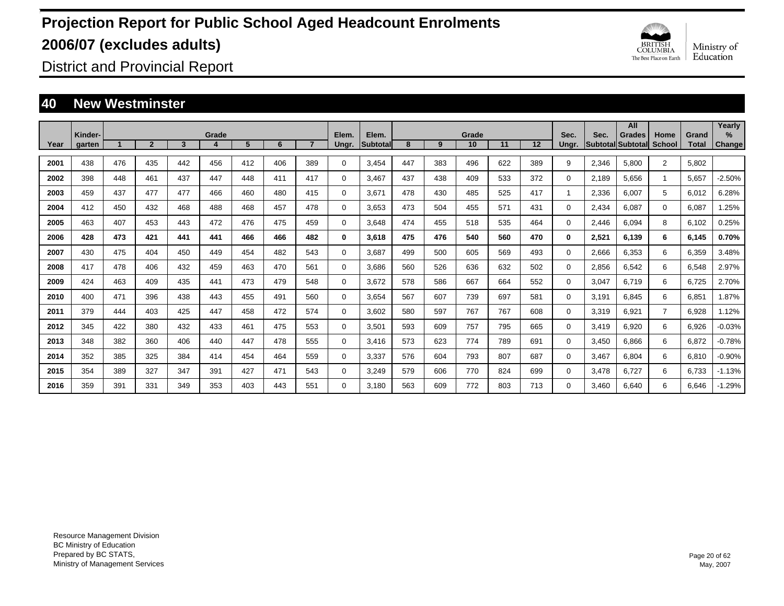

District and Provincial Report

### **40 New Westminster**

|      |                   |     |              |     |       |     |     |     |                |                          |     |     |             |     |     |               |       | All                                 |                       |                       | Yearly                |
|------|-------------------|-----|--------------|-----|-------|-----|-----|-----|----------------|--------------------------|-----|-----|-------------|-----|-----|---------------|-------|-------------------------------------|-----------------------|-----------------------|-----------------------|
| Year | Kinder-<br>garten |     | $\mathbf{2}$ | 3   | Grade | 5   | 6   |     | Elem.<br>Ungr. | Elem.<br><b>Subtotal</b> | 8   | 9   | Grade<br>10 | 11  | 12  | Sec.<br>Ungr. | Sec.  | <b>Grades</b><br>lSubtotallSubtotal | Home<br><b>School</b> | Grand<br><b>Total</b> | $\%$<br><b>Change</b> |
|      |                   |     |              |     |       |     |     |     |                |                          |     |     |             |     |     |               |       |                                     |                       |                       |                       |
| 2001 | 438               | 476 | 435          | 442 | 456   | 412 | 406 | 389 | $\Omega$       | 3,454                    | 447 | 383 | 496         | 622 | 389 | 9             | 2,346 | 5,800                               | $\overline{2}$        | 5,802                 |                       |
| 2002 | 398               | 448 | 461          | 437 | 447   | 448 | 411 | 417 | $\Omega$       | 3.467                    | 437 | 438 | 409         | 533 | 372 | $\Omega$      | 2,189 | 5.656                               | -1                    | 5,657                 | $-2.50%$              |
| 2003 | 459               | 437 | 477          | 477 | 466   | 460 | 480 | 415 | $\Omega$       | 3,671                    | 478 | 430 | 485         | 525 | 417 | $\mathbf{1}$  | 2,336 | 6,007                               | 5                     | 6,012                 | 6.28%                 |
| 2004 | 412               | 450 | 432          | 468 | 488   | 468 | 457 | 478 | $\Omega$       | 3,653                    | 473 | 504 | 455         | 571 | 431 | 0             | 2,434 | 6,087                               | 0                     | 6,087                 | .25%                  |
| 2005 | 463               | 407 | 453          | 443 | 472   | 476 | 475 | 459 | $\Omega$       | 3,648                    | 474 | 455 | 518         | 535 | 464 | $\Omega$      | 2,446 | 6,094                               | 8                     | 6,102                 | 0.25%                 |
| 2006 | 428               | 473 | 421          | 441 | 441   | 466 | 466 | 482 | 0              | 3,618                    | 475 | 476 | 540         | 560 | 470 | 0             | 2,521 | 6.139                               | 6                     | 6,145                 | 0.70%                 |
| 2007 | 430               | 475 | 404          | 450 | 449   | 454 | 482 | 543 | $\Omega$       | 3.687                    | 499 | 500 | 605         | 569 | 493 | $\Omega$      | 2,666 | 6,353                               | 6                     | 6,359                 | 3.48%                 |
| 2008 | 417               | 478 | 406          | 432 | 459   | 463 | 470 | 561 | $\Omega$       | 3.686                    | 560 | 526 | 636         | 632 | 502 | $\Omega$      | 2,856 | 6,542                               | 6                     | 6,548                 | 2.97%                 |
| 2009 | 424               | 463 | 409          | 435 | 441   | 473 | 479 | 548 | $\Omega$       | 3,672                    | 578 | 586 | 667         | 664 | 552 | $\Omega$      | 3,047 | 6.719                               | 6                     | 6,725                 | 2.70%                 |
| 2010 | 400               | 471 | 396          | 438 | 443   | 455 | 491 | 560 | $\Omega$       | 3.654                    | 567 | 607 | 739         | 697 | 581 | $\Omega$      | 3.191 | 6.845                               | 6                     | 6.851                 | 1.87%                 |
| 2011 | 379               | 444 | 403          | 425 | 447   | 458 | 472 | 574 | 0              | 3,602                    | 580 | 597 | 767         | 767 | 608 | 0             | 3,319 | 6,921                               | $\overline{7}$        | 6,928                 | 1.12%                 |
| 2012 | 345               | 422 | 380          | 432 | 433   | 461 | 475 | 553 | $\Omega$       | 3,501                    | 593 | 609 | 757         | 795 | 665 | $\Omega$      | 3,419 | 6,920                               | 6                     | 6,926                 | $-0.03%$              |
| 2013 | 348               | 382 | 360          | 406 | 440   | 447 | 478 | 555 | $\Omega$       | 3,416                    | 573 | 623 | 774         | 789 | 691 | $\Omega$      | 3,450 | 6,866                               | 6                     | 6,872                 | $-0.78%$              |
| 2014 | 352               | 385 | 325          | 384 | 414   | 454 | 464 | 559 | 0              | 3,337                    | 576 | 604 | 793         | 807 | 687 | $\Omega$      | 3,467 | 6.804                               | 6                     | 6,810                 | $-0.90%$              |
| 2015 | 354               | 389 | 327          | 347 | 391   | 427 | 471 | 543 | 0              | 3,249                    | 579 | 606 | 770         | 824 | 699 | 0             | 3,478 | 6.727                               | 6                     | 6,733                 | $-1.13%$              |
| 2016 | 359               | 391 | 331          | 349 | 353   | 403 | 443 | 551 | $\Omega$       | 3.180                    | 563 | 609 | 772         | 803 | 713 | $\Omega$      | 3.460 | 6.640                               | 6                     | 6.646                 | $-1.29%$              |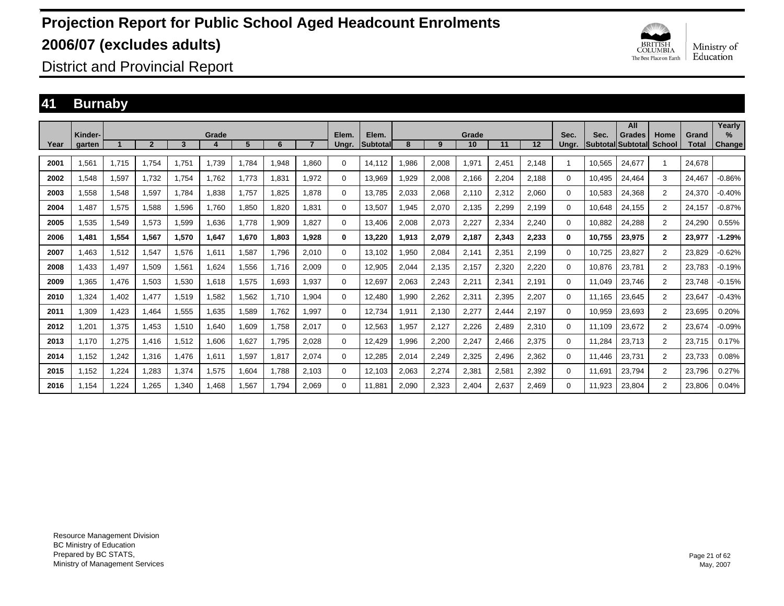

District and Provincial Report

### **41 Burnaby**

|      |                   |       |              |       |       |       |       |       |                |                          |        |       |             |       |       |               |        | All                                |                |                       | Yearly                |
|------|-------------------|-------|--------------|-------|-------|-------|-------|-------|----------------|--------------------------|--------|-------|-------------|-------|-------|---------------|--------|------------------------------------|----------------|-----------------------|-----------------------|
| Year | Kinder-<br>garten |       | $\mathbf{2}$ | 3     | Grade | 5     | 6     |       | Elem.<br>Ungr. | Elem.<br><b>Subtotal</b> | 8      | 9     | Grade<br>10 | 11    | 12    | Sec.<br>Ungr. | Sec.   | <b>Grades</b><br>Subtotal Subtotal | Home<br>School | Grand<br><b>Total</b> | $\%$<br><b>Change</b> |
| 2001 | 1,561             | 1,715 | 1,754        | 1.751 | 1.739 | ,784  | 1,948 | 1.860 | 0              | 14,112                   | .986   | 2,008 | 1,971       | 2,451 | 2,148 |               | 10,565 | 24,677                             | -1             | 24.678                |                       |
| 2002 | 1,548             | 1,597 | 1,732        | 1.754 | 1.762 | 1.773 | 1.831 | 1,972 | 0              | 13,969                   | 929.   | 2,008 | 2,166       | 2,204 | 2.188 | 0             | 10.495 | 24,464                             | 3              | 24.467                | $-0.86%$              |
|      |                   |       |              |       |       |       |       |       |                |                          |        |       |             |       |       |               |        |                                    |                |                       |                       |
| 2003 | 1.558             | 1,548 | 1.597        | 1.784 | 1.838 | 1.757 | 1.825 | 1.878 | 0              | 13.785                   | 2.033  | 2,068 | 2.110       | 2,312 | 2,060 | 0             | 10.583 | 24,368                             | $\overline{2}$ | 24.370                | $-0.40%$              |
| 2004 | 1,487             | 1,575 | 1,588        | 1,596 | 1.760 | 1,850 | 1.820 | 1,831 | 0              | 13,507                   | .945   | 2,070 | 2,135       | 2,299 | 2,199 | 0             | 10,648 | 24,155                             | $\overline{2}$ | 24,157                | $-0.87%$              |
| 2005 | 1,535             | 1,549 | 1,573        | 1,599 | 1,636 | 1.778 | 1,909 | 1.827 | 0              | 13,406                   | 2,008  | 2,073 | 2,227       | 2,334 | 2,240 | 0             | 10,882 | 24,288                             | $\overline{2}$ | 24,290                | 0.55%                 |
| 2006 | 1.481             | 1,554 | 1,567        | 1.570 | 1,647 | 1.670 | 1.803 | 1.928 | $\bf{0}$       | 13,220                   | 1,913  | 2,079 | 2,187       | 2,343 | 2,233 | 0             | 10,755 | 23.975                             | $\mathbf{2}$   | 23.977                | $-1.29%$              |
| 2007 | 1.463             | 1,512 | 1.547        | 1.576 | 1.611 | 1,587 | 1.796 | 2.010 | 0              | 13.102                   | .950   | 2,084 | 2.141       | 2,351 | 2,199 | $\Omega$      | 10.725 | 23,827                             | $\overline{2}$ | 23,829                | $-0.62%$              |
| 2008 | 1,433             | 1,497 | 1,509        | 1,561 | 1,624 | .556  | 1.716 | 2,009 | 0              | 12,905                   | 2,044  | 2,135 | 2,157       | 2,320 | 2,220 | 0             | 10,876 | 23,781                             | $\overline{2}$ | 23,783                | $-0.19%$              |
| 2009 | 1,365             | 1,476 | 1,503        | 1,530 | 1,618 | 1,575 | 1,693 | 1,937 | 0              | 12,697                   | 2,063  | 2,243 | 2,211       | 2,341 | 2,191 | 0             | 11,049 | 23,746                             | $\overline{2}$ | 23,748                | $-0.15%$              |
| 2010 | 1,324             | 1.402 | 1.477        | 1,519 | 1,582 | 1,562 | 1.710 | 1,904 | 0              | 12,480                   | 990,   | 2,262 | 2,311       | 2,395 | 2,207 | 0             | 11.165 | 23,645                             | $\overline{2}$ | 23,647                | $-0.43%$              |
| 2011 | 1,309             | 1,423 | 1,464        | 1,555 | 1,635 | 1,589 | 1,762 | 1,997 | $\Omega$       | 12,734                   | 911. ا | 2,130 | 2,277       | 2,444 | 2,197 | $\Omega$      | 10,959 | 23,693                             | $\overline{2}$ | 23,695                | 0.20%                 |
| 2012 | 1,201             | 1,375 | 1,453        | 1,510 | 1,640 | 1,609 | 1.758 | 2,017 | $\Omega$       | 12,563                   | ,957   | 2,127 | 2,226       | 2,489 | 2,310 | $\Omega$      | 11.109 | 23,672                             | 2              | 23,674                | $-0.09%$              |
| 2013 | 1.170             | 1,275 | 1.416        | 1,512 | 1,606 | 1.627 | 1.795 | 2,028 | 0              | 12,429                   | .996   | 2,200 | 2,247       | 2,466 | 2,375 | $\Omega$      | 11,284 | 23,713                             | $\overline{2}$ | 23,715                | 0.17%                 |
| 2014 | 1.152             | 1.242 | 1.316        | 1.476 | 1.611 | 1,597 | 1.817 | 2.074 | 0              | 12,285                   | 2,014  | 2,249 | 2,325       | 2,496 | 2,362 | $\Omega$      | 11.446 | 23,731                             | $\overline{2}$ | 23,733                | 0.08%                 |
| 2015 | 1,152             | 1,224 | 1,283        | 1,374 | 1,575 | 1,604 | 1,788 | 2,103 | $\Omega$       | 12,103                   | 2,063  | 2,274 | 2,381       | 2,581 | 2,392 | $\Omega$      | 11,691 | 23,794                             | $\overline{2}$ | 23,796                | 0.27%                 |
| 2016 | 1.154             | 1.224 | 1,265        | 1.340 | 1,468 | 1,567 | 1.794 | 2,069 | 0              | 11,881                   | 2,090  | 2,323 | 2,404       | 2,637 | 2,469 | $\Omega$      | 11,923 | 23,804                             | $\overline{2}$ | 23,806                | 0.04%                 |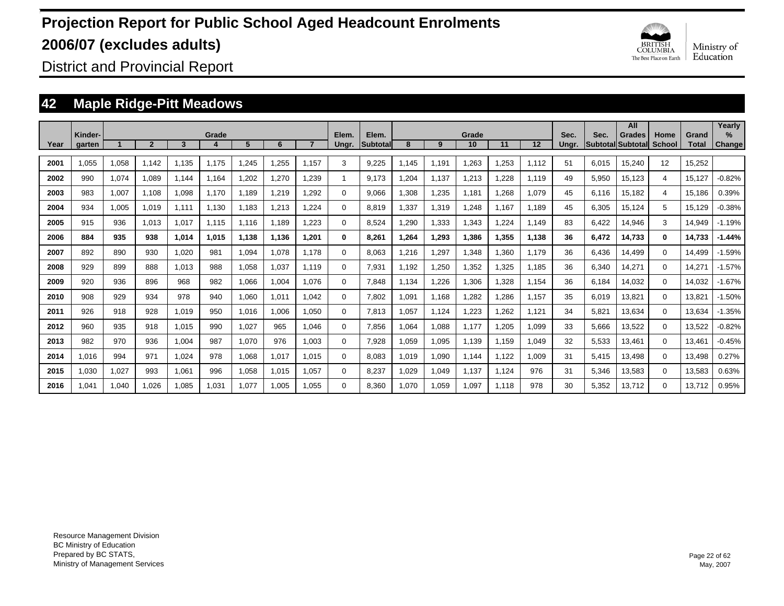

District and Provincial Report

### **42 Maple Ridge-Pitt Meadows**

| Year | Kinder-<br>garten |       | $\overline{2}$ | 3     | Grade<br>4 | 5     | 6     |       | Elem.<br>Ungr. | Elem.<br><b>Subtotal</b> | 8     | 9     | Grade<br>10 | 11    | 12    | Sec.<br>Unar. | Sec.  | All<br><b>Grades</b><br>Subtotal Subtotal | Home<br><b>School</b> | Grand<br><b>Total</b> | Yearly<br>$\%$<br><b>Change</b> |
|------|-------------------|-------|----------------|-------|------------|-------|-------|-------|----------------|--------------------------|-------|-------|-------------|-------|-------|---------------|-------|-------------------------------------------|-----------------------|-----------------------|---------------------------------|
| 2001 | 1,055             | 1,058 | 1.142          | 1.135 | 1.175      | 1,245 | 1,255 | 1.157 | 3              | 9,225                    | 1.145 | 1.191 | 1,263       | 1,253 | 1,112 | 51            | 6,015 | 15,240                                    | 12                    | 15,252                |                                 |
| 2002 | 990               | 1,074 | 1.089          | 1.144 | 1.164      | 1,202 | 1,270 | 1,239 |                | 9.173                    | .204  | 1.137 | 1.213       | 1,228 | 1.119 | 49            | 5,950 | 15,123                                    | 4                     | 15,127                | $-0.82%$                        |
| 2003 | 983               | 1,007 | 1.108          | 1,098 | 1.170      | 1,189 | 1,219 | ,292  | $\Omega$       | 9.066                    | 1.308 | 1,235 | 1.181       | 1,268 | 1.079 | 45            | 6.116 | 15,182                                    | 4                     | 15,186                | 0.39%                           |
| 2004 | 934               | 1,005 | 1.019          | 1.111 | 1.130      | 1,183 | 1,213 | ,224  | $\Omega$       | 8.819                    | 1.337 | 1,319 | 1,248       | 1.167 | 1.189 | 45            | 6,305 | 15,124                                    | 5                     | 15,129                | $-0.38%$                        |
| 2005 | 915               | 936   | 1.013          | 1.017 | 1.115      | 1.116 | 1.189 | .223  | 0              | 8.524                    | .290  | 1,333 | 1,343       | 1,224 | 1.149 | 83            | 6,422 | 14,946                                    | 3                     | 14,949                | $-1.19%$                        |
| 2006 | 884               | 935   | 938            | 1.014 | 1.015      | 1.138 | 1,136 | 1,201 | 0              | 8.261                    | 1.264 | 1,293 | 1,386       | 1,355 | 1.138 | 36            | 6,472 | 14,733                                    | $\bf{0}$              | 14,733                | $-1.44%$                        |
| 2007 | 892               | 890   | 930            | 1,020 | 981        | 1,094 | 1,078 | 1.178 | $\Omega$       | 8.063                    | 1.216 | 1,297 | 1.348       | 1,360 | 1.179 | 36            | 6,436 | 14.499                                    | $\Omega$              | 14,499                | $-1.59%$                        |
| 2008 | 929               | 899   | 888            | 1.013 | 988        | 1,058 | 1,037 | 1.119 | $\Omega$       | 7,931                    | 1.192 | 1,250 | 1,352       | 1,325 | 1.185 | 36            | 6,340 | 14,271                                    | $\Omega$              | 14.27'                | $-1.57%$                        |
| 2009 | 920               | 936   | 896            | 968   | 982        | 1,066 | 1,004 | 1.076 | $\Omega$       | 7.848                    | 1.134 | 1,226 | 1,306       | 1,328 | 1.154 | 36            | 6.184 | 14.032                                    | 0                     | 14,032                | $-1.67%$                        |
| 2010 | 908               | 929   | 934            | 978   | 940        | 1,060 | 1,011 | 1.042 | 0              | 7.802                    | 1.091 | 1.168 | 1,282       | 1,286 | 1.157 | 35            | 6,019 | 13,821                                    | 0                     | 13,821                | $-1.50%$                        |
| 2011 | 926               | 918   | 928            | 1.019 | 950        | 1,016 | 1,006 | 1.050 | 0              | 7,813                    | 1.057 | 1,124 | 1,223       | 1,262 | 1,121 | 34            | 5,821 | 13,634                                    | 0                     | 13,634                | $-1.35%$                        |
| 2012 | 960               | 935   | 918            | 1,015 | 990        | 1,027 | 965   | 1.046 | 0              | 7.856                    | 1.064 | 1,088 | 1.177       | 1,205 | 1.099 | 33            | 5,666 | 13,522                                    | 0                     | 13,522                | $-0.82%$                        |
| 2013 | 982               | 970   | 936            | 1,004 | 987        | 1,070 | 976   | 1.003 | 0              | 7.928                    | 1,059 | 1,095 | 1.139       | 1.159 | 1.049 | 32            | 5,533 | 13.461                                    | $\Omega$              | 13,461                | $-0.45%$                        |
| 2014 | 1.016             | 994   | 971            | 1,024 | 978        | 1,068 | 1,017 | 1.015 | $\Omega$       | 8.083                    | 1.019 | 1,090 | 1.144       | 1,122 | 1.009 | 31            | 5,415 | 13.498                                    | $\Omega$              | 13,498                | 0.27%                           |
| 2015 | 1,030             | 1,027 | 993            | 1.061 | 996        | 1,058 | 1,015 | 1.057 | $\Omega$       | 8.237                    | 1.029 | 1,049 | 1.137       | 1.124 | 976   | 31            | 5,346 | 13,583                                    | $\Omega$              | 13,583                | 0.63%                           |
| 2016 | 1.041             | 1.040 | 1.026          | 1.085 | 1.031      | 1.077 | 1.005 | 1.055 | $\Omega$       | 8.360                    | 1.070 | 1,059 | 1.097       | 1.118 | 978   | 30            | 5,352 | 13.712                                    | $\Omega$              | 13.712                | 0.95%                           |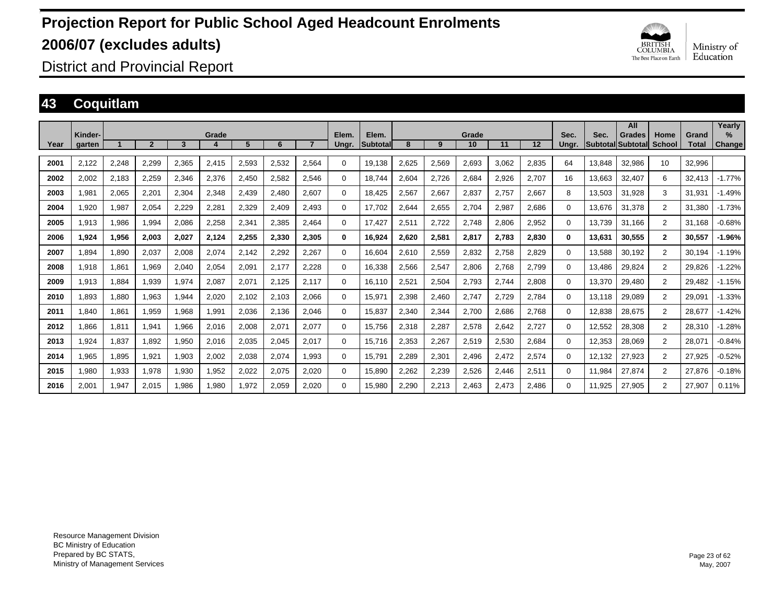

District and Provincial Report

### **43 Coquitlam**

|      | Kinder- |       |              |       | Grade |       |       |       | Elem.    | Elem.     |       |       | Grade |       |                   | Sec.  | Sec.   | All<br><b>Grades</b> | Home           | Grand        | Yearlv<br>$\%$ |
|------|---------|-------|--------------|-------|-------|-------|-------|-------|----------|-----------|-------|-------|-------|-------|-------------------|-------|--------|----------------------|----------------|--------------|----------------|
| Year | garten  |       | $\mathbf{2}$ | 3     |       | 5     | 6     |       | Ungr.    | lSubtotal | 8     | 9     | 10    | 11    | $12 \overline{ }$ | Ungr. |        | Subtotal Subtotal    | School         | <b>Total</b> | Change         |
| 2001 | 2,122   | 2,248 | 2,299        | 2,365 | 2,415 | 2,593 | 2,532 | 2,564 | 0        | 19,138    | 2.625 | 2,569 | 2,693 | 3.062 | 2,835             | 64    | 13,848 | 32,986               | 10             | 32,996       |                |
| 2002 | 2,002   | 2,183 | 2,259        | 2,346 | 2,376 | 2,450 | 2,582 | 2,546 | 0        | 18.744    | 2.604 | 2,726 | 2,684 | 2,926 | 2,707             | 16    | 13,663 | 32,407               | 6              | 32.413       | $-1.77%$       |
| 2003 | 1,981   | 2,065 | 2,201        | 2,304 | 2,348 | 2,439 | 2.480 | 2,607 | 0        | 18.425    | 2,567 | 2,667 | 2,837 | 2.757 | 2,667             | 8     | 13,503 | 31.928               | 3              | 31.931       | $-1.49%$       |
| 2004 | 1.920   | 1,987 | 2,054        | 2,229 | 2,281 | 2,329 | 2.409 | 2.493 | 0        | 17,702    | 2,644 | 2,655 | 2,704 | 2,987 | 2,686             | 0     | 13.676 | 31,378               | $\overline{2}$ | 31.380       | $-1.73%$       |
| 2005 | 1.913   | 1,986 | 1.994        | 2.086 | 2,258 | 2,341 | 2,385 | 2.464 | 0        | 17.427    | 2,511 | 2,722 | 2,748 | 2.806 | 2,952             | 0     | 13.739 | 31.166               | $\overline{2}$ | 31.168       | $-0.68%$       |
| 2006 | 1.924   | 1,956 | 2,003        | 2.027 | 2,124 | 2,255 | 2,330 | 2.305 | $\bf{0}$ | 16,924    | 2.620 | 2,581 | 2,817 | 2.783 | 2,830             | 0     | 13,631 | 30,555               | $\mathbf{2}$   | 30.557       | $-1.96%$       |
| 2007 | 1.894   | 1,890 | 2,037        | 2.008 | 2,074 | 2.142 | 2,292 | 2.267 | 0        | 16.604    | 2.610 | 2,559 | 2,832 | 2.758 | 2.829             | 0     | 13.588 | 30.192               | 2              | 30.194       | $-1.19%$       |
| 2008 | 1,918   | 1,861 | 1,969        | 2,040 | 2,054 | 2,091 | 2,177 | 2,228 | 0        | 16,338    | 2,566 | 2,547 | 2,806 | 2,768 | 2,799             | 0     | 13,486 | 29,824               | 2              | 29,826       | $-1.22%$       |
| 2009 | 1,913   | 1,884 | 1,939        | 1,974 | 2,087 | 2,071 | 2,125 | 2,117 | 0        | 16,110    | 2,521 | 2,504 | 2,793 | 2,744 | 2,808             | 0     | 13,370 | 29,480               | $\overline{2}$ | 29,482       | $-1.15%$       |
| 2010 | 1.893   | 1,880 | 1,963        | 1,944 | 2,020 | 2,102 | 2,103 | 2,066 | 0        | 15,971    | 2,398 | 2,460 | 2,747 | 2,729 | 2,784             | 0     | 13.118 | 29,089               | $\overline{2}$ | 29,091       | $-1.33%$       |
| 2011 | 1,840   | 1,861 | 1,959        | 1,968 | 1,991 | 2,036 | 2,136 | 2,046 | 0        | 15,837    | 2,340 | 2,344 | 2,700 | 2,686 | 2,768             | 0     | 12,838 | 28,675               | $\overline{2}$ | 28,677       | $-1.42%$       |
| 2012 | 1,866   | 1,811 | 1,941        | 1,966 | 2,016 | 2,008 | 2,071 | 2,077 | 0        | 15,756    | 2,318 | 2,287 | 2,578 | 2,642 | 2,727             | 0     | 12,552 | 28,308               | $\overline{2}$ | 28,310       | $-1.28%$       |
| 2013 | 1,924   | 1,837 | 1,892        | 1,950 | 2,016 | 2,035 | 2,045 | 2,017 | 0        | 15,716    | 2,353 | 2,267 | 2,519 | 2,530 | 2,684             | 0     | 12,353 | 28,069               | $\overline{2}$ | 28,071       | $-0.84%$       |
| 2014 | 1,965   | 1,895 | 1,921        | 1,903 | 2,002 | 2,038 | 2,074 | 1,993 | $\Omega$ | 15,791    | 2,289 | 2,301 | 2,496 | 2,472 | 2,574             | 0     | 12,132 | 27,923               | $\overline{2}$ | 27,925       | $-0.52%$       |
| 2015 | 1,980   | 1,933 | 1,978        | 1.930 | 1,952 | 2,022 | 2,075 | 2,020 | $\Omega$ | 15,890    | 2,262 | 2,239 | 2,526 | 2,446 | 2,511             | 0     | 11.984 | 27,874               | $\overline{2}$ | 27,876       | $-0.18%$       |
| 2016 | 2.001   | 1.947 | 2.015        | 1.986 | 1.980 | 1.972 | 2,059 | 2.020 | 0        | 15.980    | 2.290 | 2.213 | 2.463 | 2.473 | 2.486             | 0     | 11.925 | 27.905               | 2              | 27.907       | 0.11%          |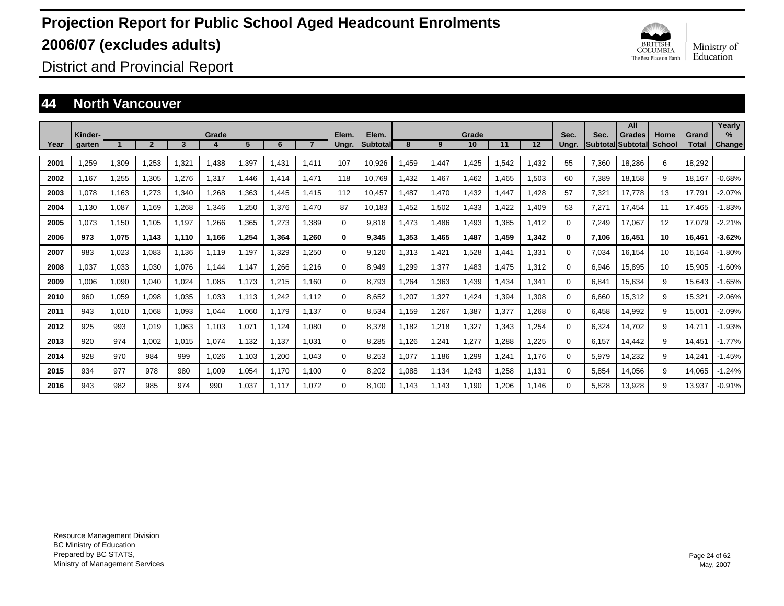

District and Provincial Report

#### **44 North Vancouver**

|      | Kinder- |       |                |       | Grade |       |       |       | Elem.    | Elem.           |       |       | Grade |               |       | Sec.     | Sec.  | All<br><b>Grades</b>     | Home          | Grand        | Yearly<br>$\%$ |
|------|---------|-------|----------------|-------|-------|-------|-------|-------|----------|-----------------|-------|-------|-------|---------------|-------|----------|-------|--------------------------|---------------|--------------|----------------|
| Year | garten  |       | $\overline{2}$ | 3     |       | 5     | 6     |       | Ungr.    | <b>Subtotal</b> | 8     | 9     | 10    | 11            | 12    | Unar.    |       | <b>Subtotal Subtotal</b> | <b>School</b> | <b>Total</b> | <b>Change</b>  |
| 2001 | ,259    | 1,309 | 1,253          | 1,321 | .438  | 1,397 | 1.431 | 1.411 | 107      | 10,926          | 1,459 | 1,447 | 1,425 | .542          | 1,432 | 55       | 7,360 | 18.286                   | 6             | 18.292       |                |
| 2002 | 1.167   | 1,255 | 1,305          | 1.276 | 1,317 | 1.446 | 1.414 | 1.471 | 118      | 10.769          | 1,432 | 1,467 | 1.462 | .465          | 1,503 | 60       | 7,389 | 18,158                   | 9             | 18,167       | $-0.68%$       |
| 2003 | 1.078   | 1,163 | 1.273          | 1,340 | .268  | 1,363 | 1.445 | 1.415 | 112      | 10.457          | .487  | 1,470 | 1,432 | .447          | 1,428 | 57       | 7,321 | 17.778                   | 13            | 17.791       | $-2.07%$       |
| 2004 | 1.130   | 1,087 | 1.169          | 1,268 | 1,346 | .250  | 1,376 | 1.470 | 87       | 10.183          | .452  | 1,502 | 1,433 | .422          | 1,409 | 53       | 7.271 | 17.454                   | 11            | 17.465       | $-1.83%$       |
| 2005 | 1.073   | 1.150 | 1,105          | 1.197 | 1,266 | 1,365 | 1.273 | 1.389 | 0        | 9.818           | 1.473 | 1.486 | 1.493 | .385          | 1,412 | $\Omega$ | 7.249 | 17,067                   | 12            | 17,079       | $-2.21%$       |
| 2006 | 973     | 1,075 | 1.143          | 1.110 | 1.166 | 1,254 | 1.364 | 1.260 | 0        | 9,345           | 1.353 | 1,465 | 1.487 | 1.459         | 1.342 | 0        | 7.106 | 16.451                   | 10            | 16,461       | $-3.62%$       |
| 2007 | 983     | 1,023 | 1.083          | 1.136 | 1.119 | 1.197 | 1.329 | 1,250 | 0        | 9.120           | 1,313 | 1.421 | 1,528 | .441          | 1,331 | $\Omega$ | 7.034 | 16.154                   | 10            | 16.164       | $-1.80%$       |
| 2008 | 1.037   | 1,033 | 1,030          | 1.076 | 1.144 | 1.147 | 1.266 | 1.216 | 0        | 8.949           | .299  | 1,377 | 1.483 | .475          | 1,312 | $\Omega$ | 6,946 | 15,895                   | 10            | 15,905       | $-1.60%$       |
| 2009 | 1.006   | 1,090 | 1.040          | 1.024 | 1.085 | 1.173 | 1.215 | 1.160 | 0        | 8.793           | .264  | 1,363 | 1,439 | .434          | 1,341 | $\Omega$ | 6.841 | 15,634                   | 9             | 15,643       | $-1.65%$       |
| 2010 | 960     | 1,059 | 1,098          | 1,035 | 1,033 | 1.113 | 1.242 | 1.112 | 0        | 8,652           | .207  | 1,327 | 1,424 | .394          | 1,308 | $\Omega$ | 6,660 | 15,312                   | 9             | 15,321       | $-2.06%$       |
| 2011 | 943     | 1,010 | 1,068          | 1,093 | 1,044 | 1.060 | 1.179 | 1.137 | 0        | 8,534           | 1,159 | 1,267 | 1,387 | .377          | 1,268 | $\Omega$ | 6.458 | 14,992                   | 9             | 15,001       | $-2.09%$       |
| 2012 | 925     | 993   | 1.019          | 1,063 | 1.103 | 1.07' | 1,124 | 1.080 | 0        | 8.378           | 1.182 | 1,218 | 1,327 | ,343          | 1,254 | 0        | 6,324 | 14,702                   | 9             | 14.71'       | $-1.93%$       |
| 2013 | 920     | 974   | 1.002          | 1,015 | 1,074 | 1.132 | 1.137 | 1,031 | 0        | 8.285           | 1.126 | 1,241 | 1,277 | ,288          | 1,225 | 0        | 6.157 | 14.442                   | 9             | 14.451       | $-1.77%$       |
| 2014 | 928     | 970   | 984            | 999   | 1.026 | 1.103 | 1.200 | 1.043 | 0        | 8.253           | 1.077 | 1.186 | 1,299 | $.24^{\circ}$ | 1,176 | $\Omega$ | 5,979 | 14,232                   | 9             | 14,241       | $-1.45%$       |
| 2015 | 934     | 977   | 978            | 980   | 1.009 | 1.054 | 1.170 | 1.100 | $\Omega$ | 8.202           | 1.088 | 1.134 | 1,243 | .258          | 1.131 | 0        | 5.854 | 14,056                   | 9             | 14.065       | $-1.24%$       |
| 2016 | 943     | 982   | 985            | 974   | 990   | 1.037 | 1,117 | 1.072 | $\Omega$ | 8.100           | 1,143 | 1.143 | 1.190 | .206          | 1.146 | $\Omega$ | 5.828 | 13.928                   | 9             | 13.937       | $-0.91%$       |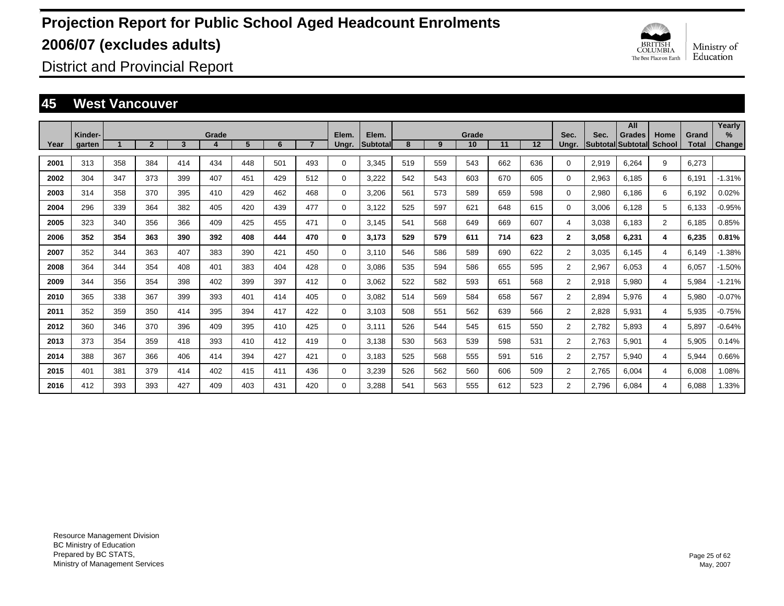

District and Provincial Report

#### **45 West Vancouver**

|      |                   |     |                |     |       |     |     |     |                |                   |     |     |             |     |     |                |       | All                          |                |                       | Yearly         |
|------|-------------------|-----|----------------|-----|-------|-----|-----|-----|----------------|-------------------|-----|-----|-------------|-----|-----|----------------|-------|------------------------------|----------------|-----------------------|----------------|
| Year | Kinder-<br>garten |     | $\overline{2}$ | 3   | Grade | 5   | 6   |     | Elem.<br>Ungr. | Elem.<br>Subtotal | 8   | 9   | Grade<br>10 | 11  | 12  | Sec.<br>Ungr.  | Sec.  | Grades<br> Subtotal Subtotal | Home<br>School | Grand<br><b>Total</b> | $\%$<br>Change |
|      |                   |     |                |     |       |     |     |     |                |                   |     |     |             |     |     |                |       |                              |                |                       |                |
| 2001 | 313               | 358 | 384            | 414 | 434   | 448 | 501 | 493 | $\Omega$       | 3,345             | 519 | 559 | 543         | 662 | 636 | $\Omega$       | 2,919 | 6,264                        | 9              | 6,273                 |                |
| 2002 | 304               | 347 | 373            | 399 | 407   | 451 | 429 | 512 | $\Omega$       | 3,222             | 542 | 543 | 603         | 670 | 605 | $\Omega$       | 2,963 | 6.185                        | 6              | 6,191                 | $-1.31%$       |
| 2003 | 314               | 358 | 370            | 395 | 410   | 429 | 462 | 468 | $\mathbf 0$    | 3.206             | 561 | 573 | 589         | 659 | 598 | 0              | 2,980 | 6.186                        | 6              | 6,192                 | 0.02%          |
| 2004 | 296               | 339 | 364            | 382 | 405   | 420 | 439 | 477 | 0              | 3.122             | 525 | 597 | 621         | 648 | 615 | 0              | 3,006 | 6.128                        | 5              | 6,133                 | $-0.95%$       |
| 2005 | 323               | 340 | 356            | 366 | 409   | 425 | 455 | 471 | 0              | 3.145             | 541 | 568 | 649         | 669 | 607 | 4              | 3,038 | 6.183                        | $\overline{2}$ | 6,185                 | 0.85%          |
| 2006 | 352               | 354 | 363            | 390 | 392   | 408 | 444 | 470 | 0              | 3.173             | 529 | 579 | 611         | 714 | 623 | $\mathbf{2}$   | 3,058 | 6,231                        | 4              | 6,235                 | 0.81%          |
| 2007 | 352               | 344 | 363            | 407 | 383   | 390 | 421 | 450 | 0              | 3.110             | 546 | 586 | 589         | 690 | 622 | $\overline{2}$ | 3,035 | 6.145                        | 4              | 6,149                 | $-1.38%$       |
| 2008 | 364               | 344 | 354            | 408 | 401   | 383 | 404 | 428 | 0              | 3.086             | 535 | 594 | 586         | 655 | 595 | $\overline{2}$ | 2,967 | 6.053                        | 4              | 6,057                 | $-1.50%$       |
| 2009 | 344               | 356 | 354            | 398 | 402   | 399 | 397 | 412 | 0              | 3,062             | 522 | 582 | 593         | 651 | 568 | $\overline{2}$ | 2,918 | 5,980                        | 4              | 5,984                 | $-1.21%$       |
| 2010 | 365               | 338 | 367            | 399 | 393   | 401 | 414 | 405 | $\Omega$       | 3,082             | 514 | 569 | 584         | 658 | 567 | $\overline{2}$ | 2,894 | 5,976                        | 4              | 5,980                 | $-0.07%$       |
| 2011 | 352               | 359 | 350            | 414 | 395   | 394 | 417 | 422 | 0              | 3,103             | 508 | 551 | 562         | 639 | 566 | $\overline{2}$ | 2,828 | 5,931                        | 4              | 5,935                 | $-0.75%$       |
| 2012 | 360               | 346 | 370            | 396 | 409   | 395 | 410 | 425 | 0              | 3,111             | 526 | 544 | 545         | 615 | 550 | $\overline{2}$ | 2,782 | 5,893                        | 4              | 5,897                 | $-0.64%$       |
| 2013 | 373               | 354 | 359            | 418 | 393   | 410 | 412 | 419 | 0              | 3,138             | 530 | 563 | 539         | 598 | 531 | $\overline{2}$ | 2,763 | 5,901                        | 4              | 5,905                 | 0.14%          |
| 2014 | 388               | 367 | 366            | 406 | 414   | 394 | 427 | 421 | $\Omega$       | 3,183             | 525 | 568 | 555         | 591 | 516 | $\overline{2}$ | 2,757 | 5,940                        | 4              | 5,944                 | 0.66%          |
| 2015 | 401               | 381 | 379            | 414 | 402   | 415 | 411 | 436 | 0              | 3,239             | 526 | 562 | 560         | 606 | 509 | $\overline{2}$ | 2,765 | 6.004                        | 4              | 6,008                 | 1.08%          |
| 2016 | 412               | 393 | 393            | 427 | 409   | 403 | 431 | 420 | $\Omega$       | 3.288             | 541 | 563 | 555         | 612 | 523 | $\overline{2}$ | 2.796 | 6.084                        | 4              | 6.088                 | 1.33%          |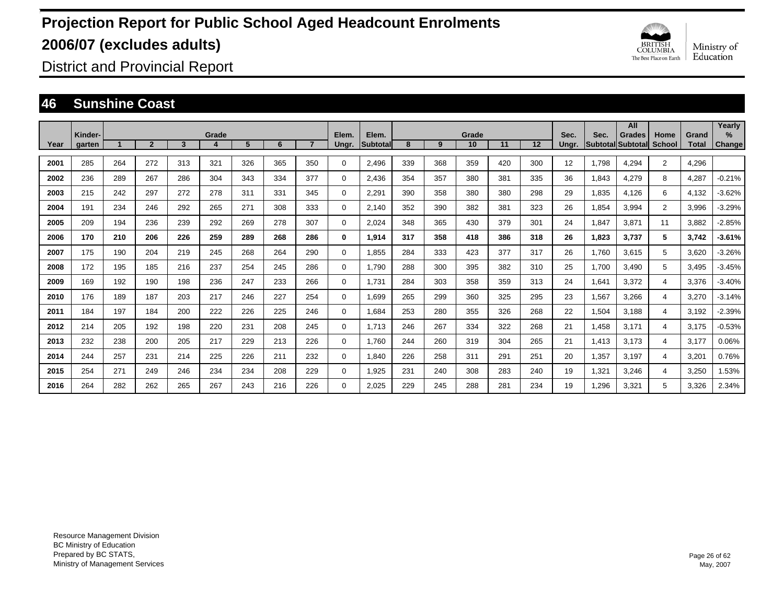

District and Provincial Report

### **46 Sunshine Coast**

|      |                   |     |                |     |            |     |     |     |                |                          |     |     | Grade |     |     | Sec.  |       | All                         |                       |                       | Yearly                  |
|------|-------------------|-----|----------------|-----|------------|-----|-----|-----|----------------|--------------------------|-----|-----|-------|-----|-----|-------|-------|-----------------------------|-----------------------|-----------------------|-------------------------|
| Year | Kinder-<br>garten |     | $\overline{2}$ | 3   | Grade<br>4 | 5   | 6   |     | Elem.<br>Ungr. | Elem.<br><b>Subtotal</b> | 8   | 9   | 10    | 11  | 12  | Ungr. | Sec.  | Grades<br>Subtotal Subtotal | Home<br><b>School</b> | Grand<br><b>Total</b> | $\frac{9}{6}$<br>Change |
| 2001 | 285               | 264 | 272            | 313 | 321        | 326 | 365 | 350 | $\Omega$       | 2,496                    | 339 | 368 | 359   | 420 | 300 | 12    | 1,798 | 4,294                       | $\overline{2}$        | 4,296                 |                         |
| 2002 | 236               | 289 | 267            | 286 | 304        | 343 | 334 | 377 | 0              | 2.436                    | 354 | 357 | 380   | 381 | 335 | 36    | 1,843 | 4,279                       | 8                     | 4,287                 | $-0.21%$                |
| 2003 | 215               | 242 | 297            | 272 | 278        | 311 | 331 | 345 | 0              | 2,291                    | 390 | 358 | 380   | 380 | 298 | 29    | 1,835 | 4,126                       | 6                     | 4,132                 | $-3.62%$                |
| 2004 | 191               | 234 | 246            | 292 | 265        | 271 | 308 | 333 | 0              | 2.140                    | 352 | 390 | 382   | 381 | 323 | 26    | 1,854 | 3,994                       | $\overline{2}$        | 3,996                 | $-3.29%$                |
| 2005 | 209               | 194 | 236            | 239 | 292        | 269 | 278 | 307 | 0              | 2.024                    | 348 | 365 | 430   | 379 | 301 | 24    | 1,847 | 3,871                       | 11                    | 3,882                 | $-2.85%$                |
| 2006 | 170               | 210 | 206            | 226 | 259        | 289 | 268 | 286 | 0              | 1,914                    | 317 | 358 | 418   | 386 | 318 | 26    | 1,823 | 3,737                       | 5                     | 3,742                 | $-3.61%$                |
| 2007 | 175               | 190 | 204            | 219 | 245        | 268 | 264 | 290 | 0              | 1.855                    | 284 | 333 | 423   | 377 | 317 | 26    | 1.760 | 3,615                       | 5                     | 3,620                 | $-3.26%$                |
| 2008 | 172               | 195 | 185            | 216 | 237        | 254 | 245 | 286 | 0              | 1,790                    | 288 | 300 | 395   | 382 | 310 | 25    | 1,700 | 3,490                       | 5                     | 3,495                 | $-3.45%$                |
| 2009 | 169               | 192 | 190            | 198 | 236        | 247 | 233 | 266 | 0              | 1,731                    | 284 | 303 | 358   | 359 | 313 | 24    | 1,641 | 3,372                       | 4                     | 3,376                 | $-3.40%$                |
| 2010 | 176               | 189 | 187            | 203 | 217        | 246 | 227 | 254 | 0              | 1,699                    | 265 | 299 | 360   | 325 | 295 | 23    | 1,567 | 3,266                       | 4                     | 3,270                 | $-3.14%$                |
| 2011 | 184               | 197 | 184            | 200 | 222        | 226 | 225 | 246 | $\Omega$       | 1,684                    | 253 | 280 | 355   | 326 | 268 | 22    | 1,504 | 3,188                       | 4                     | 3,192                 | $-2.39%$                |
| 2012 | 214               | 205 | 192            | 198 | 220        | 231 | 208 | 245 | 0              | 1.713                    | 246 | 267 | 334   | 322 | 268 | 21    | 1,458 | 3,171                       | 4                     | 3,175                 | $-0.53%$                |
| 2013 | 232               | 238 | 200            | 205 | 217        | 229 | 213 | 226 | 0              | 1.760                    | 244 | 260 | 319   | 304 | 265 | 21    | 1,413 | 3,173                       | 4                     | 3,177                 | 0.06%                   |
| 2014 | 244               | 257 | 231            | 214 | 225        | 226 | 211 | 232 | 0              | 1.840                    | 226 | 258 | 311   | 291 | 251 | 20    | 1,357 | 3.197                       | 4                     | 3,201                 | 0.76%                   |
| 2015 | 254               | 271 | 249            | 246 | 234        | 234 | 208 | 229 | 0              | 1,925                    | 231 | 240 | 308   | 283 | 240 | 19    | 1,321 | 3,246                       | 4                     | 3,250                 | 1.53%                   |
| 2016 | 264               | 282 | 262            | 265 | 267        | 243 | 216 | 226 | $\Omega$       | 2.025                    | 229 | 245 | 288   | 281 | 234 | 19    | 1.296 | 3,321                       | 5                     | 3.326                 | 2.34%                   |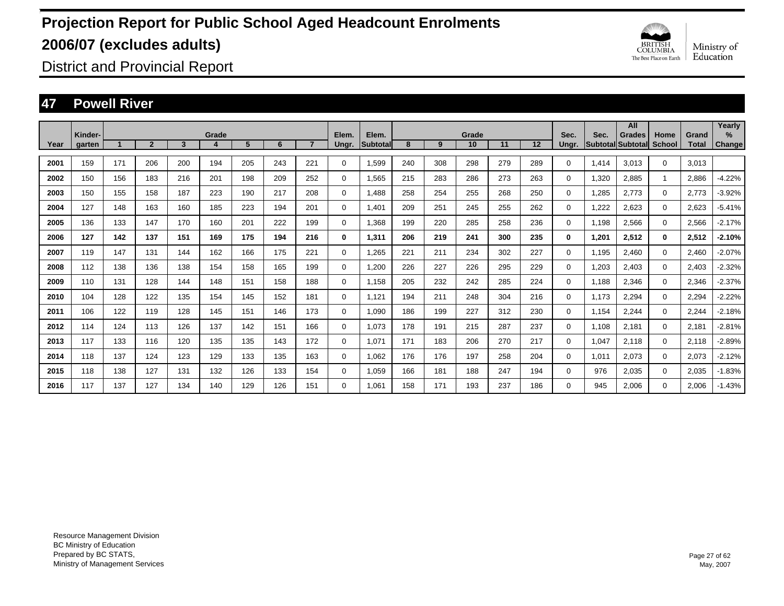

District and Provincial Report

### **47 Powell River**

|      | Kinder- |     |                |     | Grade |     |     |                | Elem.    | Elem.    |     |     | Grade |     |     | Sec.        | Sec.  | All<br><b>Grades</b>     | Home        | Grand        | Yearly<br>$\%$ |
|------|---------|-----|----------------|-----|-------|-----|-----|----------------|----------|----------|-----|-----|-------|-----|-----|-------------|-------|--------------------------|-------------|--------------|----------------|
| Year | garten  |     | $\overline{2}$ | 3   | 4     | 5   | 6   | $\overline{7}$ | Ungr.    | Subtotal | 8   | 9   | 10    | 11  | 12  | Ungr.       |       | <b>Subtotal Subtotal</b> | School      | <b>Total</b> | Change         |
| 2001 | 159     | 171 | 206            | 200 | 194   | 205 | 243 | 221            | 0        | 1,599    | 240 | 308 | 298   | 279 | 289 | $\Omega$    | 1,414 | 3.013                    | $\Omega$    | 3,013        |                |
| 2002 | 150     | 156 | 183            | 216 | 201   | 198 | 209 | 252            | 0        | 1,565    | 215 | 283 | 286   | 273 | 263 | 0           | 1,320 | 2,885                    | 1           | 2,886        | $-4.22%$       |
| 2003 | 150     | 155 | 158            | 187 | 223   | 190 | 217 | 208            | 0        | 1,488    | 258 | 254 | 255   | 268 | 250 | 0           | 1,285 | 2,773                    | $\mathbf 0$ | 2,773        | $-3.92%$       |
| 2004 | 127     | 148 | 163            | 160 | 185   | 223 | 194 | 201            | 0        | 1.401    | 209 | 251 | 245   | 255 | 262 | 0           | 1,222 | 2,623                    | $\mathbf 0$ | 2,623        | $-5.41%$       |
| 2005 | 136     | 133 | 147            | 170 | 160   | 201 | 222 | 199            | 0        | 1.368    | 199 | 220 | 285   | 258 | 236 | $\mathbf 0$ | 1,198 | 2,566                    | $\mathbf 0$ | 2,566        | $-2.17%$       |
| 2006 | 127     | 142 | 137            | 151 | 169   | 175 | 194 | 216            | 0        | 1,311    | 206 | 219 | 241   | 300 | 235 | $\bf{0}$    | 1,201 | 2,512                    | 0           | 2,512        | $-2.10%$       |
| 2007 | 119     | 147 | 131            | 144 | 162   | 166 | 175 | 221            | 0        | 1,265    | 221 | 211 | 234   | 302 | 227 | $\mathbf 0$ | 1,195 | 2,460                    | $\Omega$    | 2,460        | $-2.07%$       |
| 2008 | 112     | 138 | 136            | 138 | 154   | 158 | 165 | 199            | 0        | 1,200    | 226 | 227 | 226   | 295 | 229 | 0           | 1,203 | 2,403                    | $\mathbf 0$ | 2,403        | $-2.32%$       |
| 2009 | 110     | 131 | 128            | 144 | 148   | 151 | 158 | 188            | 0        | 1,158    | 205 | 232 | 242   | 285 | 224 | 0           | 1,188 | 2,346                    | $\mathbf 0$ | 2,346        | $-2.37%$       |
| 2010 | 104     | 128 | 122            | 135 | 154   | 145 | 152 | 181            | 0        | 1,121    | 194 | 211 | 248   | 304 | 216 | 0           | 1,173 | 2,294                    | $\mathbf 0$ | 2,294        | $-2.22%$       |
| 2011 | 106     | 122 | 119            | 128 | 145   | 151 | 146 | 173            | 0        | 1,090    | 186 | 199 | 227   | 312 | 230 | 0           | 1,154 | 2,244                    | $\mathbf 0$ | 2,244        | $-2.18%$       |
| 2012 | 114     | 124 | 113            | 126 | 137   | 142 | 151 | 166            | 0        | 1.073    | 178 | 191 | 215   | 287 | 237 | 0           | 1,108 | 2,181                    | $\mathbf 0$ | 2,181        | $-2.81%$       |
| 2013 | 117     | 133 | 116            | 120 | 135   | 135 | 143 | 172            | 0        | 1.071    | 171 | 183 | 206   | 270 | 217 | 0           | 1,047 | 2,118                    | $\mathbf 0$ | 2,118        | $-2.89%$       |
| 2014 | 118     | 137 | 124            | 123 | 129   | 133 | 135 | 163            | 0        | 1.062    | 176 | 176 | 197   | 258 | 204 | 0           | 1,011 | 2,073                    | $\mathbf 0$ | 2,073        | $-2.12%$       |
| 2015 | 118     | 138 | 127            | 131 | 132   | 126 | 133 | 154            | 0        | 1.059    | 166 | 181 | 188   | 247 | 194 | 0           | 976   | 2,035                    | $\mathbf 0$ | 2,035        | $-1.83%$       |
| 2016 | 117     | 137 | 127            | 134 | 140   | 129 | 126 | 151            | $\Omega$ | 1.061    | 158 | 171 | 193   | 237 | 186 | $\Omega$    | 945   | 2.006                    | $\Omega$    | 2.006        | $-1.43%$       |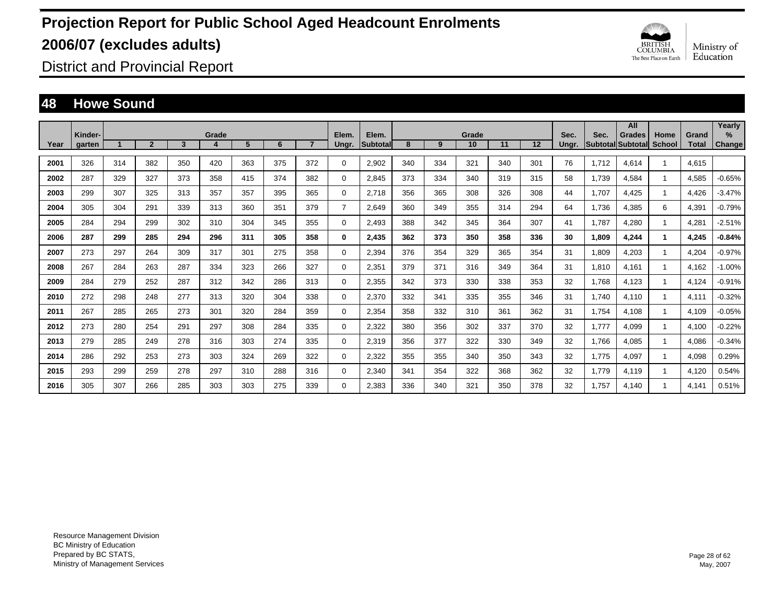

District and Provincial Report

### **48 Howe Sound**

|      |                   |     |                |     |       |     |     |                |                |                   |     |     |             |     |     |               |       | All                                       |                |                       | Yearly                  |
|------|-------------------|-----|----------------|-----|-------|-----|-----|----------------|----------------|-------------------|-----|-----|-------------|-----|-----|---------------|-------|-------------------------------------------|----------------|-----------------------|-------------------------|
| Year | Kinder-<br>garten |     | $\overline{2}$ | 3   | Grade | 5   | 6   | $\overline{7}$ | Elem.<br>Ungr. | Elem.<br>Subtotal | 8   | 9   | Grade<br>10 | 11  | 12  | Sec.<br>Ungr. | Sec.  | <b>Grades</b><br><b>Subtotal Subtotal</b> | Home<br>School | Grand<br><b>Total</b> | $\frac{9}{6}$<br>Change |
|      |                   |     |                |     |       |     |     |                |                |                   |     |     |             |     |     |               |       |                                           |                |                       |                         |
| 2001 | 326               | 314 | 382            | 350 | 420   | 363 | 375 | 372            | 0              | 2,902             | 340 | 334 | 321         | 340 | 301 | 76            | 1.712 | 4,614                                     |                | 4,615                 |                         |
| 2002 | 287               | 329 | 327            | 373 | 358   | 415 | 374 | 382            | 0              | 2,845             | 373 | 334 | 340         | 319 | 315 | 58            | 1,739 | 4,584                                     |                | 4,585                 | $-0.65%$                |
| 2003 | 299               | 307 | 325            | 313 | 357   | 357 | 395 | 365            | 0              | 2,718             | 356 | 365 | 308         | 326 | 308 | 44            | 1,707 | 4,425                                     |                | 4,426                 | $-3.47%$                |
| 2004 | 305               | 304 | 291            | 339 | 313   | 360 | 351 | 379            | $\overline{7}$ | 2,649             | 360 | 349 | 355         | 314 | 294 | 64            | 1,736 | 4,385                                     | 6              | 4,391                 | $-0.79%$                |
| 2005 | 284               | 294 | 299            | 302 | 310   | 304 | 345 | 355            | 0              | 2,493             | 388 | 342 | 345         | 364 | 307 | 41            | 1,787 | 4,280                                     |                | 4,281                 | $-2.51%$                |
| 2006 | 287               | 299 | 285            | 294 | 296   | 311 | 305 | 358            | 0              | 2,435             | 362 | 373 | 350         | 358 | 336 | 30            | 1,809 | 4,244                                     |                | 4,245                 | $-0.84%$                |
| 2007 | 273               | 297 | 264            | 309 | 317   | 301 | 275 | 358            | 0              | 2,394             | 376 | 354 | 329         | 365 | 354 | 31            | 1,809 | 4,203                                     |                | 4,204                 | $-0.97%$                |
| 2008 | 267               | 284 | 263            | 287 | 334   | 323 | 266 | 327            | 0              | 2,351             | 379 | 371 | 316         | 349 | 364 | 31            | 1,810 | 4.161                                     |                | 4,162                 | $-1.00%$                |
| 2009 | 284               | 279 | 252            | 287 | 312   | 342 | 286 | 313            | 0              | 2,355             | 342 | 373 | 330         | 338 | 353 | 32            | 1.768 | 4,123                                     |                | 4,124                 | $-0.91%$                |
| 2010 | 272               | 298 | 248            | 277 | 313   | 320 | 304 | 338            | 0              | 2,370             | 332 | 341 | 335         | 355 | 346 | 31            | 1.740 | 4,110                                     |                | 4,111                 | $-0.32%$                |
| 2011 | 267               | 285 | 265            | 273 | 301   | 320 | 284 | 359            | 0              | 2,354             | 358 | 332 | 310         | 361 | 362 | 31            | 1,754 | 4,108                                     |                | 4,109                 | $-0.05%$                |
| 2012 | 273               | 280 | 254            | 291 | 297   | 308 | 284 | 335            | 0              | 2,322             | 380 | 356 | 302         | 337 | 370 | 32            | 1,777 | 4,099                                     |                | 4,100                 | $-0.22%$                |
| 2013 | 279               | 285 | 249            | 278 | 316   | 303 | 274 | 335            | 0              | 2,319             | 356 | 377 | 322         | 330 | 349 | 32            | 1,766 | 4,085                                     |                | 4,086                 | $-0.34%$                |
| 2014 | 286               | 292 | 253            | 273 | 303   | 324 | 269 | 322            | 0              | 2,322             | 355 | 355 | 340         | 350 | 343 | 32            | 1,775 | 4,097                                     |                | 4,098                 | 0.29%                   |
| 2015 | 293               | 299 | 259            | 278 | 297   | 310 | 288 | 316            | 0              | 2,340             | 341 | 354 | 322         | 368 | 362 | 32            | 1,779 | 4,119                                     |                | 4,120                 | 0.54%                   |
| 2016 | 305               | 307 | 266            | 285 | 303   | 303 | 275 | 339            | $\Omega$       | 2,383             | 336 | 340 | 321         | 350 | 378 | 32            | 1.757 | 4.140                                     |                | 4,141                 | 0.51%                   |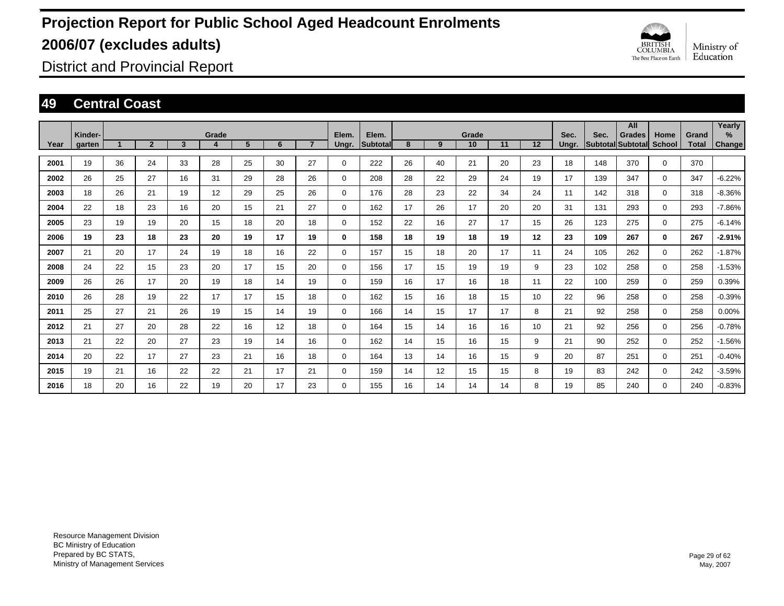

District and Provincial Report

### **49 Central Coast**

|      | Kinder- |    |                |    | Grade |    |    |                | Elem.       | Elem.    |    |    | Grade |    |    | Sec.  | Sec. | All<br><b>Grades</b> | Home         | Grand        | Yearly<br>% |
|------|---------|----|----------------|----|-------|----|----|----------------|-------------|----------|----|----|-------|----|----|-------|------|----------------------|--------------|--------------|-------------|
| Year | garten  |    | $\overline{2}$ | 3  | 4     | 5  | 6  | $\overline{7}$ | Ungr.       | Subtotal | 8  | 9  | 10    | 11 | 12 | Ungr. |      | Subtotal Subtotal    | School       | <b>Total</b> | Change      |
| 2001 | 19      | 36 | 24             | 33 | 28    | 25 | 30 | 27             | $\mathbf 0$ | 222      | 26 | 40 | 21    | 20 | 23 | 18    | 148  | 370                  | $\Omega$     | 370          |             |
| 2002 | 26      | 25 | 27             | 16 | 31    | 29 | 28 | 26             | 0           | 208      | 28 | 22 | 29    | 24 | 19 | 17    | 139  | 347                  | $\Omega$     | 347          | $-6.22%$    |
| 2003 | 18      | 26 | 21             | 19 | 12    | 29 | 25 | 26             | $\Omega$    | 176      | 28 | 23 | 22    | 34 | 24 | 11    | 142  | 318                  | $\Omega$     | 318          | $-8.36%$    |
| 2004 | 22      | 18 | 23             | 16 | 20    | 15 | 21 | 27             | $\Omega$    | 162      | 17 | 26 | 17    | 20 | 20 | 31    | 131  | 293                  | $\Omega$     | 293          | $-7.86%$    |
| 2005 | 23      | 19 | 19             | 20 | 15    | 18 | 20 | 18             | $\Omega$    | 152      | 22 | 16 | 27    | 17 | 15 | 26    | 123  | 275                  | $\Omega$     | 275          | $-6.14%$    |
| 2006 | 19      | 23 | 18             | 23 | 20    | 19 | 17 | 19             | $\bf{0}$    | 158      | 18 | 19 | 18    | 19 | 12 | 23    | 109  | 267                  | $\mathbf{0}$ | 267          | $-2.91%$    |
| 2007 | 21      | 20 | 17             | 24 | 19    | 18 | 16 | 22             | $\Omega$    | 157      | 15 | 18 | 20    | 17 | 11 | 24    | 105  | 262                  | $\Omega$     | 262          | $-1.87%$    |
| 2008 | 24      | 22 | 15             | 23 | 20    | 17 | 15 | 20             | $\Omega$    | 156      | 17 | 15 | 19    | 19 | 9  | 23    | 102  | 258                  | $\Omega$     | 258          | $-1.53%$    |
| 2009 | 26      | 26 | 17             | 20 | 19    | 18 | 14 | 19             | $\mathbf 0$ | 159      | 16 | 17 | 16    | 18 | 11 | 22    | 100  | 259                  | 0            | 259          | 0.39%       |
| 2010 | 26      | 28 | 19             | 22 | 17    | 17 | 15 | 18             | $\mathbf 0$ | 162      | 15 | 16 | 18    | 15 | 10 | 22    | 96   | 258                  | 0            | 258          | $-0.39%$    |
| 2011 | 25      | 27 | 21             | 26 | 19    | 15 | 14 | 19             | $\mathbf 0$ | 166      | 14 | 15 | 17    | 17 | 8  | 21    | 92   | 258                  | 0            | 258          | 0.00%       |
| 2012 | 21      | 27 | 20             | 28 | 22    | 16 | 12 | 18             | $\mathbf 0$ | 164      | 15 | 14 | 16    | 16 | 10 | 21    | 92   | 256                  | 0            | 256          | $-0.78%$    |
| 2013 | 21      | 22 | 20             | 27 | 23    | 19 | 14 | 16             | $\mathbf 0$ | 162      | 14 | 15 | 16    | 15 | 9  | 21    | 90   | 252                  | 0            | 252          | $-1.56%$    |
| 2014 | 20      | 22 | 17             | 27 | 23    | 21 | 16 | 18             | 0           | 164      | 13 | 14 | 16    | 15 | 9  | 20    | 87   | 251                  | $\Omega$     | 251          | $-0.40%$    |
| 2015 | 19      | 21 | 16             | 22 | 22    | 21 | 17 | 21             | 0           | 159      | 14 | 12 | 15    | 15 | 8  | 19    | 83   | 242                  | $\Omega$     | 242          | $-3.59%$    |
| 2016 | 18      | 20 | 16             | 22 | 19    | 20 | 17 | 23             | $\Omega$    | 155      | 16 | 14 | 14    | 14 | 8  | 19    | 85   | 240                  | $\Omega$     | 240          | $-0.83%$    |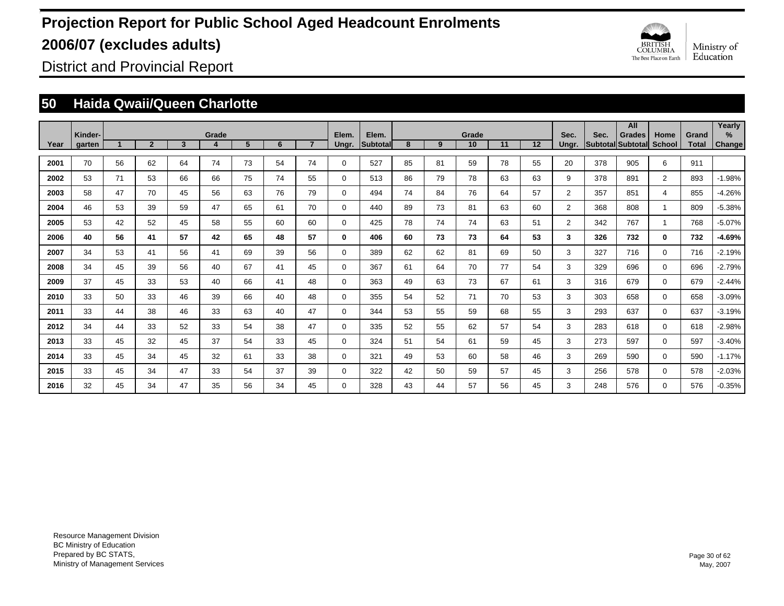

District and Provincial Report

### **50 Haida Qwaii/Queen Charlotte**

|      |                   |    |                |    |       |                |    |                |                |                   |    |    |             |    |    |                |      | All                                       |                |                       | Yearly             |
|------|-------------------|----|----------------|----|-------|----------------|----|----------------|----------------|-------------------|----|----|-------------|----|----|----------------|------|-------------------------------------------|----------------|-----------------------|--------------------|
| Year | Kinder-<br>garten |    | $\overline{2}$ | 3  | Grade | 5 <sup>5</sup> | 6  | $\overline{7}$ | Elem.<br>Ungr. | Elem.<br>Subtotal | 8  | 9  | Grade<br>10 | 11 | 12 | Sec.<br>Ungr.  | Sec. | <b>Grades</b><br><b>Subtotal Subtotal</b> | Home<br>School | Grand<br><b>Total</b> | %<br><b>Change</b> |
|      |                   |    |                |    |       |                |    |                |                |                   |    |    |             |    |    |                |      |                                           |                |                       |                    |
| 2001 | 70                | 56 | 62             | 64 | 74    | 73             | 54 | 74             | $\mathbf 0$    | 527               | 85 | 81 | 59          | 78 | 55 | 20             | 378  | 905                                       | 6              | 911                   |                    |
| 2002 | 53                | 71 | 53             | 66 | 66    | 75             | 74 | 55             | $\mathbf 0$    | 513               | 86 | 79 | 78          | 63 | 63 | 9              | 378  | 891                                       | $\overline{2}$ | 893                   | $-1.98%$           |
| 2003 | 58                | 47 | 70             | 45 | 56    | 63             | 76 | 79             | $\mathbf 0$    | 494               | 74 | 84 | 76          | 64 | 57 | $\overline{2}$ | 357  | 851                                       | 4              | 855                   | $-4.26%$           |
| 2004 | 46                | 53 | 39             | 59 | 47    | 65             | 61 | 70             | $\mathbf 0$    | 440               | 89 | 73 | 81          | 63 | 60 | $\overline{2}$ | 368  | 808                                       | $\overline{1}$ | 809                   | $-5.38%$           |
| 2005 | 53                | 42 | 52             | 45 | 58    | 55             | 60 | 60             | $\mathbf 0$    | 425               | 78 | 74 | 74          | 63 | 51 | $\overline{2}$ | 342  | 767                                       | $\overline{1}$ | 768                   | $-5.07%$           |
| 2006 | 40                | 56 | 41             | 57 | 42    | 65             | 48 | 57             | $\mathbf 0$    | 406               | 60 | 73 | 73          | 64 | 53 | 3              | 326  | 732                                       | $\bf{0}$       | 732                   | $-4.69%$           |
| 2007 | 34                | 53 | 41             | 56 | 41    | 69             | 39 | 56             | $\mathbf 0$    | 389               | 62 | 62 | 81          | 69 | 50 | 3              | 327  | 716                                       | 0              | 716                   | $-2.19%$           |
| 2008 | 34                | 45 | 39             | 56 | 40    | 67             | 41 | 45             | $\mathbf 0$    | 367               | 61 | 64 | 70          | 77 | 54 | 3              | 329  | 696                                       | 0              | 696                   | $-2.79%$           |
| 2009 | 37                | 45 | 33             | 53 | 40    | 66             | 41 | 48             | $\mathbf 0$    | 363               | 49 | 63 | 73          | 67 | 61 | 3              | 316  | 679                                       | 0              | 679                   | $-2.44%$           |
| 2010 | 33                | 50 | 33             | 46 | 39    | 66             | 40 | 48             | $\mathbf 0$    | 355               | 54 | 52 | 71          | 70 | 53 | 3              | 303  | 658                                       | $\mathbf 0$    | 658                   | $-3.09%$           |
| 2011 | 33                | 44 | 38             | 46 | 33    | 63             | 40 | 47             | $\mathbf 0$    | 344               | 53 | 55 | 59          | 68 | 55 | 3              | 293  | 637                                       | 0              | 637                   | $-3.19%$           |
| 2012 | 34                | 44 | 33             | 52 | 33    | 54             | 38 | 47             | $\mathbf 0$    | 335               | 52 | 55 | 62          | 57 | 54 | 3              | 283  | 618                                       | 0              | 618                   | $-2.98%$           |
| 2013 | 33                | 45 | 32             | 45 | 37    | 54             | 33 | 45             | $\mathbf 0$    | 324               | 51 | 54 | 61          | 59 | 45 | 3              | 273  | 597                                       | 0              | 597                   | $-3.40%$           |
| 2014 | 33                | 45 | 34             | 45 | 32    | 61             | 33 | 38             | $\mathbf 0$    | 321               | 49 | 53 | 60          | 58 | 46 | 3              | 269  | 590                                       | 0              | 590                   | $-1.17%$           |
| 2015 | 33                | 45 | 34             | 47 | 33    | 54             | 37 | 39             | $\mathbf 0$    | 322               | 42 | 50 | 59          | 57 | 45 | 3              | 256  | 578                                       | 0              | 578                   | $-2.03%$           |
| 2016 | 32                | 45 | 34             | 47 | 35    | 56             | 34 | 45             | $\Omega$       | 328               | 43 | 44 | 57          | 56 | 45 | 3              | 248  | 576                                       | $\Omega$       | 576                   | $-0.35%$           |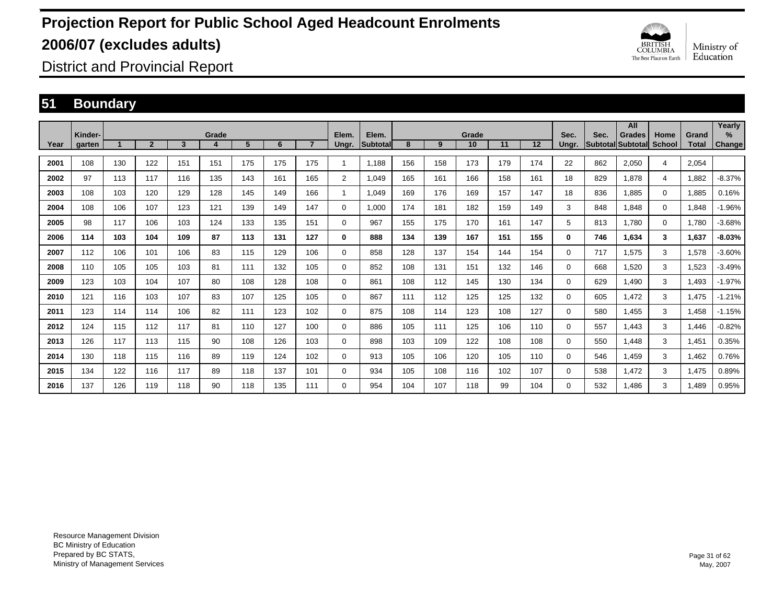

District and Provincial Report

### **51 Boundary**

|      |                   |     |                |                         |            |     |     |                |                |                           |     |     |             |     |     |               |                                  | All           |                       |                       | Yearly                |
|------|-------------------|-----|----------------|-------------------------|------------|-----|-----|----------------|----------------|---------------------------|-----|-----|-------------|-----|-----|---------------|----------------------------------|---------------|-----------------------|-----------------------|-----------------------|
| Year | Kinder-<br>garten |     | $\overline{2}$ | $\overline{\mathbf{3}}$ | Grade<br>4 | 5   | 6   | $\overline{7}$ | Elem.<br>Ungr. | Elem.<br><b>Subtotall</b> | 8   | 9   | Grade<br>10 | 11  | 12  | Sec.<br>Ungr. | Sec.<br><b>Subtotal Subtotal</b> | <b>Grades</b> | Home<br><b>School</b> | Grand<br><b>Total</b> | $\%$<br><b>Change</b> |
|      |                   |     |                |                         |            |     |     |                |                |                           |     |     |             |     |     |               |                                  |               |                       |                       |                       |
| 2001 | 108               | 130 | 122            | 151                     | 151        | 175 | 175 | 175            | -1             | 1.188                     | 156 | 158 | 173         | 179 | 174 | 22            | 862                              | 2,050         | 4                     | 2,054                 |                       |
| 2002 | 97                | 113 | 117            | 116                     | 135        | 143 | 161 | 165            | $\overline{2}$ | 1.049                     | 165 | 161 | 166         | 158 | 161 | 18            | 829                              | 1.878         | $\overline{4}$        | 1,882                 | $-8.37%$              |
| 2003 | 108               | 103 | 120            | 129                     | 128        | 145 | 149 | 166            | -1             | 1.049                     | 169 | 176 | 169         | 157 | 147 | 18            | 836                              | 1.885         | $\mathbf 0$           | 1,885                 | 0.16%                 |
| 2004 | 108               | 106 | 107            | 123                     | 121        | 139 | 149 | 147            | 0              | 1,000                     | 174 | 181 | 182         | 159 | 149 | 3             | 848                              | 1,848         | $\mathbf 0$           | 1,848                 | $-1.96%$              |
| 2005 | 98                | 117 | 106            | 103                     | 124        | 133 | 135 | 151            | $\mathbf 0$    | 967                       | 155 | 175 | 170         | 161 | 147 | 5             | 813                              | 1.780         | $\mathbf 0$           | 1,780                 | $-3.68%$              |
| 2006 | 114               | 103 | 104            | 109                     | 87         | 113 | 131 | 127            | 0              | 888                       | 134 | 139 | 167         | 151 | 155 | 0             | 746                              | 1,634         | 3                     | 1,637                 | $-8.03%$              |
| 2007 | 112               | 106 | 101            | 106                     | 83         | 115 | 129 | 106            | $\mathbf 0$    | 858                       | 128 | 137 | 154         | 144 | 154 | 0             | 717                              | 1.575         | 3                     | 1,578                 | $-3.60%$              |
| 2008 | 110               | 105 | 105            | 103                     | 81         | 111 | 132 | 105            | $\mathbf 0$    | 852                       | 108 | 131 | 151         | 132 | 146 | 0             | 668                              | 1.520         | 3                     | 1,523                 | $-3.49%$              |
| 2009 | 123               | 103 | 104            | 107                     | 80         | 108 | 128 | 108            | $\mathbf 0$    | 861                       | 108 | 112 | 145         | 130 | 134 | 0             | 629                              | 1.490         | 3                     | 1.493                 | $-1.97%$              |
| 2010 | 121               | 116 | 103            | 107                     | 83         | 107 | 125 | 105            | 0              | 867                       | 111 | 112 | 125         | 125 | 132 | 0             | 605                              | 1,472         | 3                     | 1,475                 | $-1.21%$              |
| 2011 | 123               | 114 | 114            | 106                     | 82         | 111 | 123 | 102            | 0              | 875                       | 108 | 114 | 123         | 108 | 127 | 0             | 580                              | 1,455         | 3                     | 1,458                 | $-1.15%$              |
| 2012 | 124               | 115 | 112            | 117                     | 81         | 110 | 127 | 100            | $\mathbf 0$    | 886                       | 105 | 111 | 125         | 106 | 110 | 0             | 557                              | 1.443         | 3                     | 1,446                 | $-0.82%$              |
| 2013 | 126               | 117 | 113            | 115                     | 90         | 108 | 126 | 103            | 0              | 898                       | 103 | 109 | 122         | 108 | 108 | 0             | 550                              | 1.448         | 3                     | 1,451                 | 0.35%                 |
| 2014 | 130               | 118 | 115            | 116                     | 89         | 119 | 124 | 102            | 0              | 913                       | 105 | 106 | 120         | 105 | 110 | 0             | 546                              | 1.459         | 3                     | 1,462                 | 0.76%                 |
| 2015 | 134               | 122 | 116            | 117                     | 89         | 118 | 137 | 101            | 0              | 934                       | 105 | 108 | 116         | 102 | 107 | 0             | 538                              | 1.472         | 3                     | 1,475                 | 0.89%                 |
| 2016 | 137               | 126 | 119            | 118                     | 90         | 118 | 135 | 111            | 0              | 954                       | 104 | 107 | 118         | 99  | 104 | 0             | 532                              | 1.486         | 3                     | .489                  | 0.95%                 |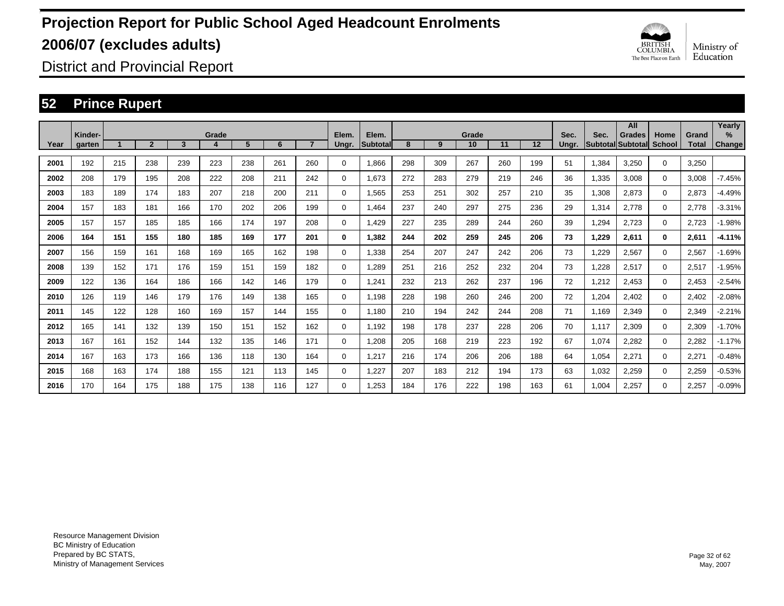

District and Provincial Report

### **52 Prince Rupert**

|      |                   |     |                |     |            |     |     |                |                |                   |     |     |             |     |     |               |       | All                                |                |                       | Yearly         |
|------|-------------------|-----|----------------|-----|------------|-----|-----|----------------|----------------|-------------------|-----|-----|-------------|-----|-----|---------------|-------|------------------------------------|----------------|-----------------------|----------------|
| Year | Kinder-<br>garten |     | $\overline{2}$ | 3   | Grade<br>4 | 5   | 6   | $\overline{7}$ | Elem.<br>Ungr. | Elem.<br>Subtotal | 8   | 9   | Grade<br>10 | 11  | 12  | Sec.<br>Ungr. | Sec.  | <b>Grades</b><br>Subtotal Subtotal | Home<br>School | Grand<br><b>Total</b> | $\%$<br>Change |
|      |                   |     |                |     |            |     |     |                |                |                   |     |     |             |     |     |               |       |                                    |                |                       |                |
| 2001 | 192               | 215 | 238            | 239 | 223        | 238 | 261 | 260            | $\Omega$       | 1,866             | 298 | 309 | 267         | 260 | 199 | 51            | 1,384 | 3,250                              | 0              | 3,250                 |                |
| 2002 | 208               | 179 | 195            | 208 | 222        | 208 | 211 | 242            | $\mathbf 0$    | 1,673             | 272 | 283 | 279         | 219 | 246 | 36            | 1,335 | 3,008                              | $\mathbf 0$    | 3,008                 | $-7.45%$       |
| 2003 | 183               | 189 | 174            | 183 | 207        | 218 | 200 | 211            | 0              | 1,565             | 253 | 251 | 302         | 257 | 210 | 35            | 1,308 | 2,873                              | 0              | 2,873                 | $-4.49%$       |
| 2004 | 157               | 183 | 181            | 166 | 170        | 202 | 206 | 199            | 0              | 1,464             | 237 | 240 | 297         | 275 | 236 | 29            | 1,314 | 2,778                              | 0              | 2.778                 | $-3.31%$       |
| 2005 | 157               | 157 | 185            | 185 | 166        | 174 | 197 | 208            | 0              | 1.429             | 227 | 235 | 289         | 244 | 260 | 39            | 1,294 | 2,723                              | 0              | 2.723                 | $-1.98%$       |
| 2006 | 164               | 151 | 155            | 180 | 185        | 169 | 177 | 201            | 0              | 1,382             | 244 | 202 | 259         | 245 | 206 | 73            | 1,229 | 2,611                              | $\mathbf{0}$   | 2,611                 | $-4.11%$       |
| 2007 | 156               | 159 | 161            | 168 | 169        | 165 | 162 | 198            | $\mathbf 0$    | 1,338             | 254 | 207 | 247         | 242 | 206 | 73            | 1,229 | 2,567                              | $\Omega$       | 2,567                 | $-1.69%$       |
| 2008 | 139               | 152 | 171            | 176 | 159        | 151 | 159 | 182            | $\mathbf 0$    | 1,289             | 251 | 216 | 252         | 232 | 204 | 73            | 1,228 | 2,517                              | $\Omega$       | 2,517                 | $-1.95%$       |
| 2009 | 122               | 136 | 164            | 186 | 166        | 142 | 146 | 179            | 0              | 1,241             | 232 | 213 | 262         | 237 | 196 | 72            | 1,212 | 2,453                              | 0              | 2,453                 | $-2.54%$       |
| 2010 | 126               | 119 | 146            | 179 | 176        | 149 | 138 | 165            | 0              | 1,198             | 228 | 198 | 260         | 246 | 200 | 72            | 1,204 | 2,402                              | 0              | 2,402                 | $-2.08%$       |
| 2011 | 145               | 122 | 128            | 160 | 169        | 157 | 144 | 155            | 0              | 1.180             | 210 | 194 | 242         | 244 | 208 | 71            | 1,169 | 2,349                              | 0              | 2,349                 | $-2.21%$       |
| 2012 | 165               | 141 | 132            | 139 | 150        | 151 | 152 | 162            | 0              | 1,192             | 198 | 178 | 237         | 228 | 206 | 70            | 1,117 | 2,309                              | 0              | 2,309                 | $-1.70%$       |
| 2013 | 167               | 161 | 152            | 144 | 132        | 135 | 146 | 171            | 0              | 1,208             | 205 | 168 | 219         | 223 | 192 | 67            | 1,074 | 2,282                              | 0              | 2,282                 | $-1.17%$       |
| 2014 | 167               | 163 | 173            | 166 | 136        | 118 | 130 | 164            | $\Omega$       | 1,217             | 216 | 174 | 206         | 206 | 188 | 64            | 1,054 | 2,271                              | $\Omega$       | 2,27'                 | $-0.48%$       |
| 2015 | 168               | 163 | 174            | 188 | 155        | 121 | 113 | 145            | 0              | 1,227             | 207 | 183 | 212         | 194 | 173 | 63            | 1,032 | 2,259                              | $\mathbf 0$    | 2,259                 | $-0.53%$       |
| 2016 | 170               | 164 | 175            | 188 | 175        | 138 | 116 | 127            | 0              | 1.253             | 184 | 176 | 222         | 198 | 163 | 61            | 1.004 | 2,257                              | $\Omega$       | 2,257                 | $-0.09%$       |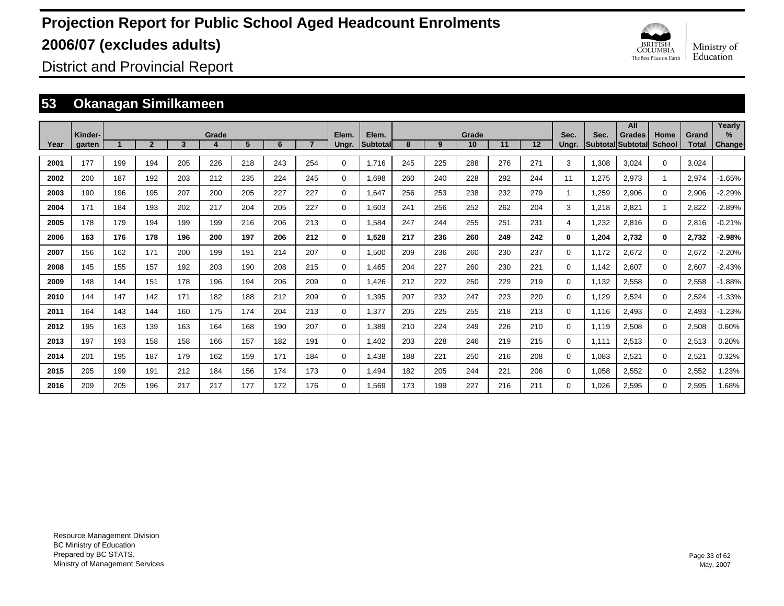

District and Provincial Report

### **53 Okanagan Similkameen**

|      |                   |     |              |     |       |     |     |     |                |                   |     |     |             |     |     |               |       | All                                       |                       |                       | Yearly                |
|------|-------------------|-----|--------------|-----|-------|-----|-----|-----|----------------|-------------------|-----|-----|-------------|-----|-----|---------------|-------|-------------------------------------------|-----------------------|-----------------------|-----------------------|
| Year | Kinder-<br>garten |     | $\mathbf{2}$ | 3   | Grade | 5   | 6   |     | Elem.<br>Ungr. | Elem.<br>Subtotal | 8   | 9   | Grade<br>10 | 11  | 12  | Sec.<br>Ungr. | Sec.  | <b>Grades</b><br><b>Subtotal Subtotal</b> | Home<br><b>School</b> | Grand<br><b>Total</b> | $\%$<br><b>Change</b> |
|      |                   |     |              |     |       |     |     |     |                |                   |     |     |             |     |     |               |       |                                           |                       |                       |                       |
| 2001 | 177               | 199 | 194          | 205 | 226   | 218 | 243 | 254 | $\mathbf 0$    | 1,716             | 245 | 225 | 288         | 276 | 271 | 3             | 1,308 | 3,024                                     | $\Omega$              | 3,024                 |                       |
| 2002 | 200               | 187 | 192          | 203 | 212   | 235 | 224 | 245 | $\mathbf 0$    | 1.698             | 260 | 240 | 228         | 292 | 244 | 11            | 1.275 | 2,973                                     | $\mathbf{1}$          | 2,974                 | $-1.65%$              |
| 2003 | 190               | 196 | 195          | 207 | 200   | 205 | 227 | 227 | $\mathbf 0$    | 1,647             | 256 | 253 | 238         | 232 | 279 | $\mathbf{1}$  | 1,259 | 2,906                                     | 0                     | 2,906                 | $-2.29%$              |
| 2004 | 171               | 184 | 193          | 202 | 217   | 204 | 205 | 227 | 0              | 1,603             | 241 | 256 | 252         | 262 | 204 | 3             | 1,218 | 2,821                                     | $\overline{1}$        | 2,822                 | $-2.89%$              |
| 2005 | 178               | 179 | 194          | 199 | 199   | 216 | 206 | 213 | $\mathbf 0$    | 1,584             | 247 | 244 | 255         | 251 | 231 | 4             | 1,232 | 2,816                                     | $\mathbf 0$           | 2,816                 | $-0.21%$              |
| 2006 | 163               | 176 | 178          | 196 | 200   | 197 | 206 | 212 | 0              | 1,528             | 217 | 236 | 260         | 249 | 242 | 0             | 1,204 | 2,732                                     | $\mathbf 0$           | 2,732                 | $-2.98%$              |
| 2007 | 156               | 162 | 171          | 200 | 199   | 191 | 214 | 207 | 0              | 1,500             | 209 | 236 | 260         | 230 | 237 | 0             | 1,172 | 2,672                                     | $\mathbf 0$           | 2,672                 | $-2.20%$              |
| 2008 | 145               | 155 | 157          | 192 | 203   | 190 | 208 | 215 | 0              | 1,465             | 204 | 227 | 260         | 230 | 221 | $\Omega$      | 1.142 | 2,607                                     | $\mathbf 0$           | 2,607                 | $-2.43%$              |
| 2009 | 148               | 144 | 151          | 178 | 196   | 194 | 206 | 209 | 0              | 1,426             | 212 | 222 | 250         | 229 | 219 | 0             | 1,132 | 2,558                                     | $\mathbf 0$           | 2,558                 | $-1.88%$              |
| 2010 | 144               | 147 | 142          | 171 | 182   | 188 | 212 | 209 | 0              | 1,395             | 207 | 232 | 247         | 223 | 220 | 0             | 1.129 | 2,524                                     | 0                     | 2,524                 | $-1.33%$              |
| 2011 | 164               | 143 | 144          | 160 | 175   | 174 | 204 | 213 | 0              | 1,377             | 205 | 225 | 255         | 218 | 213 | 0             | 1.116 | 2,493                                     | 0                     | 2,493                 | $-1.23%$              |
| 2012 | 195               | 163 | 139          | 163 | 164   | 168 | 190 | 207 | 0              | 1,389             | 210 | 224 | 249         | 226 | 210 | $\Omega$      | 1.119 | 2,508                                     | 0                     | 2,508                 | 0.60%                 |
| 2013 | 197               | 193 | 158          | 158 | 166   | 157 | 182 | 191 | 0              | 1,402             | 203 | 228 | 246         | 219 | 215 | 0             | 1,111 | 2,513                                     | 0                     | 2,513                 | 0.20%                 |
| 2014 | 201               | 195 | 187          | 179 | 162   | 159 | 171 | 184 | 0              | .438              | 188 | 221 | 250         | 216 | 208 | 0             | 1,083 | 2,521                                     | 0                     | 2,521                 | 0.32%                 |
| 2015 | 205               | 199 | 191          | 212 | 184   | 156 | 174 | 173 | 0              | ,494              | 182 | 205 | 244         | 221 | 206 | 0             | 1,058 | 2,552                                     | 0                     | 2,552                 | .23%                  |
| 2016 | 209               | 205 | 196          | 217 | 217   | 177 | 172 | 176 | $\Omega$       | .569              | 173 | 199 | 227         | 216 | 211 | 0             | 1.026 | 2,595                                     | 0                     | 2,595                 | 1.68%                 |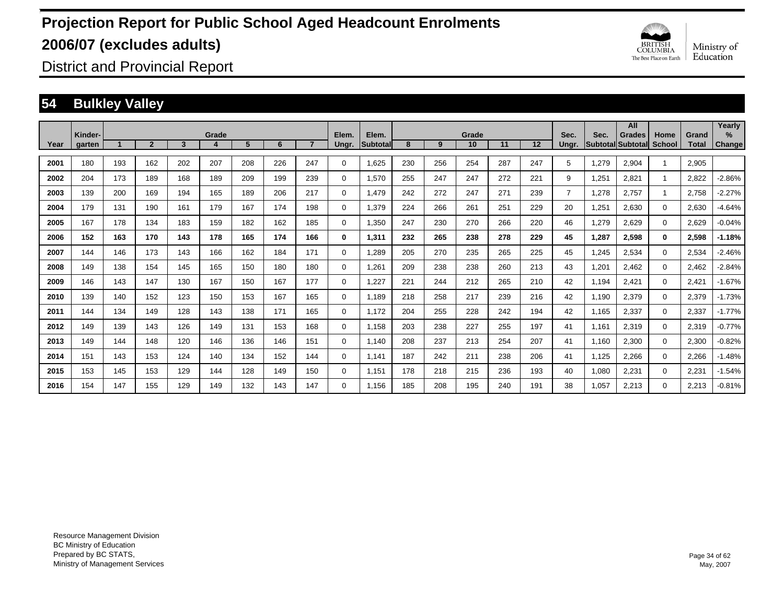

District and Provincial Report

### **54 Bulkley Valley**

|      | Kinder- |     |                |     | Grade |     |     |                | Elem.    | Elem.    |     |     | Grade |     |     | Sec.           | Sec.  | All<br><b>Grades</b>     | Home        | Grand        | Yearly<br>$\frac{9}{6}$ |
|------|---------|-----|----------------|-----|-------|-----|-----|----------------|----------|----------|-----|-----|-------|-----|-----|----------------|-------|--------------------------|-------------|--------------|-------------------------|
| Year | garten  |     | $\overline{2}$ | 3   | 4     | 5   | 6   | $\overline{7}$ | Ungr.    | Subtotal | 8   | 9   | 10    | 11  | 12  | Ungr.          |       | <b>Subtotal Subtotal</b> | School      | <b>Total</b> | Change                  |
| 2001 | 180     | 193 | 162            | 202 | 207   | 208 | 226 | 247            | 0        | 1,625    | 230 | 256 | 254   | 287 | 247 | 5              | 1,279 | 2,904                    |             | 2,905        |                         |
| 2002 | 204     | 173 | 189            | 168 | 189   | 209 | 199 | 239            | 0        | 1,570    | 255 | 247 | 247   | 272 | 221 | 9              | 1,251 | 2,821                    | 1           | 2,822        | $-2.86%$                |
| 2003 | 139     | 200 | 169            | 194 | 165   | 189 | 206 | 217            | 0        | 1.479    | 242 | 272 | 247   | 271 | 239 | $\overline{7}$ | 1,278 | 2,757                    | 1           | 2,758        | $-2.27%$                |
| 2004 | 179     | 131 | 190            | 161 | 179   | 167 | 174 | 198            | 0        | 1,379    | 224 | 266 | 261   | 251 | 229 | 20             | 1,251 | 2,630                    | $\mathbf 0$ | 2,630        | $-4.64%$                |
| 2005 | 167     | 178 | 134            | 183 | 159   | 182 | 162 | 185            | 0        | 1,350    | 247 | 230 | 270   | 266 | 220 | 46             | 1,279 | 2,629                    | $\mathbf 0$ | 2,629        | $-0.04%$                |
| 2006 | 152     | 163 | 170            | 143 | 178   | 165 | 174 | 166            | 0        | 1,311    | 232 | 265 | 238   | 278 | 229 | 45             | 1,287 | 2,598                    | 0           | 2,598        | $-1.18%$                |
| 2007 | 144     | 146 | 173            | 143 | 166   | 162 | 184 | 171            | 0        | 1.289    | 205 | 270 | 235   | 265 | 225 | 45             | 1,245 | 2,534                    | $\mathbf 0$ | 2,534        | $-2.46%$                |
| 2008 | 149     | 138 | 154            | 145 | 165   | 150 | 180 | 180            | 0        | 1,261    | 209 | 238 | 238   | 260 | 213 | 43             | 1,201 | 2,462                    | $\mathbf 0$ | 2,462        | $-2.84%$                |
| 2009 | 146     | 143 | 147            | 130 | 167   | 150 | 167 | 177            | 0        | 1,227    | 221 | 244 | 212   | 265 | 210 | 42             | 1,194 | 2,421                    | $\mathbf 0$ | 2,421        | $-1.67%$                |
| 2010 | 139     | 140 | 152            | 123 | 150   | 153 | 167 | 165            | 0        | 1,189    | 218 | 258 | 217   | 239 | 216 | 42             | 1,190 | 2,379                    | $\mathbf 0$ | 2,379        | $-1.73%$                |
| 2011 | 144     | 134 | 149            | 128 | 143   | 138 | 171 | 165            | 0        | 1,172    | 204 | 255 | 228   | 242 | 194 | 42             | 1,165 | 2,337                    | $\mathbf 0$ | 2,337        | $-1.77%$                |
| 2012 | 149     | 139 | 143            | 126 | 149   | 131 | 153 | 168            | 0        | 1,158    | 203 | 238 | 227   | 255 | 197 | 41             | 1,161 | 2,319                    | $\mathbf 0$ | 2,319        | $-0.77%$                |
| 2013 | 149     | 144 | 148            | 120 | 146   | 136 | 146 | 151            | 0        | 1.140    | 208 | 237 | 213   | 254 | 207 | 41             | 1,160 | 2,300                    | $\mathbf 0$ | 2,300        | $-0.82%$                |
| 2014 | 151     | 143 | 153            | 124 | 140   | 134 | 152 | 144            | 0        | 1.141    | 187 | 242 | 211   | 238 | 206 | 41             | 1,125 | 2,266                    | $\mathbf 0$ | 2,266        | $-1.48%$                |
| 2015 | 153     | 145 | 153            | 129 | 144   | 128 | 149 | 150            | 0        | 1.151    | 178 | 218 | 215   | 236 | 193 | 40             | 1,080 | 2,231                    | $\mathbf 0$ | 2,231        | $-1.54%$                |
| 2016 | 154     | 147 | 155            | 129 | 149   | 132 | 143 | 147            | $\Omega$ | 1.156    | 185 | 208 | 195   | 240 | 191 | 38             | 1.057 | 2,213                    | $\Omega$    | 2,213        | $-0.81%$                |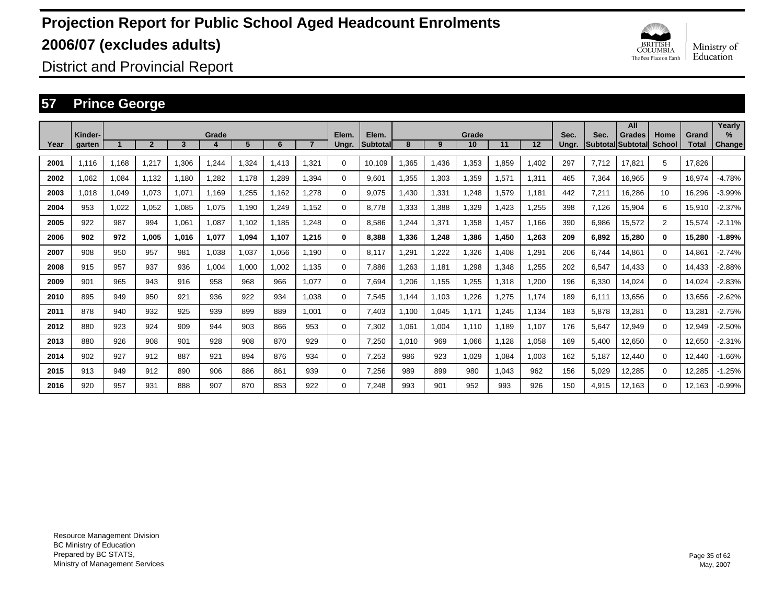

District and Provincial Report

### **57 Prince George**

|      |                   |       |                |       |       |       |       |       |                |                          |       |       |             |       |       |               |       | All                         |                |                       | Yearly                         |
|------|-------------------|-------|----------------|-------|-------|-------|-------|-------|----------------|--------------------------|-------|-------|-------------|-------|-------|---------------|-------|-----------------------------|----------------|-----------------------|--------------------------------|
| Year | Kinder-<br>garten |       | $\overline{2}$ | 3     | Grade | 5     | 6     |       | Elem.<br>Ungr. | Elem.<br><b>Subtotal</b> | 8     | 9     | Grade<br>10 | 11    | 12    | Sec.<br>Ungr. | Sec.  | Grades<br>Subtotal Subtotal | Home<br>School | Grand<br><b>Total</b> | $\frac{9}{6}$<br><b>Change</b> |
| 2001 | 1.116             | 1,168 | 1.217          | 1,306 | 1,244 | 1,324 | 1.413 | 1.321 | $\Omega$       | 10.109                   | ,365  | 1,436 | 1,353       | 1,859 | 1,402 | 297           | 7.712 | 17.821                      | 5              | 17.826                |                                |
| 2002 | 1.062             | 1,084 | 1,132          | 1,180 | 1,282 | 1.178 | .289  | 1.394 | 0              | 9,601                    | 1,355 | 1,303 | 1,359       | 1,571 | 1,311 | 465           | 7,364 | 16,965                      | 9              | 16,974                | $-4.78%$                       |
| 2003 | 1.018             | 1,049 | 1.073          | 1,071 | 1.169 | 1,255 | 1.162 | 1.278 | 0              | 9.075                    | ,430  | 1,331 | 1,248       | 1,579 | 1.181 | 442           | 7,211 | 16,286                      | 10             | 16.296                | $-3.99%$                       |
| 2004 | 953               | 1,022 | 1,052          | 1,085 | 1,075 | 1,190 | 1.249 | 1.152 | 0              | 8.778                    | ,333  | 1,388 | 1,329       | 1.423 | 1,255 | 398           | 7,126 | 15,904                      | 6              | 15,910                | $-2.37%$                       |
| 2005 | 922               | 987   | 994            | 1,061 | 1,087 | 1.102 | 1,185 | 1.248 | 0              | 8.586                    | .244  | 1,371 | 1,358       | 1.457 | 1.166 | 390           | 6,986 | 15,572                      | $\overline{2}$ | 15,574                | $-2.11%$                       |
| 2006 | 902               | 972   | 1.005          | 1.016 | 1,077 | 1,094 | 1.107 | 1.215 | 0              | 8.388                    | 1.336 | 1,248 | 1,386       | 1,450 | 1,263 | 209           | 6,892 | 15,280                      | $\bf{0}$       | 15.280                | $-1.89%$                       |
| 2007 | 908               | 950   | 957            | 981   | 1.038 | 1,037 | 1,056 | 1.190 | 0              | 8.117                    | .291  | 1,222 | 1,326       | 1.408 | 1,291 | 206           | 6.744 | 14.861                      | $\Omega$       | 14.861                | $-2.74%$                       |
| 2008 | 915               | 957   | 937            | 936   | 1,004 | 1,000 | 1,002 | 1.135 | 0              | 7,886                    | ,263  | 1,181 | 1,298       | 1,348 | 1,255 | 202           | 6,547 | 14,433                      | $\Omega$       | 14,433                | $-2.88%$                       |
| 2009 | 901               | 965   | 943            | 916   | 958   | 968   | 966   | 1,077 | 0              | 7,694                    | ,206  | 1,155 | 1,255       | 1,318 | 1,200 | 196           | 6,330 | 14,024                      | $\Omega$       | 14,024                | $-2.83%$                       |
| 2010 | 895               | 949   | 950            | 921   | 936   | 922   | 934   | 1.038 | 0              | 7,545                    | ,144  | 1,103 | 1,226       | 1,275 | 1.174 | 189           | 6,111 | 13,656                      | $\Omega$       | 13,656                | $-2.62%$                       |
| 2011 | 878               | 940   | 932            | 925   | 939   | 899   | 889   | 1.001 | 0              | 7,403                    | 1,100 | 1,045 | 1.171       | 1,245 | 1,134 | 183           | 5,878 | 13,281                      | $\Omega$       | 13,281                | $-2.75%$                       |
| 2012 | 880               | 923   | 924            | 909   | 944   | 903   | 866   | 953   | 0              | 7,302                    | ,061  | 1,004 | 1.110       | 1,189 | 1.107 | 176           | 5,647 | 12,949                      | 0              | 12,949                | $-2.50%$                       |
| 2013 | 880               | 926   | 908            | 901   | 928   | 908   | 870   | 929   | 0              | 7,250                    | 1,010 | 969   | 1,066       | 1,128 | 1,058 | 169           | 5,400 | 12,650                      | $\mathbf 0$    | 12,650                | $-2.31%$                       |
| 2014 | 902               | 927   | 912            | 887   | 921   | 894   | 876   | 934   | 0              | 7,253                    | 986   | 923   | 1,029       | 1,084 | 1,003 | 162           | 5,187 | 12,440                      | $\mathbf 0$    | 12,440                | $-1.66%$                       |
| 2015 | 913               | 949   | 912            | 890   | 906   | 886   | 861   | 939   | 0              | 7,256                    | 989   | 899   | 980         | 1,043 | 962   | 156           | 5,029 | 12,285                      | $\mathbf 0$    | 12,285                | -1.25%                         |
| 2016 | 920               | 957   | 931            | 888   | 907   | 870   | 853   | 922   | $\Omega$       | 7.248                    | 993   | 901   | 952         | 993   | 926   | 150           | 4.915 | 12.163                      | $\Omega$       | 12.163                | $-0.99%$                       |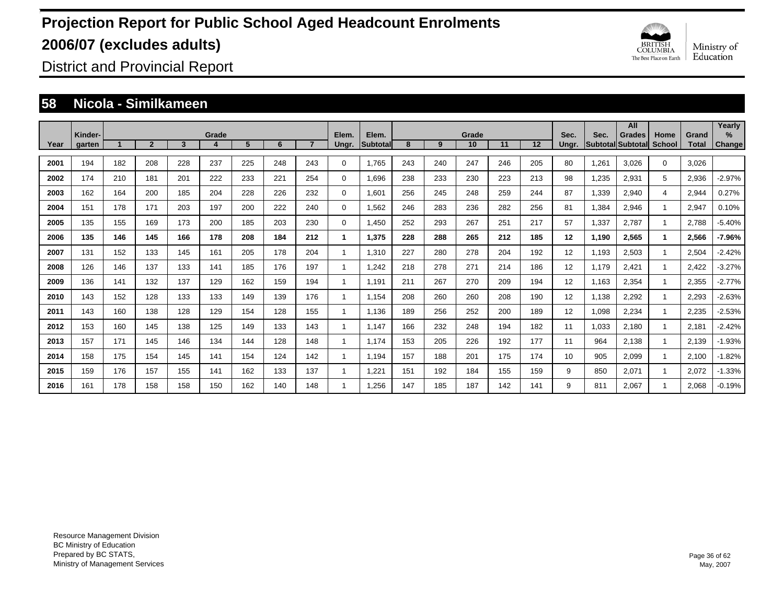

District and Provincial Report

#### **58 Nicola - Similkameen**

|      |                   |     |                |     |            |     |     |     |                |                          |     |     |             |     |     |               |       | All                                 |                |                       | Yearly                |
|------|-------------------|-----|----------------|-----|------------|-----|-----|-----|----------------|--------------------------|-----|-----|-------------|-----|-----|---------------|-------|-------------------------------------|----------------|-----------------------|-----------------------|
| Year | Kinder-<br>garten |     | $\overline{2}$ | 3   | Grade<br>4 | 5   | 6   |     | Elem.<br>Ungr. | Elem.<br><b>Subtotal</b> | 8   | 9   | Grade<br>10 | 11  | 12  | Sec.<br>Ungr. | Sec.  | <b>Grades</b><br> Subtotal Subtotal | Home<br>School | Grand<br><b>Total</b> | $\%$<br><b>Change</b> |
| 2001 | 194               | 182 | 208            | 228 | 237        | 225 | 248 | 243 | $\Omega$       | 1,765                    | 243 | 240 | 247         | 246 | 205 | 80            | 1,261 | 3,026                               | $\Omega$       | 3,026                 |                       |
| 2002 | 174               | 210 | 181            | 201 | 222        | 233 | 221 | 254 | $\Omega$       | 1,696                    | 238 | 233 | 230         | 223 | 213 | 98            | 1,235 | 2,931                               | 5              | 2,936                 | $-2.97%$              |
| 2003 | 162               | 164 | 200            | 185 | 204        | 228 | 226 | 232 | $\Omega$       | 1,601                    | 256 | 245 | 248         | 259 | 244 | 87            | 1,339 | 2,940                               | 4              | 2,944                 | 0.27%                 |
| 2004 | 151               | 178 | 171            | 203 | 197        | 200 | 222 | 240 | $\Omega$       | 1,562                    | 246 | 283 | 236         | 282 | 256 | 81            | 1,384 | 2,946                               | -1             | 2,947                 | 0.10%                 |
| 2005 | 135               | 155 | 169            | 173 | 200        | 185 | 203 | 230 | $\Omega$       | 1,450                    | 252 | 293 | 267         | 251 | 217 | 57            | 1,337 | 2,787                               |                | 2,788                 | $-5.40%$              |
| 2006 | 135               | 146 | 145            | 166 | 178        | 208 | 184 | 212 |                | 1,375                    | 228 | 288 | 265         | 212 | 185 | 12            | 1,190 | 2,565                               |                | 2,566                 | $-7.96%$              |
| 2007 | 131               | 152 | 133            | 145 | 161        | 205 | 178 | 204 |                | 1,310                    | 227 | 280 | 278         | 204 | 192 | 12            | 1,193 | 2,503                               |                | 2,504                 | $-2.42%$              |
| 2008 | 126               | 146 | 137            | 133 | 141        | 185 | 176 | 197 |                | 1,242                    | 218 | 278 | 271         | 214 | 186 | 12            | 1,179 | 2,421                               |                | 2,422                 | $-3.27%$              |
| 2009 | 136               | 141 | 132            | 137 | 129        | 162 | 159 | 194 |                | 1,191                    | 211 | 267 | 270         | 209 | 194 | 12            | 1,163 | 2,354                               |                | 2,355                 | $-2.77%$              |
| 2010 | 143               | 152 | 128            | 133 | 133        | 149 | 139 | 176 |                | 1,154                    | 208 | 260 | 260         | 208 | 190 | 12            | 1,138 | 2,292                               | -1             | 2,293                 | $-2.63%$              |
| 2011 | 143               | 160 | 138            | 128 | 129        | 154 | 128 | 155 |                | 1,136                    | 189 | 256 | 252         | 200 | 189 | 12            | 1,098 | 2,234                               | -1             | 2,235                 | $-2.53%$              |
| 2012 | 153               | 160 | 145            | 138 | 125        | 149 | 133 | 143 |                | 1.147                    | 166 | 232 | 248         | 194 | 182 | 11            | 1,033 | 2,180                               | -1             | 2,181                 | $-2.42%$              |
| 2013 | 157               | 171 | 145            | 146 | 134        | 144 | 128 | 148 |                | 1.174                    | 153 | 205 | 226         | 192 | 177 | 11            | 964   | 2,138                               |                | 2,139                 | $-1.93%$              |
| 2014 | 158               | 175 | 154            | 145 | 141        | 154 | 124 | 142 |                | 1,194                    | 157 | 188 | 201         | 175 | 174 | 10            | 905   | 2,099                               |                | 2,100                 | $-1.82%$              |
| 2015 | 159               | 176 | 157            | 155 | 141        | 162 | 133 | 137 |                | 1,221                    | 151 | 192 | 184         | 155 | 159 | 9             | 850   | 2,071                               | -1             | 2,072                 | $-1.33%$              |
| 2016 | 161               | 178 | 158            | 158 | 150        | 162 | 140 | 148 |                | 1.256                    | 147 | 185 | 187         | 142 | 141 | 9             | 811   | 2,067                               |                | 2.068                 | $-0.19%$              |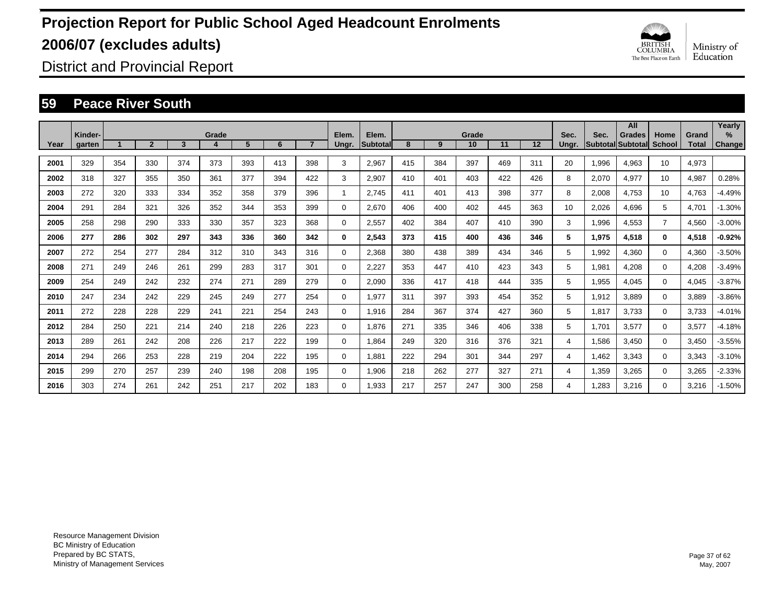

District and Provincial Report

### **59 Peace River South**

|      |                   |     |                |     |       |     |     |     |                |                   |     |     |             |     |     |               |       | All                                       |                |                       | Yearly         |
|------|-------------------|-----|----------------|-----|-------|-----|-----|-----|----------------|-------------------|-----|-----|-------------|-----|-----|---------------|-------|-------------------------------------------|----------------|-----------------------|----------------|
| Year | Kinder-<br>garten |     | $\overline{2}$ | 3   | Grade | 5   | 6   |     | Elem.<br>Ungr. | Elem.<br>Subtotal | 8   | 9   | Grade<br>10 | 11  | 12  | Sec.<br>Ungr. | Sec.  | <b>Grades</b><br><b>Subtotal Subtotal</b> | Home<br>School | Grand<br><b>Total</b> | $\%$<br>Change |
|      |                   |     |                |     |       |     |     |     |                |                   |     |     |             |     |     |               |       |                                           |                |                       |                |
| 2001 | 329               | 354 | 330            | 374 | 373   | 393 | 413 | 398 | 3              | 2,967             | 415 | 384 | 397         | 469 | 311 | 20            | 1,996 | 4,963                                     | 10             | 4,973                 |                |
| 2002 | 318               | 327 | 355            | 350 | 361   | 377 | 394 | 422 | 3              | 2,907             | 410 | 401 | 403         | 422 | 426 | 8             | 2,070 | 4,977                                     | 10             | 4,987                 | 0.28%          |
| 2003 | 272               | 320 | 333            | 334 | 352   | 358 | 379 | 396 | 1              | 2.745             | 411 | 401 | 413         | 398 | 377 | 8             | 2,008 | 4,753                                     | 10             | 4.763                 | $-4.49%$       |
| 2004 | 291               | 284 | 321            | 326 | 352   | 344 | 353 | 399 | 0              | 2.670             | 406 | 400 | 402         | 445 | 363 | 10            | 2,026 | 4.696                                     | 5              | 4.701                 | $-1.30%$       |
| 2005 | 258               | 298 | 290            | 333 | 330   | 357 | 323 | 368 | 0              | 2,557             | 402 | 384 | 407         | 410 | 390 | 3             | 1,996 | 4,553                                     | $\overline{7}$ | 4,560                 | $-3.00%$       |
| 2006 | 277               | 286 | 302            | 297 | 343   | 336 | 360 | 342 | 0              | 2,543             | 373 | 415 | 400         | 436 | 346 | 5             | 1,975 | 4,518                                     | $\mathbf{0}$   | 4,518                 | $-0.92%$       |
| 2007 | 272               | 254 | 277            | 284 | 312   | 310 | 343 | 316 | 0              | 2,368             | 380 | 438 | 389         | 434 | 346 | 5             | 1,992 | 4,360                                     | $\mathbf 0$    | 4,360                 | $-3.50%$       |
| 2008 | 271               | 249 | 246            | 261 | 299   | 283 | 317 | 301 | 0              | 2,227             | 353 | 447 | 410         | 423 | 343 | 5             | 1,981 | 4,208                                     | $\mathbf 0$    | 4,208                 | $-3.49%$       |
| 2009 | 254               | 249 | 242            | 232 | 274   | 271 | 289 | 279 | 0              | 2,090             | 336 | 417 | 418         | 444 | 335 | 5             | 1,955 | 4,045                                     | $\mathbf 0$    | 4,045                 | $-3.87%$       |
| 2010 | 247               | 234 | 242            | 229 | 245   | 249 | 277 | 254 | 0              | 1,977             | 311 | 397 | 393         | 454 | 352 | 5             | 1,912 | 3,889                                     | $\Omega$       | 3,889                 | $-3.86%$       |
| 2011 | 272               | 228 | 228            | 229 | 241   | 221 | 254 | 243 | 0              | 1,916             | 284 | 367 | 374         | 427 | 360 | 5             | 1,817 | 3,733                                     | $\Omega$       | 3,733                 | $-4.01%$       |
| 2012 | 284               | 250 | 221            | 214 | 240   | 218 | 226 | 223 | 0              | 1,876             | 271 | 335 | 346         | 406 | 338 | 5             | 1,701 | 3,577                                     | $\Omega$       | 3,577                 | $-4.18%$       |
| 2013 | 289               | 261 | 242            | 208 | 226   | 217 | 222 | 199 | 0              | 1,864             | 249 | 320 | 316         | 376 | 321 | 4             | 1,586 | 3,450                                     | $\Omega$       | 3,450                 | $-3.55%$       |
| 2014 | 294               | 266 | 253            | 228 | 219   | 204 | 222 | 195 | 0              | 1,881             | 222 | 294 | 301         | 344 | 297 | 4             | 1,462 | 3,343                                     | $\Omega$       | 3,343                 | $-3.10%$       |
| 2015 | 299               | 270 | 257            | 239 | 240   | 198 | 208 | 195 | 0              | 1,906             | 218 | 262 | 277         | 327 | 271 | 4             | 1,359 | 3,265                                     | $\mathbf 0$    | 3,265                 | $-2.33%$       |
| 2016 | 303               | 274 | 261            | 242 | 251   | 217 | 202 | 183 | 0              | 1.933             | 217 | 257 | 247         | 300 | 258 | 4             | 1.283 | 3,216                                     | $\Omega$       | 3,216                 | $-1.50%$       |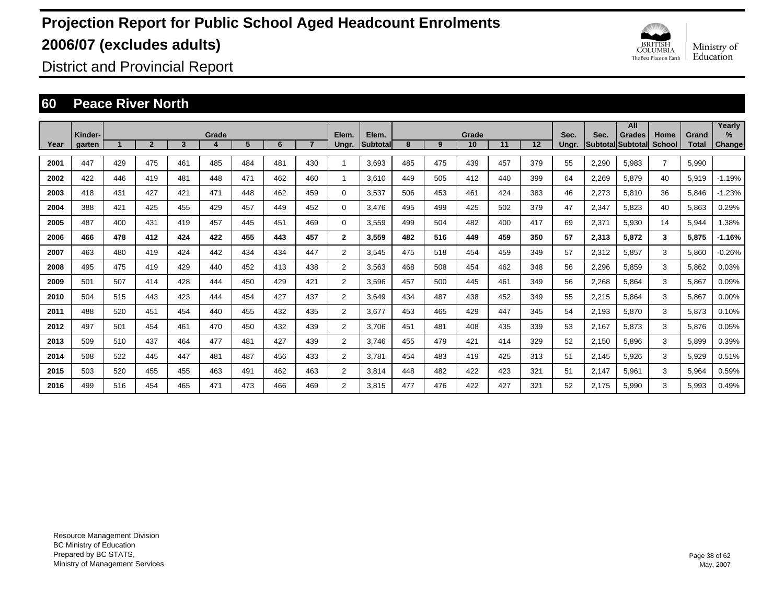

District and Provincial Report

### **60 Peace River North**

|      |                   |     |                |     |       |     |     |                |                |                   |     |     |             |     |     |               |       | All                                       |                |                       | Yearly      |
|------|-------------------|-----|----------------|-----|-------|-----|-----|----------------|----------------|-------------------|-----|-----|-------------|-----|-----|---------------|-------|-------------------------------------------|----------------|-----------------------|-------------|
| Year | Kinder-<br>garten |     | $\overline{2}$ | 3   | Grade | 5   | 6   | $\overline{7}$ | Elem.<br>Ungr. | Elem.<br>Subtotal | 8   | 9   | Grade<br>10 | 11  | 12  | Sec.<br>Ungr. | Sec.  | <b>Grades</b><br><b>Subtotal Subtotal</b> | Home<br>School | Grand<br><b>Total</b> | %<br>Change |
| 2001 | 447               | 429 | 475            | 461 | 485   | 484 | 481 | 430            |                | 3.693             | 485 | 475 | 439         | 457 | 379 | 55            | 2,290 | 5,983                                     | $\overline{7}$ | 5,990                 |             |
| 2002 | 422               | 446 | 419            | 481 | 448   | 471 | 462 | 460            | 1              | 3.610             | 449 | 505 | 412         | 440 | 399 | 64            | 2,269 | 5,879                                     | 40             | 5,919                 | $-1.19%$    |
| 2003 | 418               | 431 | 427            | 421 | 471   | 448 | 462 | 459            | 0              | 3,537             | 506 | 453 | 461         | 424 | 383 | 46            | 2,273 | 5,810                                     | 36             | 5,846                 | $-1.23%$    |
| 2004 | 388               | 421 | 425            | 455 | 429   | 457 | 449 | 452            | 0              | 3.476             | 495 | 499 | 425         | 502 | 379 | 47            | 2,347 | 5,823                                     | 40             | 5,863                 | 0.29%       |
| 2005 | 487               | 400 | 431            | 419 | 457   | 445 | 451 | 469            | 0              | 3,559             | 499 | 504 | 482         | 400 | 417 | 69            | 2,371 | 5,930                                     | 14             | 5,944                 | 1.38%       |
| 2006 | 466               | 478 | 412            | 424 | 422   | 455 | 443 | 457            | $\mathbf{2}$   | 3,559             | 482 | 516 | 449         | 459 | 350 | 57            | 2,313 | 5,872                                     | 3              | 5,875                 | $-1.16%$    |
| 2007 | 463               | 480 | 419            | 424 | 442   | 434 | 434 | 447            | 2              | 3,545             | 475 | 518 | 454         | 459 | 349 | 57            | 2,312 | 5,857                                     | 3              | 5,860                 | $-0.26%$    |
| 2008 | 495               | 475 | 419            | 429 | 440   | 452 | 413 | 438            | $\overline{2}$ | 3,563             | 468 | 508 | 454         | 462 | 348 | 56            | 2,296 | 5,859                                     | 3              | 5,862                 | 0.03%       |
| 2009 | 501               | 507 | 414            | 428 | 444   | 450 | 429 | 421            | $\overline{2}$ | 3,596             | 457 | 500 | 445         | 461 | 349 | 56            | 2,268 | 5,864                                     | 3              | 5,867                 | 0.09%       |
| 2010 | 504               | 515 | 443            | 423 | 444   | 454 | 427 | 437            | 2              | 3,649             | 434 | 487 | 438         | 452 | 349 | 55            | 2,215 | 5,864                                     | 3              | 5,867                 | 0.00%       |
| 2011 | 488               | 520 | 451            | 454 | 440   | 455 | 432 | 435            | 2              | 3,677             | 453 | 465 | 429         | 447 | 345 | 54            | 2,193 | 5,870                                     | 3              | 5,873                 | 0.10%       |
| 2012 | 497               | 501 | 454            | 461 | 470   | 450 | 432 | 439            | 2              | 3.706             | 451 | 481 | 408         | 435 | 339 | 53            | 2,167 | 5,873                                     | 3              | 5,876                 | 0.05%       |
| 2013 | 509               | 510 | 437            | 464 | 477   | 481 | 427 | 439            | 2              | 3.746             | 455 | 479 | 421         | 414 | 329 | 52            | 2,150 | 5.896                                     | 3              | 5,899                 | 0.39%       |
| 2014 | 508               | 522 | 445            | 447 | 481   | 487 | 456 | 433            | 2              | 3.781             | 454 | 483 | 419         | 425 | 313 | 51            | 2,145 | 5,926                                     | 3              | 5,929                 | 0.51%       |
| 2015 | 503               | 520 | 455            | 455 | 463   | 491 | 462 | 463            | 2              | 3.814             | 448 | 482 | 422         | 423 | 321 | 51            | 2,147 | 5,961                                     | 3              | 5,964                 | 0.59%       |
| 2016 | 499               | 516 | 454            | 465 | 471   | 473 | 466 | 469            | 2              | 3.815             | 477 | 476 | 422         | 427 | 321 | 52            | 2.175 | 5,990                                     | 3              | 5.993                 | 0.49%       |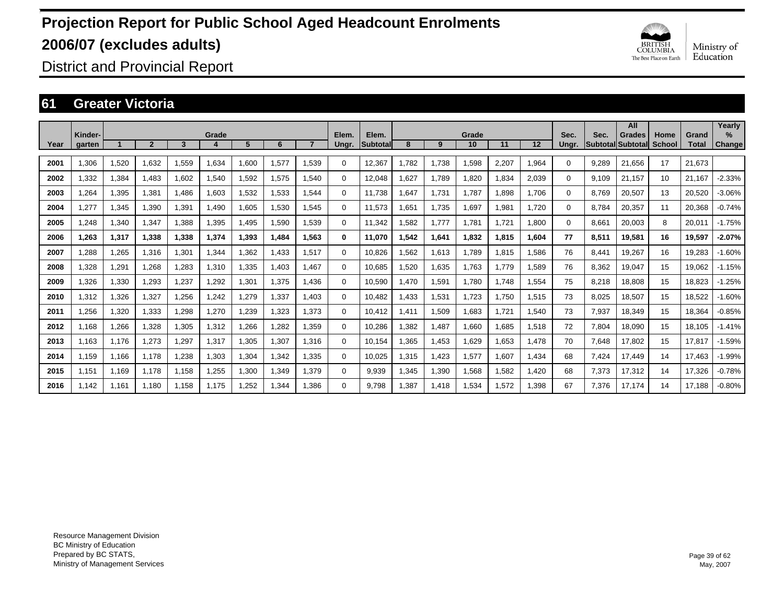

District and Provincial Report

### **61 Greater Victoria**

|      |                   |       |                |       |       |       |       |       |                |                   |        |       |             |       |       |               |       | All                                       |                       |                       | Yearly             |
|------|-------------------|-------|----------------|-------|-------|-------|-------|-------|----------------|-------------------|--------|-------|-------------|-------|-------|---------------|-------|-------------------------------------------|-----------------------|-----------------------|--------------------|
| Year | Kinder-<br>garten |       | $\overline{2}$ | 3     | Grade | 5     | 6     |       | Elem.<br>Ungr. | Elem.<br>Subtotal | 8      | 9     | Grade<br>10 | 11    | 12    | Sec.<br>Ungr. | Sec.  | <b>Grades</b><br><b>Subtotal Subtotal</b> | Home<br><b>School</b> | Grand<br><b>Total</b> | %<br><b>Change</b> |
| 2001 | 1.306             | 1,520 | 1.632          | 1,559 | 1.634 | 1.600 | 1,577 | 1.539 | $\Omega$       | 12,367            | .782   | 1.738 | 1,598       | 2,207 | 1,964 | 0             | 9.289 | 21.656                                    | 17                    | 21,673                |                    |
| 2002 | 1.332             | 1,384 | 1.483          | 1.602 | 1,540 | 1,592 | 1,575 | 1.540 | $\Omega$       | 12.048            | .627   | 1.789 | 1.820       | 1.834 | 2,039 | 0             | 9.109 | 21.157                                    | 10                    | 21.167                | $-2.33%$           |
| 2003 | .264              | 1,395 | 1,381          | 1,486 | 1,603 | 1,532 | 1,533 | 1,544 | $\Omega$       | 11,738            | .647   | 1,731 | 1,787       | 1,898 | 1.706 | $\Omega$      | 8,769 | 20,507                                    | 13                    | 20,520                | $-3.06%$           |
| 2004 | ,277              | 1,345 | 1,390          | 1,391 | 1.490 | 1,605 | 1,530 | 1.545 | 0              | 11,573            | .651   | 1,735 | 1,697       | 1,981 | 1.720 | $\Omega$      | 8.784 | 20,357                                    | 11                    | 20,368                | $-0.74%$           |
| 2005 | .248              | 1,340 | 1,347          | 1,388 | 1,395 | 1,495 | 1,590 | 1,539 | 0              | 11.342            | .582   | 1.777 | 1,781       | 1.721 | 1,800 | 0             | 8,661 | 20,003                                    | 8                     | 20,011                | $-1.75%$           |
| 2006 | 1.263             | 1,317 | 1,338          | 1,338 | 1,374 | 1,393 | 1,484 | 1,563 | 0              | 11,070            | 542. ا | 1,641 | 1,832       | 1,815 | 1,604 | 77            | 8,511 | 19,581                                    | 16                    | 19,597                | $-2.07%$           |
| 2007 | ,288              | 1,265 | 1.316          | 1,301 | 1,344 | 1,362 | 1,433 | 1,517 | 0              | 10,826            | .562   | 1,613 | 1,789       | 1,815 | 1,586 | 76            | 8,441 | 19,267                                    | 16                    | 19,283                | $-1.60%$           |
| 2008 | 1,328             | 1,291 | 1,268          | 1,283 | 1,310 | 1,335 | 1.403 | 1.467 | $\Omega$       | 10.685            | ,520   | 1,635 | 1.763       | 1.779 | 1,589 | 76            | 8,362 | 19.047                                    | 15                    | 19.062                | $-1.15%$           |
| 2009 | 1,326             | 1,330 | 1,293          | 1,237 | 1,292 | 1,301 | 1,375 | 1,436 | $\Omega$       | 10,590            | ,470   | 1,591 | 1,780       | 1.748 | 1,554 | 75            | 8,218 | 18,808                                    | 15                    | 18,823                | $-1.25%$           |
| 2010 | 1,312             | 1,326 | 1,327          | ,256  | 1,242 | 1,279 | 1,337 | 1.403 | $\Omega$       | 10,482            | ,433   | 1,531 | 1,723       | 1,750 | 1,515 | 73            | 8,025 | 18,507                                    | 15                    | 18,522                | $-1.60%$           |
| 2011 | ,256              | 1,320 | 1,333          | 1,298 | 1,270 | 1,239 | 1,323 | 1.373 | 0              | 10.412            | ,411   | 1,509 | 1,683       | 1.721 | 1.540 | 73            | 7,937 | 18,349                                    | 15                    | 18,364                | $-0.85%$           |
| 2012 | 1.168             | 1,266 | 1.328          | 1,305 | 1,312 | 1,266 | 1.282 | 1.359 | 0              | 10,286            | .382   | 1.487 | 1,660       | 1.685 | 1.518 | 72            | 7,804 | 18,090                                    | 15                    | 18,105                | $-1.41%$           |
| 2013 | 1.163             | 1.176 | 1.273          | 1.297 | 1,317 | 1.305 | 1.307 | 1.316 | $\Omega$       | 10,154            | .365   | 1.453 | 1,629       | 1,653 | 1.478 | 70            | 7.648 | 17.802                                    | 15                    | 17,817                | $-1.59%$           |
| 2014 | 1.159             | 1.166 | 1.178          | 1,238 | 1,303 | 1.304 | 1.342 | 1.335 | $\Omega$       | 10.025            | 1.315  | 1.423 | 1,577       | 1.607 | 1.434 | 68            | 7.424 | 17.449                                    | 14                    | 17.463                | $-1.99%$           |
| 2015 | 1,151             | 1,169 | 1,178          | 1,158 | 1,255 | 1,300 | 1,349 | 1,379 | $\Omega$       | 9,939             | 1,345  | 1,390 | 1,568       | 1,582 | 1.420 | 68            | 7,373 | 17,312                                    | 14                    | 17,326                | $-0.78%$           |
| 2016 | 1.142             | 1,161 | 1.180          | 1,158 | 1,175 | 1,252 | 1.344 | 1.386 | $\Omega$       | 9.798             | 1,387  | 1,418 | 1,534       | 1,572 | 1.398 | 67            | 7,376 | 17.174                                    | 14                    | 17,188                | $-0.80%$           |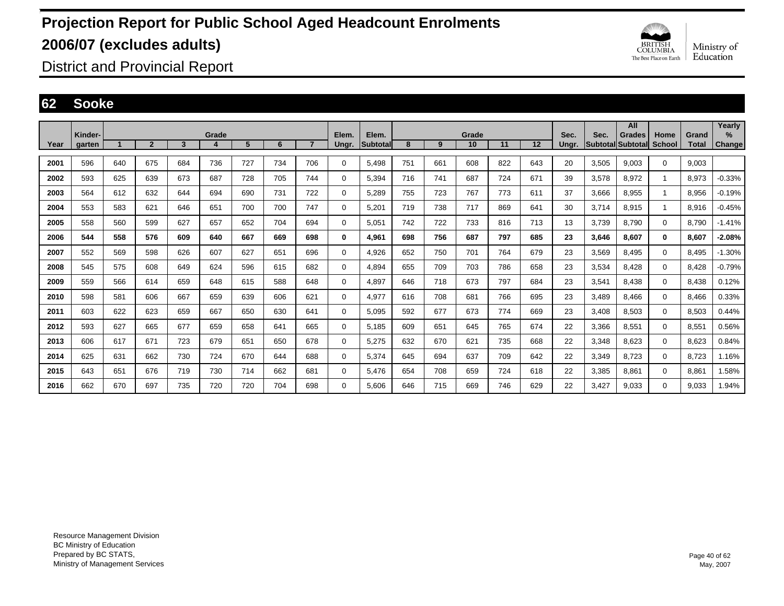

District and Provincial Report

#### **62 Sooke**

|      |                   |     |                |     |            |     |     |                |                |                   |     |     |             |     |     |               |       | All                                |                |                       | Yearly                |
|------|-------------------|-----|----------------|-----|------------|-----|-----|----------------|----------------|-------------------|-----|-----|-------------|-----|-----|---------------|-------|------------------------------------|----------------|-----------------------|-----------------------|
| Year | Kinder-<br>garten |     | $\overline{2}$ | 3   | Grade<br>4 | 5   | 6   | $\overline{7}$ | Elem.<br>Ungr. | Elem.<br>Subtotal | 8   | 9   | Grade<br>10 | 11  | 12  | Sec.<br>Ungr. | Sec.  | <b>Grades</b><br>Subtotal Subtotal | Home<br>School | Grand<br><b>Total</b> | $\%$<br><b>Change</b> |
|      |                   |     |                |     |            |     |     |                |                |                   |     |     |             |     |     |               |       |                                    |                |                       |                       |
| 2001 | 596               | 640 | 675            | 684 | 736        | 727 | 734 | 706            | 0              | 5.498             | 751 | 661 | 608         | 822 | 643 | 20            | 3,505 | 9.003                              | 0              | 9.003                 |                       |
| 2002 | 593               | 625 | 639            | 673 | 687        | 728 | 705 | 744            | 0              | 5.394             | 716 | 741 | 687         | 724 | 671 | 39            | 3,578 | 8,972                              | 1              | 8.973                 | $-0.33%$              |
| 2003 | 564               | 612 | 632            | 644 | 694        | 690 | 731 | 722            | 0              | 5,289             | 755 | 723 | 767         | 773 | 611 | 37            | 3,666 | 8,955                              | 1              | 8,956                 | $-0.19%$              |
| 2004 | 553               | 583 | 621            | 646 | 651        | 700 | 700 | 747            | 0              | 5,201             | 719 | 738 | 717         | 869 | 641 | 30            | 3,714 | 8.915                              | 1              | 8,916                 | $-0.45%$              |
| 2005 | 558               | 560 | 599            | 627 | 657        | 652 | 704 | 694            | 0              | 5.051             | 742 | 722 | 733         | 816 | 713 | 13            | 3.739 | 8.790                              | $\Omega$       | 8.790                 | $-1.41%$              |
| 2006 | 544               | 558 | 576            | 609 | 640        | 667 | 669 | 698            | 0              | 4,961             | 698 | 756 | 687         | 797 | 685 | 23            | 3,646 | 8.607                              | 0              | 8,607                 | $-2.08%$              |
| 2007 | 552               | 569 | 598            | 626 | 607        | 627 | 651 | 696            | 0              | 4.926             | 652 | 750 | 701         | 764 | 679 | 23            | 3,569 | 8.495                              | 0              | 8.495                 | $-1.30%$              |
| 2008 | 545               | 575 | 608            | 649 | 624        | 596 | 615 | 682            | 0              | 4.894             | 655 | 709 | 703         | 786 | 658 | 23            | 3,534 | 8.428                              | 0              | 8.428                 | $-0.79%$              |
| 2009 | 559               | 566 | 614            | 659 | 648        | 615 | 588 | 648            | 0              | 4,897             | 646 | 718 | 673         | 797 | 684 | 23            | 3,541 | 8,438                              | $\Omega$       | 8,438                 | 0.12%                 |
| 2010 | 598               | 581 | 606            | 667 | 659        | 639 | 606 | 621            | 0              | 4,977             | 616 | 708 | 681         | 766 | 695 | 23            | 3,489 | 8.466                              | 0              | 8,466                 | 0.33%                 |
| 2011 | 603               | 622 | 623            | 659 | 667        | 650 | 630 | 641            | 0              | 5.095             | 592 | 677 | 673         | 774 | 669 | 23            | 3,408 | 8.503                              | 0              | 8.503                 | 0.44%                 |
| 2012 | 593               | 627 | 665            | 677 | 659        | 658 | 641 | 665            | $\Omega$       | 5,185             | 609 | 651 | 645         | 765 | 674 | 22            | 3,366 | 8,551                              | $\Omega$       | 8,551                 | 0.56%                 |
| 2013 | 606               | 617 | 671            | 723 | 679        | 651 | 650 | 678            | 0              | 5,275             | 632 | 670 | 621         | 735 | 668 | 22            | 3,348 | 8.623                              | 0              | 8.623                 | 0.84%                 |
| 2014 | 625               | 631 | 662            | 730 | 724        | 670 | 644 | 688            | $\Omega$       | 5.374             | 645 | 694 | 637         | 709 | 642 | 22            | 3,349 | 8.723                              | $\Omega$       | 8.723                 | 1.16%                 |
| 2015 | 643               | 651 | 676            | 719 | 730        | 714 | 662 | 681            | $\Omega$       | 5,476             | 654 | 708 | 659         | 724 | 618 | 22            | 3,385 | 8,861                              | $\Omega$       | 8,861                 | 1.58%                 |
| 2016 | 662               | 670 | 697            | 735 | 720        | 720 | 704 | 698            | $\Omega$       | 5.606             | 646 | 715 | 669         | 746 | 629 | 22            | 3.427 | 9.033                              | $\Omega$       | 9.033                 | 1.94%                 |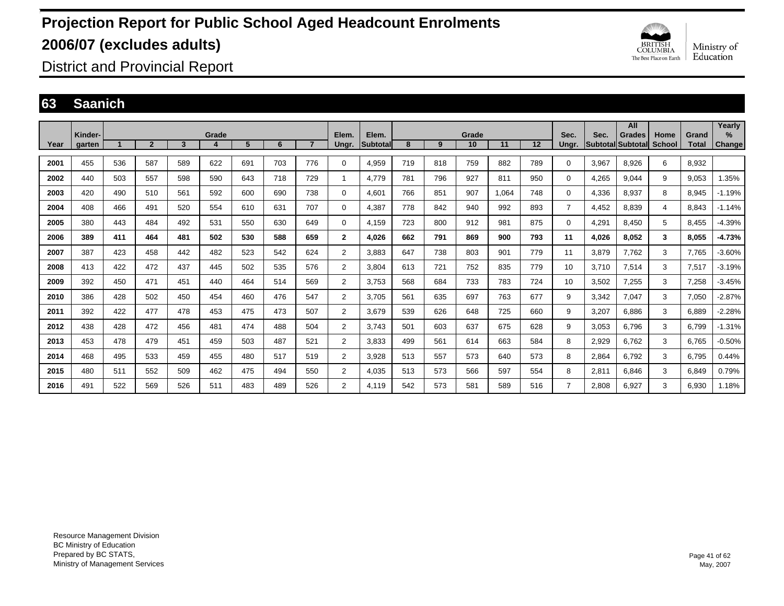

District and Provincial Report

### **63 Saanich**

|      |                   |     |                |     |            |     |     |                |                |                           |     |     |             |       |     |                |       | All                                |                |                       | Yearly         |
|------|-------------------|-----|----------------|-----|------------|-----|-----|----------------|----------------|---------------------------|-----|-----|-------------|-------|-----|----------------|-------|------------------------------------|----------------|-----------------------|----------------|
| Year | Kinder-<br>garten |     | $\overline{2}$ | 3   | Grade<br>4 | 5   | 6   | $\overline{7}$ | Elem.<br>Ungr. | Elem.<br><b>Subtotall</b> | 8   | 9   | Grade<br>10 | 11    | 12  | Sec.<br>Ungr.  | Sec.  | <b>Grades</b><br>Subtotal Subtotal | Home<br>School | Grand<br><b>Total</b> | $\%$<br>Change |
|      |                   |     |                |     |            |     |     |                |                |                           |     |     |             |       |     |                |       |                                    |                |                       |                |
| 2001 | 455               | 536 | 587            | 589 | 622        | 691 | 703 | 776            | 0              | 4,959                     | 719 | 818 | 759         | 882   | 789 | 0              | 3,967 | 8.926                              | 6              | 8,932                 |                |
| 2002 | 440               | 503 | 557            | 598 | 590        | 643 | 718 | 729            | 1              | 4.779                     | 781 | 796 | 927         | 811   | 950 | $\mathbf 0$    | 4,265 | 9.044                              | 9              | 9.053                 | .35%           |
| 2003 | 420               | 490 | 510            | 561 | 592        | 600 | 690 | 738            | $\mathbf 0$    | 4.601                     | 766 | 851 | 907         | 1.064 | 748 | $\mathbf 0$    | 4,336 | 8.937                              | 8              | 8.945                 | $-1.19%$       |
| 2004 | 408               | 466 | 491            | 520 | 554        | 610 | 631 | 707            | $\mathbf 0$    | 4,387                     | 778 | 842 | 940         | 992   | 893 | $\overline{7}$ | 4,452 | 8,839                              | 4              | 8,843                 | $-1.14%$       |
| 2005 | 380               | 443 | 484            | 492 | 531        | 550 | 630 | 649            | 0              | 4,159                     | 723 | 800 | 912         | 981   | 875 | $\Omega$       | 4,291 | 8.450                              | 5              | 8,455                 | $-4.39%$       |
| 2006 | 389               | 411 | 464            | 481 | 502        | 530 | 588 | 659            | $\mathbf{2}$   | 4.026                     | 662 | 791 | 869         | 900   | 793 | 11             | 4,026 | 8,052                              | 3              | 8,055                 | $-4.73%$       |
| 2007 | 387               | 423 | 458            | 442 | 482        | 523 | 542 | 624            | 2              | 3.883                     | 647 | 738 | 803         | 901   | 779 | 11             | 3,879 | 7.762                              | 3              | 7.765                 | $-3.60%$       |
| 2008 | 413               | 422 | 472            | 437 | 445        | 502 | 535 | 576            | 2              | 3.804                     | 613 | 721 | 752         | 835   | 779 | 10             | 3.710 | 7.514                              | 3              | 7.517                 | $-3.19%$       |
| 2009 | 392               | 450 | 471            | 451 | 440        | 464 | 514 | 569            | $\overline{2}$ | 3.753                     | 568 | 684 | 733         | 783   | 724 | 10             | 3,502 | 7.255                              | 3              | 7.258                 | $-3.45%$       |
| 2010 | 386               | 428 | 502            | 450 | 454        | 460 | 476 | 547            | $\overline{2}$ | 3,705                     | 561 | 635 | 697         | 763   | 677 | 9              | 3,342 | 7,047                              | 3              | 7,050                 | $-2.87%$       |
| 2011 | 392               | 422 | 477            | 478 | 453        | 475 | 473 | 507            | $\overline{2}$ | 3,679                     | 539 | 626 | 648         | 725   | 660 | 9              | 3,207 | 6,886                              | 3              | 6,889                 | $-2.28%$       |
| 2012 | 438               | 428 | 472            | 456 | 481        | 474 | 488 | 504            | $\overline{2}$ | 3.743                     | 501 | 603 | 637         | 675   | 628 | 9              | 3,053 | 6,796                              | 3              | 6,799                 | $-1.31%$       |
| 2013 | 453               | 478 | 479            | 451 | 459        | 503 | 487 | 521            | $\overline{2}$ | 3,833                     | 499 | 561 | 614         | 663   | 584 | 8              | 2,929 | 6,762                              | 3              | 6,765                 | $-0.50%$       |
| 2014 | 468               | 495 | 533            | 459 | 455        | 480 | 517 | 519            | $\overline{2}$ | 3,928                     | 513 | 557 | 573         | 640   | 573 | 8              | 2,864 | 6.792                              | 3              | 6,795                 | 0.44%          |
| 2015 | 480               | 511 | 552            | 509 | 462        | 475 | 494 | 550            | $\overline{2}$ | 4.035                     | 513 | 573 | 566         | 597   | 554 | 8              | 2,811 | 6.846                              | 3              | 6.849                 | 0.79%          |
| 2016 | 491               | 522 | 569            | 526 | 511        | 483 | 489 | 526            | $\overline{2}$ | 4.119                     | 542 | 573 | 581         | 589   | 516 | 7              | 2,808 | 6,927                              | 3              | 6,930                 | 1.18%          |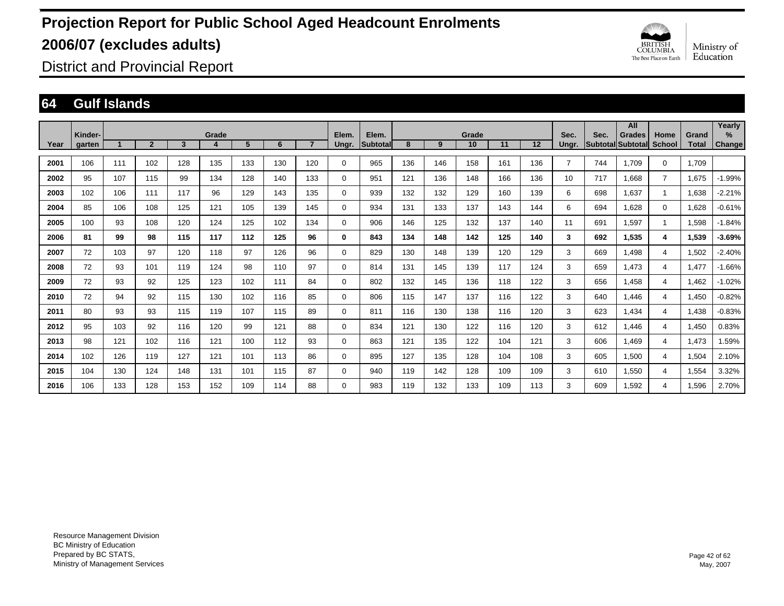

District and Provincial Report

#### **64 Gulf Islands**

|      |                   |     |                |     |            |     |     |     |                |                          |     |     |             |     |     |                |      | All                                |                       |                | Yearly      |
|------|-------------------|-----|----------------|-----|------------|-----|-----|-----|----------------|--------------------------|-----|-----|-------------|-----|-----|----------------|------|------------------------------------|-----------------------|----------------|-------------|
| Year | Kinder-<br>garten |     | $\overline{2}$ | 3   | Grade<br>4 | 5   | 6   |     | Elem.<br>Ungr. | Elem.<br><b>Subtotal</b> | 8   | 9   | Grade<br>10 | 11  | 12  | Sec.<br>Ungr.  | Sec. | <b>Grades</b><br>Subtotal Subtotal | Home<br><b>School</b> | Grand<br>Total | %<br>Change |
| 2001 | 106               | 111 | 102            | 128 | 135        | 133 | 130 | 120 | $\mathbf 0$    | 965                      | 136 | 146 | 158         | 161 | 136 | $\overline{7}$ | 744  | 1.709                              | $\mathbf 0$           | 1,709          |             |
| 2002 | 95                | 107 | 115            | 99  | 134        | 128 | 140 | 133 | $\mathbf 0$    | 951                      | 121 | 136 | 148         | 166 | 136 | 10             | 717  | 1,668                              | $\overline{7}$        | 1,675          | $-1.99%$    |
| 2003 | 102               | 106 | 111            | 117 | 96         | 129 | 143 | 135 | $\mathbf 0$    | 939                      | 132 | 132 | 129         | 160 | 139 | 6              | 698  | 1,637                              |                       | 1,638          | $-2.21%$    |
| 2004 | 85                | 106 | 108            | 125 | 121        | 105 | 139 | 145 | $\mathbf 0$    | 934                      | 131 | 133 | 137         | 143 | 144 | 6              | 694  | 1,628                              | $\mathbf 0$           | 1,628          | $-0.61%$    |
| 2005 | 100               | 93  | 108            | 120 | 124        | 125 | 102 | 134 | $\mathbf 0$    | 906                      | 146 | 125 | 132         | 137 | 140 | 11             | 691  | 1,597                              |                       | 1,598          | $-1.84%$    |
| 2006 | 81                | 99  | 98             | 115 | 117        | 112 | 125 | 96  | $\bf{0}$       | 843                      | 134 | 148 | 142         | 125 | 140 | 3              | 692  | 1,535                              | 4                     | 1,539          | $-3.69%$    |
| 2007 | 72                | 103 | 97             | 120 | 118        | 97  | 126 | 96  | $\mathbf 0$    | 829                      | 130 | 148 | 139         | 120 | 129 | 3              | 669  | 1,498                              | 4                     | 1,502          | $-2.40%$    |
| 2008 | 72                | 93  | 101            | 119 | 124        | 98  | 110 | 97  | $\mathbf 0$    | 814                      | 131 | 145 | 139         | 117 | 124 | 3              | 659  | 1.473                              | 4                     | 1,477          | $-1.66%$    |
| 2009 | 72                | 93  | 92             | 125 | 123        | 102 | 111 | 84  | 0              | 802                      | 132 | 145 | 136         | 118 | 122 | 3              | 656  | 1,458                              | $\overline{4}$        | 1,462          | $-1.02%$    |
| 2010 | 72                | 94  | 92             | 115 | 130        | 102 | 116 | 85  | 0              | 806                      | 115 | 147 | 137         | 116 | 122 | 3              | 640  | 1,446                              | $\overline{4}$        | 1,450          | $-0.82%$    |
| 2011 | 80                | 93  | 93             | 115 | 119        | 107 | 115 | 89  | 0              | 811                      | 116 | 130 | 138         | 116 | 120 | 3              | 623  | 1,434                              | $\overline{4}$        | 1,438          | $-0.83%$    |
| 2012 | 95                | 103 | 92             | 116 | 120        | 99  | 121 | 88  | $\mathbf 0$    | 834                      | 121 | 130 | 122         | 116 | 120 | 3              | 612  | 1,446                              | $\overline{4}$        | 1,450          | 0.83%       |
| 2013 | 98                | 121 | 102            | 116 | 121        | 100 | 112 | 93  | $\mathbf 0$    | 863                      | 121 | 135 | 122         | 104 | 121 | 3              | 606  | 1,469                              | $\overline{4}$        | 1,473          | 1.59%       |
| 2014 | 102               | 126 | 119            | 127 | 121        | 101 | 113 | 86  | $\mathbf 0$    | 895                      | 127 | 135 | 128         | 104 | 108 | 3              | 605  | 1,500                              | 4                     | 1,504          | 2.10%       |
| 2015 | 104               | 130 | 124            | 148 | 131        | 101 | 115 | 87  | 0              | 940                      | 119 | 142 | 128         | 109 | 109 | 3              | 610  | 1,550                              | 4                     | 1,554          | 3.32%       |
| 2016 | 106               | 133 | 128            | 153 | 152        | 109 | 114 | 88  | 0              | 983                      | 119 | 132 | 133         | 109 | 113 | 3              | 609  | 1,592                              | $\overline{4}$        | 1,596          | 2.70%       |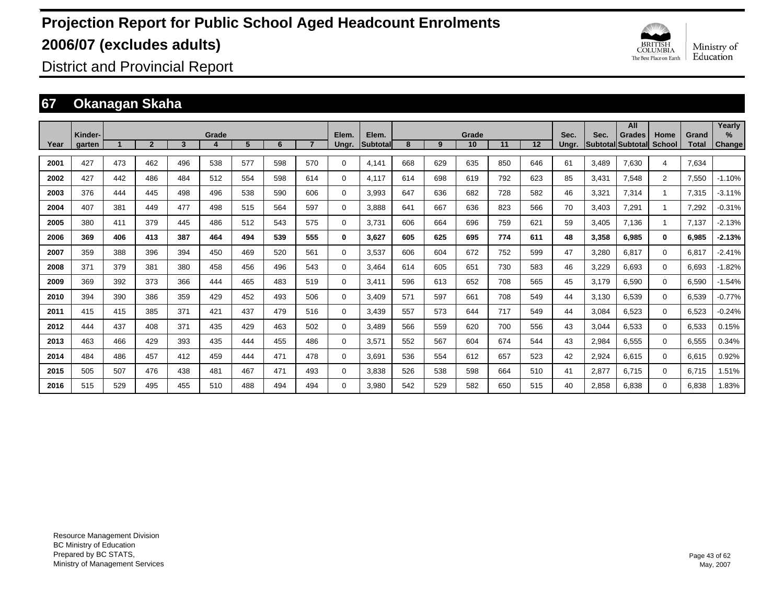

District and Provincial Report

### **67 Okanagan Skaha**

|      | Kinder- |     |                |     | Grade |     |     |     | Elem.    | Elem.           |     |     | Grade |     |                   | Sec.  | Sec.  | All<br><b>Grades</b>     |                       | Grand        | Yearly<br>$\frac{9}{6}$ |
|------|---------|-----|----------------|-----|-------|-----|-----|-----|----------|-----------------|-----|-----|-------|-----|-------------------|-------|-------|--------------------------|-----------------------|--------------|-------------------------|
| Year | garten  |     | $\overline{2}$ | 3   |       | 5   | 6   |     | Ungr.    | <b>Subtotal</b> | 8   | 9   | 10    | 11  | $12 \overline{ }$ | Ungr. |       | <b>Subtotal Subtotal</b> | Home<br><b>School</b> | <b>Total</b> | <b>Change</b>           |
| 2001 | 427     | 473 | 462            | 496 | 538   | 577 | 598 | 570 | 0        | 4.141           | 668 | 629 | 635   | 850 | 646               | 61    | 3,489 | 7,630                    | 4                     | 7,634        |                         |
| 2002 | 427     | 442 | 486            | 484 | 512   | 554 | 598 | 614 | 0        | 4.117           | 614 | 698 | 619   | 792 | 623               | 85    | 3,431 | 7,548                    | $\overline{2}$        | 7,550        | $-1.10%$                |
| 2003 | 376     | 444 | 445            | 498 | 496   | 538 | 590 | 606 | 0        | 3,993           | 647 | 636 | 682   | 728 | 582               | 46    | 3,321 | 7,314                    | $\mathbf{1}$          | 7,315        | $-3.11%$                |
| 2004 | 407     | 381 | 449            | 477 | 498   | 515 | 564 | 597 | 0        | 3.888           | 641 | 667 | 636   | 823 | 566               | 70    | 3,403 | 7,291                    | $\mathbf{1}$          | 7,292        | $-0.31%$                |
| 2005 | 380     | 411 | 379            | 445 | 486   | 512 | 543 | 575 | 0        | 3.731           | 606 | 664 | 696   | 759 | 621               | 59    | 3.405 | 7.136                    | -1                    | 7,137        | $-2.13%$                |
| 2006 | 369     | 406 | 413            | 387 | 464   | 494 | 539 | 555 | 0        | 3.627           | 605 | 625 | 695   | 774 | 611               | 48    | 3,358 | 6.985                    | $\bf{0}$              | 6,985        | $-2.13%$                |
| 2007 | 359     | 388 | 396            | 394 | 450   | 469 | 520 | 561 | 0        | 3.537           | 606 | 604 | 672   | 752 | 599               | 47    | 3,280 | 6.817                    | $\Omega$              | 6,817        | $-2.41%$                |
| 2008 | 371     | 379 | 381            | 380 | 458   | 456 | 496 | 543 | 0        | 3,464           | 614 | 605 | 651   | 730 | 583               | 46    | 3,229 | 6,693                    | 0                     | 6,693        | $-1.82%$                |
| 2009 | 369     | 392 | 373            | 366 | 444   | 465 | 483 | 519 | 0        | 3,411           | 596 | 613 | 652   | 708 | 565               | 45    | 3,179 | 6,590                    | 0                     | 6,590        | $-1.54%$                |
| 2010 | 394     | 390 | 386            | 359 | 429   | 452 | 493 | 506 | 0        | 3,409           | 571 | 597 | 661   | 708 | 549               | 44    | 3,130 | 6,539                    | 0                     | 6,539        | $-0.77%$                |
| 2011 | 415     | 415 | 385            | 371 | 421   | 437 | 479 | 516 | 0        | 3,439           | 557 | 573 | 644   | 717 | 549               | 44    | 3,084 | 6,523                    | 0                     | 6,523        | $-0.24%$                |
| 2012 | 444     | 437 | 408            | 371 | 435   | 429 | 463 | 502 | 0        | 3,489           | 566 | 559 | 620   | 700 | 556               | 43    | 3,044 | 6,533                    | 0                     | 6,533        | 0.15%                   |
| 2013 | 463     | 466 | 429            | 393 | 435   | 444 | 455 | 486 | 0        | 3,571           | 552 | 567 | 604   | 674 | 544               | 43    | 2,984 | 6,555                    | $\mathbf 0$           | 6,555        | 0.34%                   |
| 2014 | 484     | 486 | 457            | 412 | 459   | 444 | 471 | 478 | 0        | 3.691           | 536 | 554 | 612   | 657 | 523               | 42    | 2,924 | 6,615                    | 0                     | 6,615        | 0.92%                   |
| 2015 | 505     | 507 | 476            | 438 | 481   | 467 | 471 | 493 | 0        | 3.838           | 526 | 538 | 598   | 664 | 510               | 41    | 2,877 | 6.715                    | $\mathbf 0$           | 6,715        | 1.51%                   |
| 2016 | 515     | 529 | 495            | 455 | 510   | 488 | 494 | 494 | $\Omega$ | 3.980           | 542 | 529 | 582   | 650 | 515               | 40    | 2.858 | 6.838                    | $\Omega$              | 6.838        | 1.83%                   |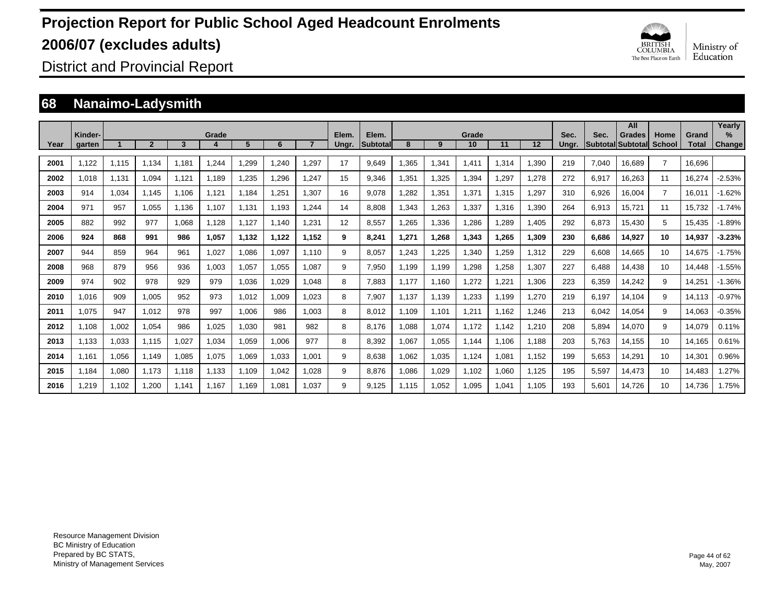

District and Provincial Report

### **68 Nanaimo-Ladysmith**

|      |                   |       |              |       |       |       |       |       |                |                   |       |       |             |       |       |               |       | All                                       |                |                       | Yearly                  |
|------|-------------------|-------|--------------|-------|-------|-------|-------|-------|----------------|-------------------|-------|-------|-------------|-------|-------|---------------|-------|-------------------------------------------|----------------|-----------------------|-------------------------|
| Year | Kinder-<br>garten |       | $\mathbf{2}$ | 3     | Grade | 5     | 6     |       | Elem.<br>Ungr. | Elem.<br>Subtotal | 8     | 9     | Grade<br>10 | 11    | 12    | Sec.<br>Ungr. | Sec.  | <b>Grades</b><br><b>SubtotallSubtotal</b> | Home<br>School | Grand<br><b>Total</b> | $\frac{9}{6}$<br>Change |
|      |                   |       |              |       |       |       |       |       |                |                   |       |       |             |       |       |               |       |                                           |                |                       |                         |
| 2001 | 1,122             | 1,115 | 1,134        | 1,181 | 1,244 | 1,299 | 1.240 | 1,297 | 17             | 9,649             | 1,365 | 1,341 | 1,411       | 1,314 | 1,390 | 219           | 7,040 | 16.689                                    | $\overline{7}$ | 16,696                |                         |
| 2002 | 1.018             | 1,131 | 1,094        | 1,121 | 1,189 | 1,235 | 1,296 | 1.247 | 15             | 9,346             | .351  | 1,325 | 1,394       | 1,297 | 1,278 | 272           | 6,917 | 16,263                                    | 11             | 16,274                | $-2.53%$                |
| 2003 | 914               | 1,034 | 1.145        | 1.106 | 1.121 | 1.184 | 1.251 | 1.307 | 16             | 9.078             | .282  | 1,351 | 1.371       | 1.315 | 1.297 | 310           | 6,926 | 16.004                                    | $\overline{7}$ | 16.011                | $-1.62%$                |
| 2004 | 971               | 957   | 1.055        | 1.136 | 1.107 | 1.131 | 1.193 | 1.244 | 14             | 8.808             | .343  | 1,263 | 1,337       | 1.316 | 1.390 | 264           | 6,913 | 15.721                                    | 11             | 15,732                | $-1.74%$                |
| 2005 | 882               | 992   | 977          | 1.068 | 1.128 | 1.127 | 1.140 | 1.231 | 12             | 8,557             | .265  | 1,336 | 1,286       | 1,289 | 1.405 | 292           | 6,873 | 15.430                                    | 5              | 15,435                | $-1.89%$                |
| 2006 | 924               | 868   | 991          | 986   | 1,057 | 1,132 | 1,122 | 1.152 | 9              | 8,241             | 1.271 | 1,268 | 1,343       | 1.265 | 1,309 | 230           | 6,686 | 14,927                                    | 10             | 14,937                | $-3.23%$                |
| 2007 | 944               | 859   | 964          | 961   | 1.027 | 1,086 | 1.097 | 1.110 | 9              | 8,057             | .243  | 1,225 | 1,340       | 1,259 | 1,312 | 229           | 6,608 | 14.665                                    | 10             | 14,675                | $-1.75%$                |
| 2008 | 968               | 879   | 956          | 936   | 1.003 | 1,057 | 1,055 | 1.087 | 9              | 7,950             | 1.199 | 1.199 | 1,298       | 1,258 | 1,307 | 227           | 6.488 | 14.438                                    | 10             | 14.448                | $-1.55%$                |
| 2009 | 974               | 902   | 978          | 929   | 979   | 1,036 | 1,029 | 1.048 | 8              | 7,883             | 1.177 | 1.160 | 1,272       | 1,221 | 1,306 | 223           | 6,359 | 14.242                                    | 9              | 14,251                | $-1.36%$                |
| 2010 | 1.016             | 909   | 1,005        | 952   | 973   | 1,012 | 1,009 | 1,023 | 8              | 7,907             | 1.137 | 1,139 | 1,233       | 1,199 | 1,270 | 219           | 6,197 | 14.104                                    | 9              | 14,113                | $-0.97%$                |
| 2011 | 1.075             | 947   | 1.012        | 978   | 997   | 1,006 | 986   | 1.003 | 8              | 8,012             | 1,109 | 1,101 | 1,211       | 1,162 | 1.246 | 213           | 6,042 | 14,054                                    | 9              | 14,063                | $-0.35%$                |
| 2012 | 1.108             | 1,002 | 1,054        | 986   | 1,025 | 1,030 | 981   | 982   | 8              | 8,176             | ,088  | 1,074 | 1.172       | 1,142 | 1,210 | 208           | 5,894 | 14,070                                    | 9              | 14,079                | 0.11%                   |
| 2013 | 1,133             | 1,033 | 1,115        | 1,027 | 1,034 | 1,059 | 1,006 | 977   | 8              | 8,392             | ,067  | 1,055 | 1,144       | 1,106 | 1,188 | 203           | 5,763 | 14,155                                    | 10             | 14,165                | 0.61%                   |
| 2014 | 1,161             | 1,056 | 1,149        | 1,085 | 1,075 | 1,069 | 1,033 | 1,001 | 9              | 8,638             | ,062  | 1,035 | 1,124       | 1,081 | 1,152 | 199           | 5,653 | 14,291                                    | 10             | 14,301                | 0.96%                   |
| 2015 | 1.184             | 1,080 | 1.173        | 1.118 | 1.133 | 1.109 | 1.042 | 1.028 | 9              | 8.876             | 1.086 | 1,029 | 1.102       | 1.060 | 1.125 | 195           | 5,597 | 14.473                                    | 10             | 14.483                | 1.27%                   |
| 2016 | .219              | 1.102 | 1.200        | 1.141 | 1.167 | 1.169 | 1.081 | 1.037 | 9              | 9.125             | 1.115 | 1.052 | 1.095       | 1.041 | 1.105 | 193           | 5.601 | 14.726                                    | 10             | 14.736                | 1.75%                   |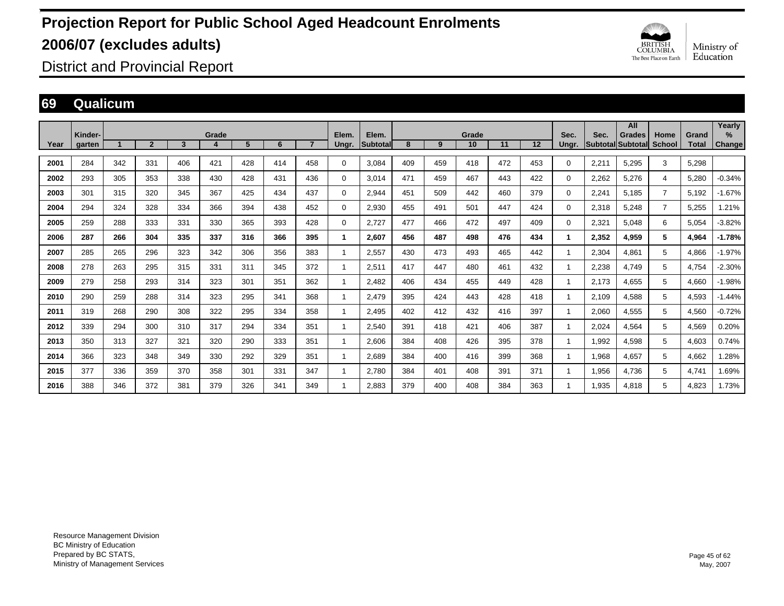

District and Provincial Report

#### **69 Qualicum**

|      |                   |     |                |     |       |     |     |     |                |                          |     |     |             |     |                   |               |       | All                                 |                |                       | Yearly                         |
|------|-------------------|-----|----------------|-----|-------|-----|-----|-----|----------------|--------------------------|-----|-----|-------------|-----|-------------------|---------------|-------|-------------------------------------|----------------|-----------------------|--------------------------------|
| Year | Kinder-<br>garten |     | $\overline{2}$ | 3   | Grade | 5   | 6   |     | Elem.<br>Ungr. | Elem.<br><b>Subtotal</b> | 8   | 9   | Grade<br>10 | 11  | $12 \overline{ }$ | Sec.<br>Ungr. | Sec.  | <b>Grades</b><br> Subtotal Subtotal | Home<br>School | Grand<br><b>Total</b> | $\frac{9}{6}$<br><b>Change</b> |
| 2001 | 284               | 342 | 331            | 406 | 421   | 428 | 414 | 458 | 0              | 3,084                    | 409 | 459 | 418         | 472 | 453               | $\Omega$      | 2,211 | 5.295                               | 3              | 5,298                 |                                |
| 2002 | 293               | 305 | 353            | 338 | 430   | 428 | 431 | 436 | 0              | 3.014                    | 471 | 459 | 467         | 443 | 422               | $\Omega$      | 2,262 | 5,276                               | 4              | 5,280                 | $-0.34%$                       |
| 2003 | 301               | 315 | 320            | 345 | 367   | 425 | 434 | 437 | 0              | 2,944                    | 451 | 509 | 442         | 460 | 379               | $\Omega$      | 2,241 | 5.185                               | $\overline{7}$ | 5,192                 | $-1.67%$                       |
| 2004 | 294               | 324 | 328            | 334 | 366   | 394 | 438 | 452 | 0              | 2,930                    | 455 | 491 | 501         | 447 | 424               | $\Omega$      | 2,318 | 5.248                               | $\overline{7}$ | 5,255                 | 1.21%                          |
| 2005 | 259               | 288 | 333            | 331 | 330   | 365 | 393 | 428 | 0              | 2,727                    | 477 | 466 | 472         | 497 | 409               | 0             | 2,321 | 5.048                               | 6              | 5,054                 | $-3.82%$                       |
| 2006 | 287               | 266 | 304            | 335 | 337   | 316 | 366 | 395 | 1              | 2.607                    | 456 | 487 | 498         | 476 | 434               |               | 2,352 | 4.959                               | 5              | 4,964                 | $-1.78%$                       |
| 2007 | 285               | 265 | 296            | 323 | 342   | 306 | 356 | 383 | 1              | 2.557                    | 430 | 473 | 493         | 465 | 442               |               | 2,304 | 4.861                               | 5              | 4,866                 | $-1.97%$                       |
| 2008 | 278               | 263 | 295            | 315 | 331   | 311 | 345 | 372 | 1              | 2,511                    | 417 | 447 | 480         | 461 | 432               |               | 2,238 | 4,749                               | 5              | 4,754                 | $-2.30%$                       |
| 2009 | 279               | 258 | 293            | 314 | 323   | 301 | 351 | 362 | 1              | 2,482                    | 406 | 434 | 455         | 449 | 428               |               | 2,173 | 4,655                               | 5              | 4,660                 | $-1.98%$                       |
| 2010 | 290               | 259 | 288            | 314 | 323   | 295 | 341 | 368 | 1              | 2,479                    | 395 | 424 | 443         | 428 | 418               |               | 2,109 | 4,588                               | 5              | 4,593                 | $-1.44%$                       |
| 2011 | 319               | 268 | 290            | 308 | 322   | 295 | 334 | 358 | 1              | 2,495                    | 402 | 412 | 432         | 416 | 397               |               | 2,060 | 4,555                               | 5              | 4,560                 | $-0.72%$                       |
| 2012 | 339               | 294 | 300            | 310 | 317   | 294 | 334 | 351 | 1              | 2,540                    | 391 | 418 | 421         | 406 | 387               |               | 2,024 | 4,564                               | 5              | 4,569                 | 0.20%                          |
| 2013 | 350               | 313 | 327            | 321 | 320   | 290 | 333 | 351 | 1              | 2,606                    | 384 | 408 | 426         | 395 | 378               |               | 1,992 | 4,598                               | 5              | 4,603                 | 0.74%                          |
| 2014 | 366               | 323 | 348            | 349 | 330   | 292 | 329 | 351 | 1              | 2.689                    | 384 | 400 | 416         | 399 | 368               |               | 1,968 | 4,657                               | 5              | 4,662                 | 1.28%                          |
| 2015 | 377               | 336 | 359            | 370 | 358   | 301 | 331 | 347 | 1              | 2.780                    | 384 | 401 | 408         | 391 | 371               |               | 1,956 | 4.736                               | 5              | 4,741                 | 1.69%                          |
| 2016 | 388               | 346 | 372            | 381 | 379   | 326 | 341 | 349 | 1              | 2.883                    | 379 | 400 | 408         | 384 | 363               |               | 1.935 | 4.818                               | 5              | 4.823                 | 1.73%                          |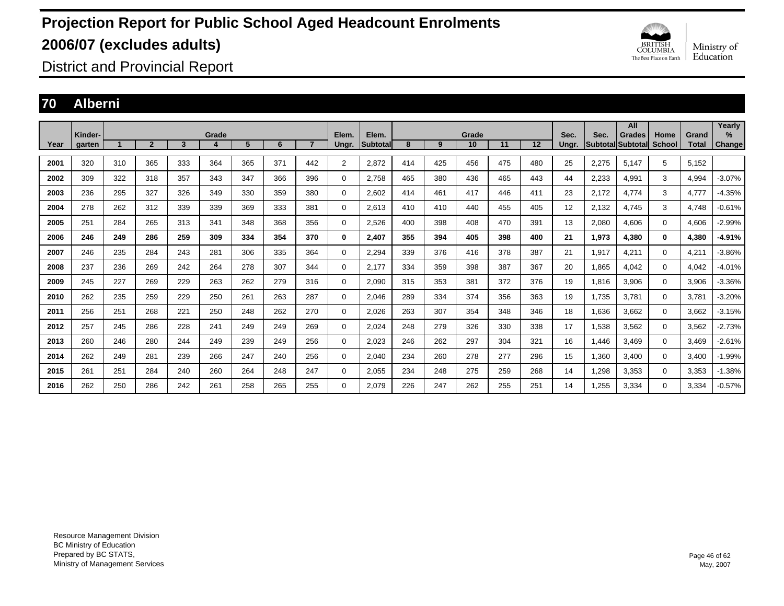

District and Provincial Report

### **70 Alberni**

|      |                   |     |                |     |       |     |     |                |                |                   |     |     |             |     |         |               |                                 | All           |                       |                       | Yearly                |
|------|-------------------|-----|----------------|-----|-------|-----|-----|----------------|----------------|-------------------|-----|-----|-------------|-----|---------|---------------|---------------------------------|---------------|-----------------------|-----------------------|-----------------------|
| Year | Kinder-<br>garten |     | $\overline{2}$ | 3   | Grade | 5   | 6   | $\overline{7}$ | Elem.<br>Ungr. | Elem.<br>Subtotal | 8   | 9   | Grade<br>10 | 11  | $12 \,$ | Sec.<br>Ungr. | Sec.<br><b>Subtotal Subtota</b> | <b>Grades</b> | Home<br><b>School</b> | Grand<br><b>Total</b> | $\%$<br><b>Change</b> |
|      |                   |     |                |     |       |     |     |                |                |                   |     |     |             |     |         |               |                                 |               |                       |                       |                       |
| 2001 | 320               | 310 | 365            | 333 | 364   | 365 | 371 | 442            | $\overline{2}$ | 2.872             | 414 | 425 | 456         | 475 | 480     | 25            | 2,275                           | 5.147         | 5                     | 5,152                 |                       |
| 2002 | 309               | 322 | 318            | 357 | 343   | 347 | 366 | 396            | 0              | 2.758             | 465 | 380 | 436         | 465 | 443     | 44            | 2,233                           | 4.991         | 3                     | 4,994                 | $-3.07%$              |
| 2003 | 236               | 295 | 327            | 326 | 349   | 330 | 359 | 380            | 0              | 2,602             | 414 | 461 | 417         | 446 | 411     | 23            | 2,172                           | 4,774         | 3                     | 4,777                 | $-4.35%$              |
| 2004 | 278               | 262 | 312            | 339 | 339   | 369 | 333 | 381            | 0              | 2,613             | 410 | 410 | 440         | 455 | 405     | 12            | 2,132                           | 4,745         | 3                     | 4,748                 | $-0.61%$              |
| 2005 | 251               | 284 | 265            | 313 | 341   | 348 | 368 | 356            | 0              | 2,526             | 400 | 398 | 408         | 470 | 391     | 13            | 2,080                           | 4,606         | $\mathbf 0$           | 4,606                 | $-2.99%$              |
| 2006 | 246               | 249 | 286            | 259 | 309   | 334 | 354 | 370            | 0              | 2,407             | 355 | 394 | 405         | 398 | 400     | 21            | 1,973                           | 4,380         | $\bf{0}$              | 4,380                 | $-4.91%$              |
| 2007 | 246               | 235 | 284            | 243 | 281   | 306 | 335 | 364            | 0              | 2,294             | 339 | 376 | 416         | 378 | 387     | 21            | 1,917                           | 4.211         | $\mathbf 0$           | 4,211                 | $-3.86%$              |
| 2008 | 237               | 236 | 269            | 242 | 264   | 278 | 307 | 344            | 0              | 2.177             | 334 | 359 | 398         | 387 | 367     | 20            | 1,865                           | 4.042         | $\mathbf 0$           | 4,042                 | $-4.01%$              |
| 2009 | 245               | 227 | 269            | 229 | 263   | 262 | 279 | 316            | 0              | 2,090             | 315 | 353 | 381         | 372 | 376     | 19            | 1.816                           | 3,906         | $\mathbf 0$           | 3,906                 | $-3.36%$              |
| 2010 | 262               | 235 | 259            | 229 | 250   | 261 | 263 | 287            | 0              | 2,046             | 289 | 334 | 374         | 356 | 363     | 19            | 1,735                           | 3,781         | $\mathbf 0$           | 3,781                 | $-3.20%$              |
| 2011 | 256               | 251 | 268            | 221 | 250   | 248 | 262 | 270            | 0              | 2,026             | 263 | 307 | 354         | 348 | 346     | 18            | 1,636                           | 3.662         | $\mathbf 0$           | 3,662                 | $-3.15%$              |
| 2012 | 257               | 245 | 286            | 228 | 241   | 249 | 249 | 269            | 0              | 2,024             | 248 | 279 | 326         | 330 | 338     | 17            | 1,538                           | 3,562         | $\mathbf 0$           | 3,562                 | $-2.73%$              |
| 2013 | 260               | 246 | 280            | 244 | 249   | 239 | 249 | 256            | 0              | 2,023             | 246 | 262 | 297         | 304 | 321     | 16            | 1.446                           | 3.469         | $\mathbf 0$           | 3,469                 | $-2.61%$              |
| 2014 | 262               | 249 | 281            | 239 | 266   | 247 | 240 | 256            | 0              | 2.040             | 234 | 260 | 278         | 277 | 296     | 15            | 1.360                           | 3.400         | $\mathbf 0$           | 3,400                 | $-1.99%$              |
| 2015 | 261               | 251 | 284            | 240 | 260   | 264 | 248 | 247            | 0              | 2,055             | 234 | 248 | 275         | 259 | 268     | 14            | <b>298.</b>                     | 3,353         | $\mathbf 0$           | 3,353                 | $-1.38%$              |
| 2016 | 262               | 250 | 286            | 242 | 261   | 258 | 265 | 255            | $\Omega$       | 2.079             | 226 | 247 | 262         | 255 | 251     | 14            | ,255                            | 3,334         | $\mathbf 0$           | 3,334                 | $-0.57%$              |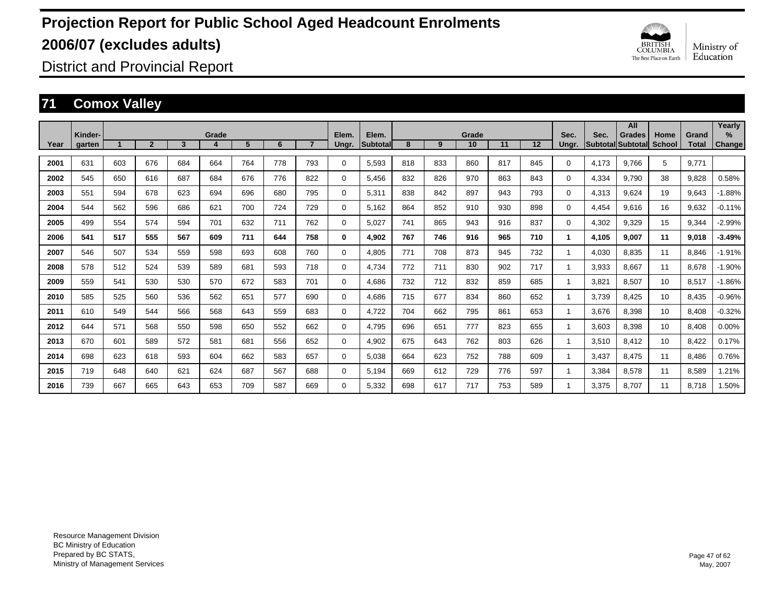

District and Provincial Report

### **71 Comox Valley**

|      | Kinder- |     |                |     | Grade |     |     |                | Elem.    | Elem.           |     |     | Grade |     |     | Sec.     | Sec.  | All<br>Grades     | Home          | Grand | Yearly<br>%   |
|------|---------|-----|----------------|-----|-------|-----|-----|----------------|----------|-----------------|-----|-----|-------|-----|-----|----------|-------|-------------------|---------------|-------|---------------|
| Year | garten  |     | $\overline{2}$ | 3   | 4     | 5   | 6   | $\overline{7}$ | Ungr.    | <b>Subtotal</b> | 8   | 9   | 10    | 11  | 12  | Ungr.    |       | Subtotal Subtotal | <b>School</b> | Total | <b>Change</b> |
| 2001 | 631     | 603 | 676            | 684 | 664   | 764 | 778 | 793            | $\Omega$ | 5,593           | 818 | 833 | 860   | 817 | 845 | $\Omega$ | 4,173 | 9.766             | 5             | 9.771 |               |
| 2002 | 545     | 650 | 616            | 687 | 684   | 676 | 776 | 822            | 0        | 5,456           | 832 | 826 | 970   | 863 | 843 | 0        | 4,334 | 9,790             | 38            | 9,828 | 0.58%         |
| 2003 | 551     | 594 | 678            | 623 | 694   | 696 | 680 | 795            | $\Omega$ | 5,311           | 838 | 842 | 897   | 943 | 793 | $\Omega$ | 4,313 | 9,624             | 19            | 9,643 | $-1.88%$      |
| 2004 | 544     | 562 | 596            | 686 | 621   | 700 | 724 | 729            | $\Omega$ | 5,162           | 864 | 852 | 910   | 930 | 898 | $\Omega$ | 4,454 | 9,616             | 16            | 9,632 | $-0.11%$      |
| 2005 | 499     | 554 | 574            | 594 | 701   | 632 | 711 | 762            | $\Omega$ | 5,027           | 741 | 865 | 943   | 916 | 837 | $\Omega$ | 4,302 | 9,329             | 15            | 9,344 | $-2.99%$      |
| 2006 | 541     | 517 | 555            | 567 | 609   | 711 | 644 | 758            | 0        | 4,902           | 767 | 746 | 916   | 965 | 710 | 1        | 4,105 | 9,007             | 11            | 9,018 | $-3.49%$      |
| 2007 | 546     | 507 | 534            | 559 | 598   | 693 | 608 | 760            | $\Omega$ | 4,805           | 771 | 708 | 873   | 945 | 732 |          | 4,030 | 8,835             | 11            | 8,846 | $-1.91%$      |
| 2008 | 578     | 512 | 524            | 539 | 589   | 681 | 593 | 718            | $\Omega$ | 4.734           | 772 | 711 | 830   | 902 | 717 |          | 3,933 | 8.667             | 11            | 8.678 | $-1.90%$      |
| 2009 | 559     | 541 | 530            | 530 | 570   | 672 | 583 | 701            | $\Omega$ | 4.686           | 732 | 712 | 832   | 859 | 685 |          | 3,821 | 8.507             | 10            | 8,517 | $-1.86%$      |
| 2010 | 585     | 525 | 560            | 536 | 562   | 651 | 577 | 690            | $\Omega$ | 4.686           | 715 | 677 | 834   | 860 | 652 |          | 3,739 | 8.425             | 10            | 8,435 | $-0.96%$      |
| 2011 | 610     | 549 | 544            | 566 | 568   | 643 | 559 | 683            | $\Omega$ | 4.722           | 704 | 662 | 795   | 861 | 653 |          | 3,676 | 8,398             | 10            | 8,408 | $-0.32%$      |
| 2012 | 644     | 571 | 568            | 550 | 598   | 650 | 552 | 662            | 0        | 4,795           | 696 | 651 | 777   | 823 | 655 |          | 3,603 | 8,398             | 10            | 8,408 | 0.00%         |
| 2013 | 670     | 601 | 589            | 572 | 581   | 681 | 556 | 652            | 0        | 4,902           | 675 | 643 | 762   | 803 | 626 |          | 3,510 | 8,412             | 10            | 8,422 | 0.17%         |
| 2014 | 698     | 623 | 618            | 593 | 604   | 662 | 583 | 657            | 0        | 5,038           | 664 | 623 | 752   | 788 | 609 |          | 3,437 | 8.475             | 11            | 8,486 | 0.76%         |
| 2015 | 719     | 648 | 640            | 621 | 624   | 687 | 567 | 688            | $\Omega$ | 5,194           | 669 | 612 | 729   | 776 | 597 |          | 3,384 | 8,578             | 11            | 8,589 | .21%          |
| 2016 | 739     | 667 | 665            | 643 | 653   | 709 | 587 | 669            | $\Omega$ | 5,332           | 698 | 617 | 717   | 753 | 589 |          | 3,375 | 8.707             | 11            | 8.718 | .50%          |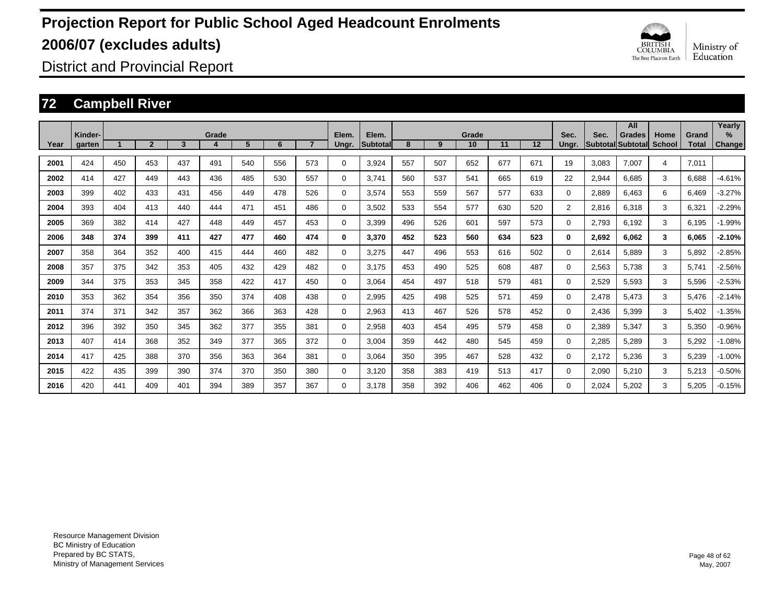

District and Provincial Report

### **72 Campbell River**

|      | Kinder- |     |                |     | Grade |     |     |     | Elem.    | Elem.           |     |     | Grade |     |     | Sec.           | Sec.  | All<br><b>Grades</b>     | Home          | Grand        | Yearly<br>$\%$ |
|------|---------|-----|----------------|-----|-------|-----|-----|-----|----------|-----------------|-----|-----|-------|-----|-----|----------------|-------|--------------------------|---------------|--------------|----------------|
| Year | garten  |     | $\overline{2}$ | 3   |       | 5   | 6   |     | Ungr.    | <b>Subtotal</b> | 8   | 9   | 10    | 11  | 12  | Unar.          |       | <b>Subtotal Subtotal</b> | <b>School</b> | <b>Total</b> | <b>Change</b>  |
| 2001 | 424     | 450 | 453            | 437 | 491   | 540 | 556 | 573 | 0        | 3,924           | 557 | 507 | 652   | 677 | 671 | 19             | 3,083 | 7,007                    | 4             | 7,011        |                |
| 2002 | 414     | 427 | 449            | 443 | 436   | 485 | 530 | 557 | 0        | 3.741           | 560 | 537 | 541   | 665 | 619 | 22             | 2,944 | 6,685                    | 3             | 6,688        | $-4.61%$       |
| 2003 | 399     | 402 | 433            | 431 | 456   | 449 | 478 | 526 | 0        | 3,574           | 553 | 559 | 567   | 577 | 633 | 0              | 2,889 | 6,463                    | 6             | 6,469        | $-3.27%$       |
| 2004 | 393     | 404 | 413            | 440 | 444   | 471 | 451 | 486 | 0        | 3,502           | 533 | 554 | 577   | 630 | 520 | $\overline{2}$ | 2,816 | 6,318                    | 3             | 6,321        | $-2.29%$       |
| 2005 | 369     | 382 | 414            | 427 | 448   | 449 | 457 | 453 | 0        | 3.399           | 496 | 526 | 601   | 597 | 573 | 0              | 2,793 | 6,192                    | 3             | 6,195        | $-1.99%$       |
| 2006 | 348     | 374 | 399            | 411 | 427   | 477 | 460 | 474 | 0        | 3,370           | 452 | 523 | 560   | 634 | 523 | 0              | 2,692 | 6.062                    | 3             | 6,065        | $-2.10%$       |
| 2007 | 358     | 364 | 352            | 400 | 415   | 444 | 460 | 482 | 0        | 3,275           | 447 | 496 | 553   | 616 | 502 | 0              | 2,614 | 5.889                    | 3             | 5,892        | $-2.85%$       |
| 2008 | 357     | 375 | 342            | 353 | 405   | 432 | 429 | 482 | 0        | 3.175           | 453 | 490 | 525   | 608 | 487 | 0              | 2,563 | 5,738                    | 3             | 5,741        | $-2.56%$       |
| 2009 | 344     | 375 | 353            | 345 | 358   | 422 | 417 | 450 | 0        | 3,064           | 454 | 497 | 518   | 579 | 481 | 0              | 2,529 | 5,593                    | 3             | 5,596        | $-2.53%$       |
| 2010 | 353     | 362 | 354            | 356 | 350   | 374 | 408 | 438 | 0        | 2,995           | 425 | 498 | 525   | 571 | 459 | 0              | 2,478 | 5,473                    | 3             | 5,476        | $-2.14%$       |
| 2011 | 374     | 371 | 342            | 357 | 362   | 366 | 363 | 428 | 0        | 2,963           | 413 | 467 | 526   | 578 | 452 | 0              | 2,436 | 5,399                    | 3             | 5,402        | $-1.35%$       |
| 2012 | 396     | 392 | 350            | 345 | 362   | 377 | 355 | 381 | 0        | 2,958           | 403 | 454 | 495   | 579 | 458 | 0              | 2,389 | 5,347                    | 3             | 5,350        | $-0.96%$       |
| 2013 | 407     | 414 | 368            | 352 | 349   | 377 | 365 | 372 | 0        | 3,004           | 359 | 442 | 480   | 545 | 459 | 0              | 2,285 | 5,289                    | 3             | 5,292        | $-1.08%$       |
| 2014 | 417     | 425 | 388            | 370 | 356   | 363 | 364 | 381 | 0        | 3.064           | 350 | 395 | 467   | 528 | 432 | 0              | 2.172 | 5,236                    | 3             | 5,239        | $-1.00%$       |
| 2015 | 422     | 435 | 399            | 390 | 374   | 370 | 350 | 380 | 0        | 3.120           | 358 | 383 | 419   | 513 | 417 | $\Omega$       | 2,090 | 5,210                    | 3             | 5,213        | $-0.50%$       |
| 2016 | 420     | 441 | 409            | 401 | 394   | 389 | 357 | 367 | $\Omega$ | 3.178           | 358 | 392 | 406   | 462 | 406 | $\Omega$       | 2.024 | 5.202                    | 3             | 5.205        | $-0.15%$       |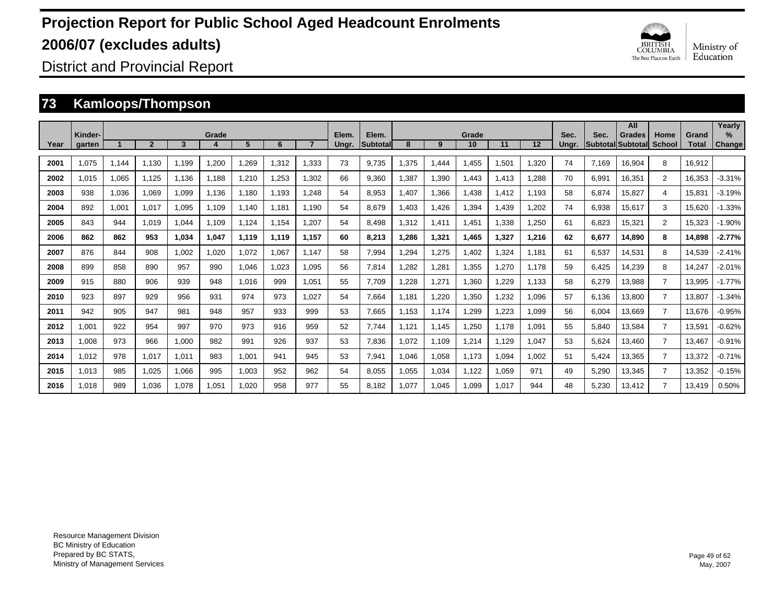

District and Provincial Report

### **73 Kamloops/Thompson**

|      |                   |       |                |       |       |       |       |       |                |                          |       |       |             |       |       |               |       | All                         |                       |                       | Yearly                         |
|------|-------------------|-------|----------------|-------|-------|-------|-------|-------|----------------|--------------------------|-------|-------|-------------|-------|-------|---------------|-------|-----------------------------|-----------------------|-----------------------|--------------------------------|
| Year | Kinder-<br>garten |       | $\overline{2}$ | 3     | Grade | 5     | 6     |       | Elem.<br>Ungr. | Elem.<br><b>Subtotal</b> | 8     | 9     | Grade<br>10 | 11    | 12    | Sec.<br>Ungr. | Sec.  | Grades<br>Subtotal Subtotal | Home<br><b>School</b> | Grand<br><b>Total</b> | $\frac{9}{6}$<br><b>Change</b> |
| 2001 | 1.075             | 1,144 | 1.130          | 1,199 | 1,200 | 1,269 | 1,312 | 1.333 | 73             | 9.735                    | ,375  | 1.444 | 1,455       | 1,501 | 1.320 | 74            | 7.169 | 16,904                      | 8                     | 16,912                |                                |
| 2002 | 1.015             | 1,065 | 1,125          | 1,136 | 1.188 | 1,210 | 1,253 | 1.302 | 66             | 9.360                    | ,387  | 1,390 | 1.443       | 1,413 | 1,288 | 70            | 6,991 | 16,351                      | $\overline{2}$        | 16,353                | $-3.31%$                       |
| 2003 | 938               | 1,036 | 1.069          | 1,099 | 1.136 | 1.180 | 1.193 | 1.248 | 54             | 8.953                    | .407  | 1,366 | 1,438       | 1.412 | 1.193 | 58            | 6,874 | 15.827                      | 4                     | 15,831                | $-3.19%$                       |
| 2004 | 892               | 1,001 | 1.017          | 1,095 | 1.109 | 1.140 | 1.181 | 1.190 | 54             | 8.679                    | .403  | 1,426 | 1,394       | 1.439 | 1,202 | 74            | 6,938 | 15.617                      | 3                     | 15.620                | $-1.33%$                       |
| 2005 | 843               | 944   | 1.019          | 1,044 | 1.109 | 1,124 | 1.154 | 1.207 | 54             | 8.498                    | .312  | 1,411 | 1,451       | 1,338 | 1,250 | 61            | 6,823 | 15,321                      | $\overline{2}$        | 15,323                | $-1.90%$                       |
| 2006 | 862               | 862   | 953            | 1.034 | 1,047 | 1.119 | 1.119 | 1.157 | 60             | 8.213                    | .286  | 1,321 | 1.465       | 1.327 | 1.216 | 62            | 6,677 | 14.890                      | 8                     | 14.898                | $-2.77%$                       |
| 2007 | 876               | 844   | 908            | 1.002 | 1.020 | 1.072 | 1,067 | 1.147 | 58             | 7.994                    | .294  | 1,275 | 1.402       | 1.324 | 1.181 | 61            | 6,537 | 14.531                      | 8                     | 14,539                | $-2.41%$                       |
| 2008 | 899               | 858   | 890            | 957   | 990   | 1,046 | 1,023 | 1,095 | 56             | 7,814                    | ,282  | 1,281 | 1,355       | 1,270 | 1.178 | 59            | 6,425 | 14,239                      | 8                     | 14,247                | $-2.01%$                       |
| 2009 | 915               | 880   | 906            | 939   | 948   | 1,016 | 999   | 1,051 | 55             | 7,709                    | ,228  | 1,271 | 1,360       | 1,229 | 1,133 | 58            | 6,279 | 13,988                      | $\overline{7}$        | 13,995                | $-1.77%$                       |
| 2010 | 923               | 897   | 929            | 956   | 931   | 974   | 973   | 1,027 | 54             | 7,664                    | 1,181 | 1,220 | 1,350       | 1,232 | 1,096 | 57            | 6,136 | 13,800                      | $\overline{7}$        | 13,807                | $-1.34%$                       |
| 2011 | 942               | 905   | 947            | 981   | 948   | 957   | 933   | 999   | 53             | 7,665                    | 1,153 | 1.174 | 1,299       | 1,223 | 1,099 | 56            | 6,004 | 13,669                      | $\overline{7}$        | 13,676                | $-0.95%$                       |
| 2012 | 1,001             | 922   | 954            | 997   | 970   | 973   | 916   | 959   | 52             | 7,744                    | 1,121 | 1.145 | 1,250       | 1.178 | 1,091 | 55            | 5,840 | 13,584                      | $\overline{7}$        | 13,591                | $-0.62%$                       |
| 2013 | 0.008             | 973   | 966            | 1,000 | 982   | 991   | 926   | 937   | 53             | 7,836                    | 1,072 | 1.109 | 1,214       | 1,129 | 1,047 | 53            | 5,624 | 13,460                      | 7                     | 13,467                | $-0.91%$                       |
| 2014 | 1,012             | 978   | 1.017          | 1.011 | 983   | 1,001 | 941   | 945   | 53             | 7,941                    | 1.046 | 1,058 | 1.173       | 1,094 | 1,002 | 51            | 5,424 | 13,365                      | 7                     | 13,372                | -0.71%                         |
| 2015 | 1,013             | 985   | 1,025          | 1.066 | 995   | 1,003 | 952   | 962   | 54             | 8.055                    | 1.055 | 1,034 | 1,122       | 1,059 | 971   | 49            | 5,290 | 13,345                      | 7                     | 13,352                | $-0.15%$                       |
| 2016 | 1.018             | 989   | 1.036          | 1.078 | 1.051 | 1.020 | 958   | 977   | 55             | 8.182                    | 1.077 | 1.045 | 1.099       | 1.017 | 944   | 48            | 5.230 | 13.412                      | 7                     | 13.419                | 0.50%                          |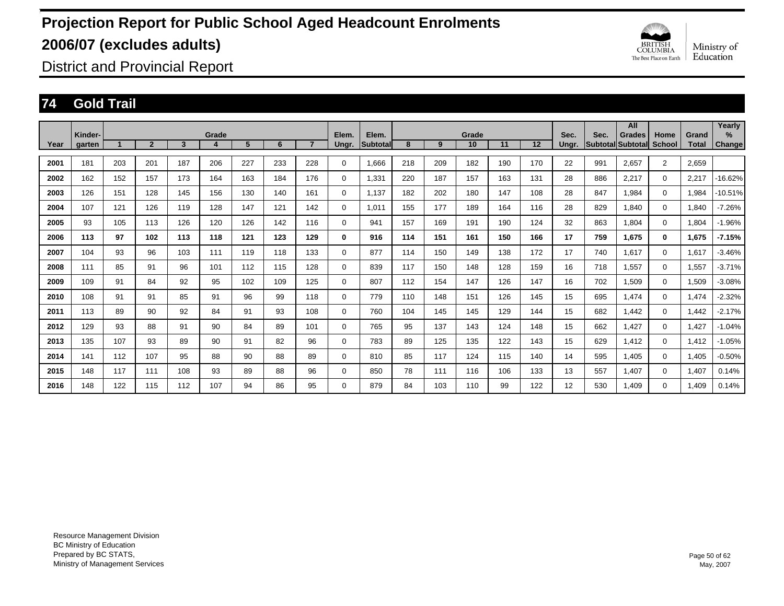

District and Provincial Report

### **74 Gold Trail**

|      |                   |     |                |     |            |                |     |                |                |                          |     |     |             |     |     |               |      | All                                       |                       |                       | Yearly         |
|------|-------------------|-----|----------------|-----|------------|----------------|-----|----------------|----------------|--------------------------|-----|-----|-------------|-----|-----|---------------|------|-------------------------------------------|-----------------------|-----------------------|----------------|
| Year | Kinder-<br>garten |     | $\overline{2}$ | 3   | Grade<br>4 | 5 <sup>5</sup> | 6   | $\overline{7}$ | Elem.<br>Ungr. | Elem.<br><b>Subtotal</b> | 8   | 9   | Grade<br>10 | 11  | 12  | Sec.<br>Ungr. | Sec. | <b>Grades</b><br><b>Subtotal Subtotal</b> | Home<br><b>School</b> | Grand<br><b>Total</b> | $\%$<br>Change |
|      |                   |     |                |     |            |                |     |                |                |                          |     |     |             |     |     |               |      |                                           |                       |                       |                |
| 2001 | 181               | 203 | 201            | 187 | 206        | 227            | 233 | 228            | 0              | 1.666                    | 218 | 209 | 182         | 190 | 170 | 22            | 991  | 2.657                                     | $\overline{2}$        | 2,659                 |                |
| 2002 | 162               | 152 | 157            | 173 | 164        | 163            | 184 | 176            | 0              | 1,331                    | 220 | 187 | 157         | 163 | 131 | 28            | 886  | 2,217                                     | $\mathbf 0$           | 2,217                 | -16.62%        |
| 2003 | 126               | 151 | 128            | 145 | 156        | 130            | 140 | 161            | 0              | 1,137                    | 182 | 202 | 180         | 147 | 108 | 28            | 847  | 1.984                                     | $\mathbf 0$           | 1,984                 | $-10.51%$      |
| 2004 | 107               | 121 | 126            | 119 | 128        | 147            | 121 | 142            | 0              | 1.011                    | 155 | 177 | 189         | 164 | 116 | 28            | 829  | 1.840                                     | $\mathbf 0$           | 1.840                 | $-7.26%$       |
| 2005 | 93                | 105 | 113            | 126 | 120        | 126            | 142 | 116            | 0              | 941                      | 157 | 169 | 191         | 190 | 124 | 32            | 863  | 1.804                                     | $\mathbf 0$           | 1,804                 | $-1.96%$       |
| 2006 | 113               | 97  | 102            | 113 | 118        | 121            | 123 | 129            | 0              | 916                      | 114 | 151 | 161         | 150 | 166 | 17            | 759  | 1,675                                     | 0                     | 1,675                 | $-7.15%$       |
| 2007 | 104               | 93  | 96             | 103 | 111        | 119            | 118 | 133            | 0              | 877                      | 114 | 150 | 149         | 138 | 172 | 17            | 740  | 1,617                                     | $\mathbf 0$           | 1,617                 | $-3.46%$       |
| 2008 | 111               | 85  | 91             | 96  | 101        | 112            | 115 | 128            | $\mathbf 0$    | 839                      | 117 | 150 | 148         | 128 | 159 | 16            | 718  | 1,557                                     | $\mathbf 0$           | 1,557                 | $-3.71%$       |
| 2009 | 109               | 91  | 84             | 92  | 95         | 102            | 109 | 125            | 0              | 807                      | 112 | 154 | 147         | 126 | 147 | 16            | 702  | I.509                                     | $\mathbf 0$           | 1,509                 | $-3.08%$       |
| 2010 | 108               | 91  | 91             | 85  | 91         | 96             | 99  | 118            | 0              | 779                      | 110 | 148 | 151         | 126 | 145 | 15            | 695  | 1,474                                     | 0                     | 1,474                 | $-2.32%$       |
| 2011 | 113               | 89  | 90             | 92  | 84         | 91             | 93  | 108            | 0              | 760                      | 104 | 145 | 145         | 129 | 144 | 15            | 682  | 1,442                                     | 0                     | 1,442                 | $-2.17%$       |
| 2012 | 129               | 93  | 88             | 91  | 90         | 84             | 89  | 101            | 0              | 765                      | 95  | 137 | 143         | 124 | 148 | 15            | 662  | 1.427                                     | $\mathbf 0$           | 1,427                 | $-1.04%$       |
| 2013 | 135               | 107 | 93             | 89  | 90         | 91             | 82  | 96             | 0              | 783                      | 89  | 125 | 135         | 122 | 143 | 15            | 629  | 1.412                                     | 0                     | 1,412                 | $-1.05%$       |
| 2014 | 141               | 112 | 107            | 95  | 88         | 90             | 88  | 89             | 0              | 810                      | 85  | 117 | 124         | 115 | 140 | 14            | 595  | 1,405                                     | $\mathbf 0$           | 1,405                 | $-0.50%$       |
| 2015 | 148               | 117 | 111            | 108 | 93         | 89             | 88  | 96             | 0              | 850                      | 78  | 111 | 116         | 106 | 133 | 13            | 557  | 1.407                                     | $\mathbf 0$           | 1,407                 | 0.14%          |
| 2016 | 148               | 122 | 115            | 112 | 107        | 94             | 86  | 95             | 0              | 879                      | 84  | 103 | 110         | 99  | 122 | 12            | 530  | 1.409                                     | 0                     | 1.409                 | 0.14%          |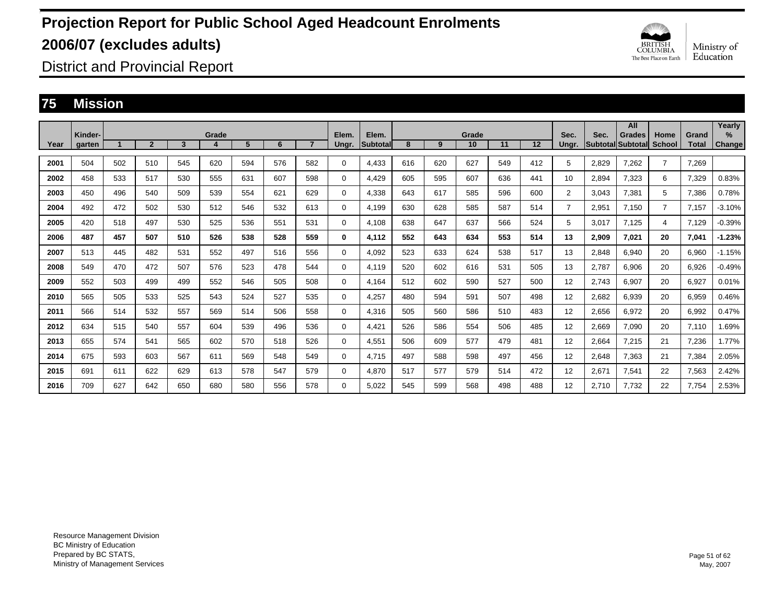

District and Provincial Report

### **75 Mission**

|      |                   |     |                |     |       |     |     |                |                |                          |     |     |             |     |     |                |                                 | All           |                       |                       | Yearly         |
|------|-------------------|-----|----------------|-----|-------|-----|-----|----------------|----------------|--------------------------|-----|-----|-------------|-----|-----|----------------|---------------------------------|---------------|-----------------------|-----------------------|----------------|
| Year | Kinder-<br>garten |     | $\overline{2}$ | 3   | Grade | 5   | 6   | $\overline{7}$ | Elem.<br>Ungr. | Elem.<br><b>Subtotal</b> | 8   | 9   | Grade<br>10 | 11  | 12  | Sec.<br>Ungr.  | Sec.<br><b>Subtotal Subtota</b> | <b>Grades</b> | Home<br><b>School</b> | Grand<br><b>Total</b> | $\%$<br>Change |
|      |                   |     |                |     |       |     |     |                |                |                          |     |     |             |     |     |                |                                 |               |                       |                       |                |
| 2001 | 504               | 502 | 510            | 545 | 620   | 594 | 576 | 582            | 0              | 4.433                    | 616 | 620 | 627         | 549 | 412 | 5              | 2,829                           | 7.262         | $\overline{7}$        | 7.269                 |                |
| 2002 | 458               | 533 | 517            | 530 | 555   | 631 | 607 | 598            | 0              | 4,429                    | 605 | 595 | 607         | 636 | 441 | 10             | 2,894                           | 7,323         | 6                     | 7,329                 | 0.83%          |
| 2003 | 450               | 496 | 540            | 509 | 539   | 554 | 621 | 629            | 0              | 4,338                    | 643 | 617 | 585         | 596 | 600 | $\overline{2}$ | 3.043                           | 7,381         | 5                     | 7,386                 | 0.78%          |
| 2004 | 492               | 472 | 502            | 530 | 512   | 546 | 532 | 613            | 0              | 4,199                    | 630 | 628 | 585         | 587 | 514 | $\overline{7}$ | 2,951                           | 7.150         | $\overline{7}$        | 7,157                 | $-3.10%$       |
| 2005 | 420               | 518 | 497            | 530 | 525   | 536 | 551 | 531            | 0              | 4.108                    | 638 | 647 | 637         | 566 | 524 | 5              | 3.017                           | 7,125         | 4                     | 7,129                 | $-0.39%$       |
| 2006 | 487               | 457 | 507            | 510 | 526   | 538 | 528 | 559            | 0              | 4,112                    | 552 | 643 | 634         | 553 | 514 | 13             | 2,909                           | 7,021         | 20                    | 7,041                 | $-1.23%$       |
| 2007 | 513               | 445 | 482            | 531 | 552   | 497 | 516 | 556            | 0              | 4,092                    | 523 | 633 | 624         | 538 | 517 | 13             | 2,848                           | 6,940         | 20                    | 6,960                 | $-1.15%$       |
| 2008 | 549               | 470 | 472            | 507 | 576   | 523 | 478 | 544            | 0              | 4.119                    | 520 | 602 | 616         | 531 | 505 | 13             | 2.787                           | 6,906         | 20                    | 6,926                 | $-0.49%$       |
| 2009 | 552               | 503 | 499            | 499 | 552   | 546 | 505 | 508            | 0              | 4.164                    | 512 | 602 | 590         | 527 | 500 | 12             | 2.743                           | 6,907         | 20                    | 6,927                 | 0.01%          |
| 2010 | 565               | 505 | 533            | 525 | 543   | 524 | 527 | 535            | 0              | 4,257                    | 480 | 594 | 591         | 507 | 498 | 12             | 2,682                           | 6,939         | 20                    | 6,959                 | 0.46%          |
| 2011 | 566               | 514 | 532            | 557 | 569   | 514 | 506 | 558            | 0              | 4,316                    | 505 | 560 | 586         | 510 | 483 | 12             | 2,656                           | 6,972         | 20                    | 6,992                 | 0.47%          |
| 2012 | 634               | 515 | 540            | 557 | 604   | 539 | 496 | 536            | 0              | 4,421                    | 526 | 586 | 554         | 506 | 485 | 12             | 2,669                           | 7,090         | 20                    | 7,110                 | 1.69%          |
| 2013 | 655               | 574 | 541            | 565 | 602   | 570 | 518 | 526            | 0              | 4,551                    | 506 | 609 | 577         | 479 | 481 | 12             | 2,664                           | 7,215         | 21                    | 7,236                 | 1.77%          |
| 2014 | 675               | 593 | 603            | 567 | 611   | 569 | 548 | 549            | 0              | 4.715                    | 497 | 588 | 598         | 497 | 456 | 12             | 2,648                           | 7,363         | 21                    | 7,384                 | 2.05%          |
| 2015 | 691               | 611 | 622            | 629 | 613   | 578 | 547 | 579            | 0              | 4,870                    | 517 | 577 | 579         | 514 | 472 | 12             | 2,671                           | 7,541         | 22                    | 7,563                 | 2.42%          |
| 2016 | 709               | 627 | 642            | 650 | 680   | 580 | 556 | 578            | $\Omega$       | 5.022                    | 545 | 599 | 568         | 498 | 488 | 12             | 2.710                           | 7.732         | 22                    | 7.754                 | 2.53%          |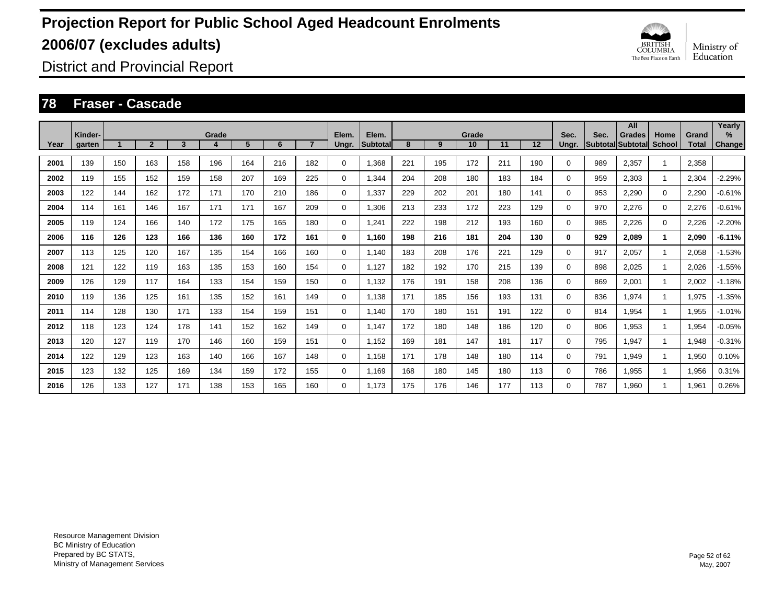

District and Provincial Report

#### **78 Fraser - Cascade**

|      | Kinder- |                      |                |     | Grade |     |     |              | Elem.       | Elem.     |     |     | Grade |     |     | Sec.  | Sec. | All<br><b>Grades</b>     | Home          | Grand        | Yearly<br>%   |
|------|---------|----------------------|----------------|-----|-------|-----|-----|--------------|-------------|-----------|-----|-----|-------|-----|-----|-------|------|--------------------------|---------------|--------------|---------------|
| Year | garten  | $\blacktriangleleft$ | $\overline{2}$ | 3   | 4     | 5   | 6   | $\mathbf{7}$ | Ungr.       | Subtotall | 8   | 9   | 10    | 11  | 12  | Unar. |      | <b>Subtotal Subtotal</b> | <b>School</b> | <b>Total</b> | <b>Change</b> |
| 2001 | 139     | 150                  | 163            | 158 | 196   | 164 | 216 | 182          | 0           | 1,368     | 221 | 195 | 172   | 211 | 190 | 0     | 989  | 2,357                    |               | 2,358        |               |
| 2002 | 119     | 155                  | 152            | 159 | 158   | 207 | 169 | 225          | $\mathbf 0$ | 1,344     | 204 | 208 | 180   | 183 | 184 | 0     | 959  | 2,303                    |               | 2,304        | $-2.29%$      |
| 2003 | 122     | 144                  | 162            | 172 | 171   | 170 | 210 | 186          | $\mathbf 0$ | 1,337     | 229 | 202 | 201   | 180 | 141 | 0     | 953  | 2,290                    | $\mathbf 0$   | 2,290        | $-0.61%$      |
| 2004 | 114     | 161                  | 146            | 167 | 171   | 171 | 167 | 209          | 0           | 1,306     | 213 | 233 | 172   | 223 | 129 | 0     | 970  | 2,276                    | $\mathbf 0$   | 2,276        | $-0.61%$      |
| 2005 | 119     | 124                  | 166            | 140 | 172   | 175 | 165 | 180          | 0           | 1,241     | 222 | 198 | 212   | 193 | 160 | 0     | 985  | 2,226                    | $\mathbf 0$   | 2,226        | $-2.20%$      |
| 2006 | 116     | 126                  | 123            | 166 | 136   | 160 | 172 | 161          | 0           | 1.160     | 198 | 216 | 181   | 204 | 130 | 0     | 929  | 2,089                    | 1             | 2,090        | $-6.11%$      |
| 2007 | 113     | 125                  | 120            | 167 | 135   | 154 | 166 | 160          | 0           | 1.140     | 183 | 208 | 176   | 221 | 129 | 0     | 917  | 2,057                    |               | 2,058        | $-1.53%$      |
| 2008 | 121     | 122                  | 119            | 163 | 135   | 153 | 160 | 154          | 0           | 1,127     | 182 | 192 | 170   | 215 | 139 | 0     | 898  | 2,025                    |               | 2,026        | $-1.55%$      |
| 2009 | 126     | 129                  | 117            | 164 | 133   | 154 | 159 | 150          | 0           | 1,132     | 176 | 191 | 158   | 208 | 136 | 0     | 869  | 2,001                    |               | 2,002        | $-1.18%$      |
| 2010 | 119     | 136                  | 125            | 161 | 135   | 152 | 161 | 149          | 0           | 1,138     | 171 | 185 | 156   | 193 | 131 | 0     | 836  | 1,974                    |               | 1,975        | $-1.35%$      |
| 2011 | 114     | 128                  | 130            | 171 | 133   | 154 | 159 | 151          | 0           | 1.140     | 170 | 180 | 151   | 191 | 122 | 0     | 814  | 1,954                    |               | 1,955        | $-1.01%$      |
| 2012 | 118     | 123                  | 124            | 178 | 141   | 152 | 162 | 149          | 0           | 1.147     | 172 | 180 | 148   | 186 | 120 | 0     | 806  | 1,953                    |               | 1,954        | $-0.05%$      |
| 2013 | 120     | 127                  | 119            | 170 | 146   | 160 | 159 | 151          | 0           | 1.152     | 169 | 181 | 147   | 181 | 117 | 0     | 795  | 1,947                    |               | 1,948        | $-0.31%$      |
| 2014 | 122     | 129                  | 123            | 163 | 140   | 166 | 167 | 148          | 0           | 1.158     | 171 | 178 | 148   | 180 | 114 | 0     | 791  | 1,949                    |               | 1,950        | 0.10%         |
| 2015 | 123     | 132                  | 125            | 169 | 134   | 159 | 172 | 155          | $\mathbf 0$ | 1.169     | 168 | 180 | 145   | 180 | 113 | 0     | 786  | 1,955                    |               | 1,956        | 0.31%         |
| 2016 | 126     | 133                  | 127            | 171 | 138   | 153 | 165 | 160          | 0           | 1.173     | 175 | 176 | 146   | 177 | 113 | 0     | 787  | 1.960                    |               | 1.961        | 0.26%         |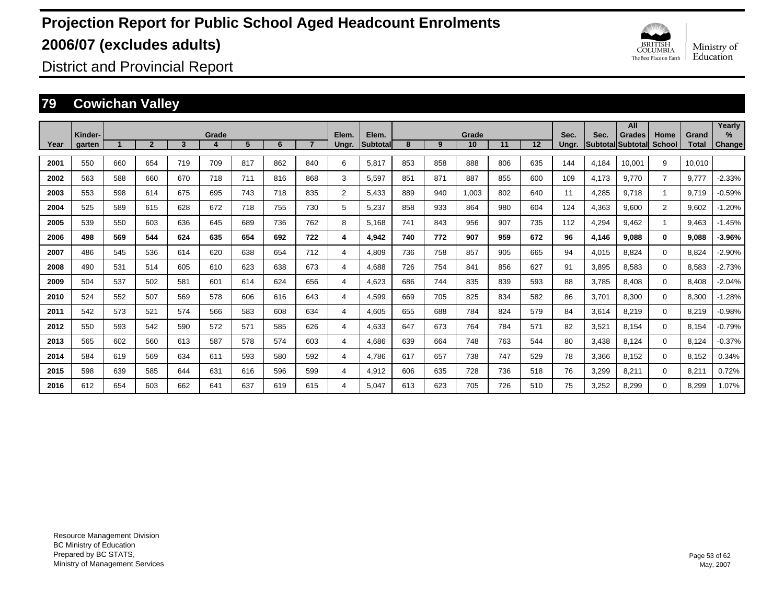

District and Provincial Report

### **79 Cowichan Valley**

|      |                   |     |                |     |            |     |     |                |                |                   |     |     |             |     |     |               |                            | All           |                |                       | Yearly         |
|------|-------------------|-----|----------------|-----|------------|-----|-----|----------------|----------------|-------------------|-----|-----|-------------|-----|-----|---------------|----------------------------|---------------|----------------|-----------------------|----------------|
| Year | Kinder-<br>garten |     | $\overline{2}$ | 3   | Grade<br>4 | 5   | 6   | $\overline{7}$ | Elem.<br>Ungr. | Elem.<br>Subtotal | 8   | 9   | Grade<br>10 | 11  | 12  | Sec.<br>Ungr. | Sec.<br> Subtotal Subtotal | <b>Grades</b> | Home<br>School | Grand<br><b>Total</b> | $\%$<br>Change |
|      |                   |     |                |     |            |     |     |                |                |                   |     |     |             |     |     |               |                            |               |                |                       |                |
| 2001 | 550               | 660 | 654            | 719 | 709        | 817 | 862 | 840            | 6              | 5,817             | 853 | 858 | 888         | 806 | 635 | 144           | 4,184                      | 10,001        | 9              | 10,010                |                |
| 2002 | 563               | 588 | 660            | 670 | 718        | 711 | 816 | 868            | 3              | 5,597             | 851 | 871 | 887         | 855 | 600 | 109           | 4,173                      | 9.770         | 7              | 9,777                 | $-2.33%$       |
| 2003 | 553               | 598 | 614            | 675 | 695        | 743 | 718 | 835            | 2              | 5.433             | 889 | 940 | 1.003       | 802 | 640 | 11            | 4,285                      | 9.718         | $\overline{1}$ | 9.719                 | $-0.59%$       |
| 2004 | 525               | 589 | 615            | 628 | 672        | 718 | 755 | 730            | 5              | 5,237             | 858 | 933 | 864         | 980 | 604 | 124           | 4,363                      | 9,600         | $\overline{2}$ | 9,602                 | $-1.20%$       |
| 2005 | 539               | 550 | 603            | 636 | 645        | 689 | 736 | 762            | 8              | 5.168             | 741 | 843 | 956         | 907 | 735 | 112           | 4,294                      | 9.462         | $\overline{1}$ | 9,463                 | $-1.45%$       |
| 2006 | 498               | 569 | 544            | 624 | 635        | 654 | 692 | 722            | 4              | 4.942             | 740 | 772 | 907         | 959 | 672 | 96            | 4,146                      | 9,088         | 0              | 9,088                 | $-3.96%$       |
| 2007 | 486               | 545 | 536            | 614 | 620        | 638 | 654 | 712            | 4              | 4.809             | 736 | 758 | 857         | 905 | 665 | 94            | 4,015                      | 8.824         | $\Omega$       | 8.824                 | $-2.90%$       |
| 2008 | 490               | 531 | 514            | 605 | 610        | 623 | 638 | 673            | 4              | 4,688             | 726 | 754 | 841         | 856 | 627 | 91            | 3,895                      | 8,583         | $\Omega$       | 8,583                 | $-2.73%$       |
| 2009 | 504               | 537 | 502            | 581 | 601        | 614 | 624 | 656            | 4              | 4,623             | 686 | 744 | 835         | 839 | 593 | 88            | 3,785                      | 8,408         | 0              | 8,408                 | $-2.04%$       |
| 2010 | 524               | 552 | 507            | 569 | 578        | 606 | 616 | 643            | 4              | 4,599             | 669 | 705 | 825         | 834 | 582 | 86            | 3,701                      | 8,300         | 0              | 8,300                 | $-1.28%$       |
| 2011 | 542               | 573 | 521            | 574 | 566        | 583 | 608 | 634            | 4              | 4,605             | 655 | 688 | 784         | 824 | 579 | 84            | 3,614                      | 8,219         | $\Omega$       | 8,219                 | $-0.98%$       |
| 2012 | 550               | 593 | 542            | 590 | 572        | 571 | 585 | 626            | 4              | 4,633             | 647 | 673 | 764         | 784 | 571 | 82            | 3,521                      | 8,154         | $\Omega$       | 8,154                 | $-0.79%$       |
| 2013 | 565               | 602 | 560            | 613 | 587        | 578 | 574 | 603            | 4              | 4,686             | 639 | 664 | 748         | 763 | 544 | 80            | 3,438                      | 8.124         | 0              | 8,124                 | $-0.37%$       |
| 2014 | 584               | 619 | 569            | 634 | 611        | 593 | 580 | 592            | 4              | 4.786             | 617 | 657 | 738         | 747 | 529 | 78            | 3,366                      | 8.152         | $\Omega$       | 8,152                 | 0.34%          |
| 2015 | 598               | 639 | 585            | 644 | 631        | 616 | 596 | 599            | 4              | 4,912             | 606 | 635 | 728         | 736 | 518 | 76            | 3,299                      | 8,211         | $\Omega$       | 8,211                 | 0.72%          |
| 2016 | 612               | 654 | 603            | 662 | 641        | 637 | 619 | 615            | 4              | 5,047             | 613 | 623 | 705         | 726 | 510 | 75            | 3,252                      | 8,299         | $\Omega$       | 8,299                 | 1.07%          |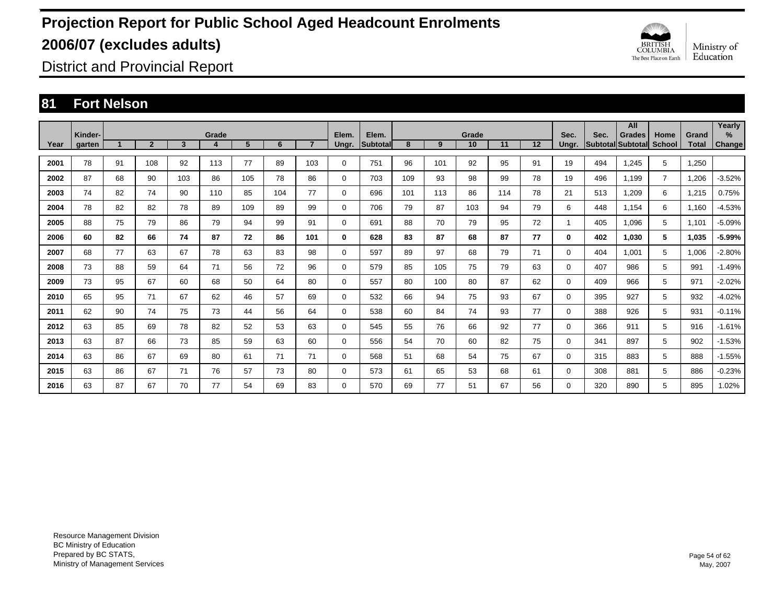

District and Provincial Report

### **81 Fort Nelson**

|      |                   |    |                |     |            |     |     |     |                |                          |     |     | Grade |     |    | Sec.         |      | All                         |                |                       | Yearly      |
|------|-------------------|----|----------------|-----|------------|-----|-----|-----|----------------|--------------------------|-----|-----|-------|-----|----|--------------|------|-----------------------------|----------------|-----------------------|-------------|
| Year | Kinder-<br>garten |    | $\overline{2}$ | 3   | Grade<br>4 | 5   | 6   |     | Elem.<br>Ungr. | Elem.<br><b>Subtotal</b> | 8   | 9   | 10    | 11  | 12 | Ungr.        | Sec. | Grades<br>Subtotal Subtotal | Home<br>School | Grand<br><b>Total</b> | %<br>Change |
| 2001 | 78                | 91 | 108            | 92  | 113        | 77  | 89  | 103 | 0              | 751                      | 96  | 101 | 92    | 95  | 91 | 19           | 494  | 1,245                       | 5              | 1,250                 |             |
| 2002 | 87                | 68 | 90             | 103 | 86         | 105 | 78  | 86  | 0              | 703                      | 109 | 93  | 98    | 99  | 78 | 19           | 496  | 1.199                       | $\overline{7}$ | 1,206                 | $-3.52%$    |
| 2003 | 74                | 82 | 74             | 90  | 110        | 85  | 104 | 77  | 0              | 696                      | 101 | 113 | 86    | 114 | 78 | 21           | 513  | 1,209                       | 6              | 1,215                 | 0.75%       |
| 2004 | 78                | 82 | 82             | 78  | 89         | 109 | 89  | 99  | 0              | 706                      | 79  | 87  | 103   | 94  | 79 | 6            | 448  | 1,154                       | 6              | 1,160                 | $-4.53%$    |
| 2005 | 88                | 75 | 79             | 86  | 79         | 94  | 99  | 91  | 0              | 691                      | 88  | 70  | 79    | 95  | 72 | $\mathbf{1}$ | 405  | 1.096                       | 5              | 1,101                 | $-5.09%$    |
| 2006 | 60                | 82 | 66             | 74  | 87         | 72  | 86  | 101 | 0              | 628                      | 83  | 87  | 68    | 87  | 77 | $\bf{0}$     | 402  | 1,030                       | 5              | 1,035                 | -5.99%      |
| 2007 | 68                | 77 | 63             | 67  | 78         | 63  | 83  | 98  | 0              | 597                      | 89  | 97  | 68    | 79  | 71 | 0            | 404  | 1.001                       | 5              | 1,006                 | $-2.80%$    |
| 2008 | 73                | 88 | 59             | 64  | 71         | 56  | 72  | 96  | 0              | 579                      | 85  | 105 | 75    | 79  | 63 | 0            | 407  | 986                         | 5              | 991                   | $-1.49%$    |
| 2009 | 73                | 95 | 67             | 60  | 68         | 50  | 64  | 80  | 0              | 557                      | 80  | 100 | 80    | 87  | 62 | 0            | 409  | 966                         | 5              | 971                   | $-2.02%$    |
| 2010 | 65                | 95 | 71             | 67  | 62         | 46  | 57  | 69  | 0              | 532                      | 66  | 94  | 75    | 93  | 67 | 0            | 395  | 927                         | 5              | 932                   | $-4.02%$    |
| 2011 | 62                | 90 | 74             | 75  | 73         | 44  | 56  | 64  | 0              | 538                      | 60  | 84  | 74    | 93  | 77 | 0            | 388  | 926                         | 5              | 931                   | $-0.11%$    |
| 2012 | 63                | 85 | 69             | 78  | 82         | 52  | 53  | 63  | 0              | 545                      | 55  | 76  | 66    | 92  | 77 | 0            | 366  | 911                         | 5              | 916                   | $-1.61%$    |
| 2013 | 63                | 87 | 66             | 73  | 85         | 59  | 63  | 60  | 0              | 556                      | 54  | 70  | 60    | 82  | 75 | 0            | 341  | 897                         | 5              | 902                   | $-1.53%$    |
| 2014 | 63                | 86 | 67             | 69  | 80         | 61  | 71  | 71  | 0              | 568                      | 51  | 68  | 54    | 75  | 67 | 0            | 315  | 883                         | 5              | 888                   | $-1.55%$    |
| 2015 | 63                | 86 | 67             | 71  | 76         | 57  | 73  | 80  | $\mathbf 0$    | 573                      | 61  | 65  | 53    | 68  | 61 | 0            | 308  | 881                         | 5              | 886                   | $-0.23%$    |
| 2016 | 63                | 87 | 67             | 70  | 77         | 54  | 69  | 83  | 0              | 570                      | 69  | 77  | 51    | 67  | 56 | 0            | 320  | 890                         | 5              | 895                   | 1.02%       |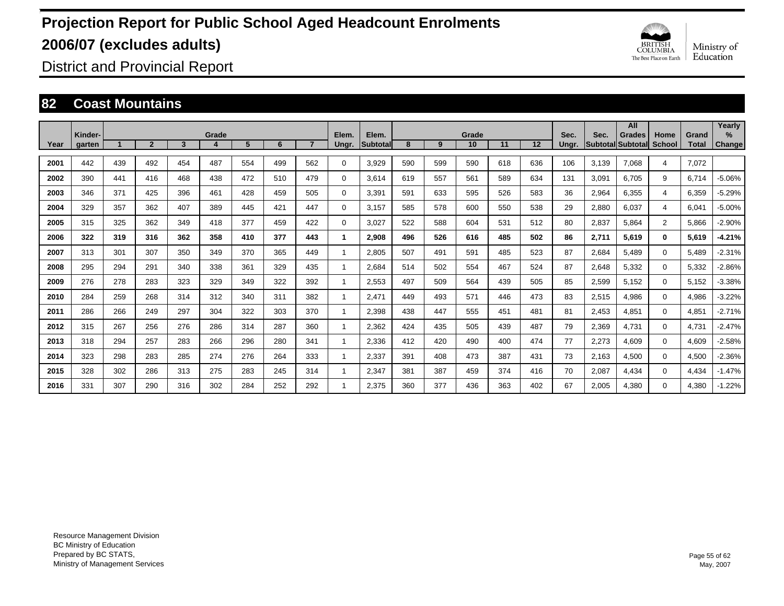

District and Provincial Report

#### **82 Coast Mountains**

|      | Kinder- |     |                |     | Grade |     |     |                | Elem. | Elem.    |     |     | Grade |     |     | Sec.  | Sec.  | All<br><b>Grades</b>     | Home           | Grand        | Yearly<br>$\frac{9}{6}$ |
|------|---------|-----|----------------|-----|-------|-----|-----|----------------|-------|----------|-----|-----|-------|-----|-----|-------|-------|--------------------------|----------------|--------------|-------------------------|
| Year | garten  |     | $\overline{2}$ | 3   |       | 5   | 6   | $\overline{7}$ | Ungr. | Subtotal | 8   | 9   | 10    | 11  | 12  | Ungr. |       | <b>Subtotal Subtotal</b> | School         | <b>Total</b> | Change                  |
| 2001 | 442     | 439 | 492            | 454 | 487   | 554 | 499 | 562            | 0     | 3,929    | 590 | 599 | 590   | 618 | 636 | 106   | 3,139 | 7.068                    | 4              | 7,072        |                         |
| 2002 | 390     | 441 | 416            | 468 | 438   | 472 | 510 | 479            | 0     | 3,614    | 619 | 557 | 561   | 589 | 634 | 131   | 3,091 | 6,705                    | 9              | 6,714        | $-5.06%$                |
| 2003 | 346     | 371 | 425            | 396 | 461   | 428 | 459 | 505            | 0     | 3,391    | 591 | 633 | 595   | 526 | 583 | 36    | 2,964 | 6,355                    | 4              | 6,359        | $-5.29%$                |
| 2004 | 329     | 357 | 362            | 407 | 389   | 445 | 421 | 447            | 0     | 3.157    | 585 | 578 | 600   | 550 | 538 | 29    | 2,880 | 6.037                    | 4              | 6,041        | $-5.00%$                |
| 2005 | 315     | 325 | 362            | 349 | 418   | 377 | 459 | 422            | 0     | 3.027    | 522 | 588 | 604   | 531 | 512 | 80    | 2,837 | 5.864                    | $\overline{2}$ | 5,866        | $-2.90%$                |
| 2006 | 322     | 319 | 316            | 362 | 358   | 410 | 377 | 443            | 1     | 2,908    | 496 | 526 | 616   | 485 | 502 | 86    | 2,711 | 5,619                    | $\mathbf{0}$   | 5,619        | $-4.21%$                |
| 2007 | 313     | 301 | 307            | 350 | 349   | 370 | 365 | 449            | 1     | 2.805    | 507 | 491 | 591   | 485 | 523 | 87    | 2,684 | 5.489                    | $\Omega$       | 5,489        | $-2.31%$                |
| 2008 | 295     | 294 | 291            | 340 | 338   | 361 | 329 | 435            | 1     | 2.684    | 514 | 502 | 554   | 467 | 524 | 87    | 2,648 | 5,332                    | 0              | 5,332        | $-2.86%$                |
| 2009 | 276     | 278 | 283            | 323 | 329   | 349 | 322 | 392            | 1     | 2,553    | 497 | 509 | 564   | 439 | 505 | 85    | 2,599 | 5,152                    | $\mathbf 0$    | 5,152        | $-3.38%$                |
| 2010 | 284     | 259 | 268            | 314 | 312   | 340 | 311 | 382            | 1     | 2,471    | 449 | 493 | 571   | 446 | 473 | 83    | 2,515 | 4,986                    | $\mathbf 0$    | 4,986        | $-3.22%$                |
| 2011 | 286     | 266 | 249            | 297 | 304   | 322 | 303 | 370            | 1     | 2,398    | 438 | 447 | 555   | 451 | 481 | 81    | 2,453 | 4,851                    | $\mathbf 0$    | 4,851        | $-2.71%$                |
| 2012 | 315     | 267 | 256            | 276 | 286   | 314 | 287 | 360            | 1     | 2,362    | 424 | 435 | 505   | 439 | 487 | 79    | 2,369 | 4,731                    | $\mathbf 0$    | 4,731        | $-2.47%$                |
| 2013 | 318     | 294 | 257            | 283 | 266   | 296 | 280 | 341            | 1     | 2,336    | 412 | 420 | 490   | 400 | 474 | 77    | 2,273 | 4.609                    | $\mathbf 0$    | 4,609        | $-2.58%$                |
| 2014 | 323     | 298 | 283            | 285 | 274   | 276 | 264 | 333            | 1     | 2,337    | 391 | 408 | 473   | 387 | 431 | 73    | 2,163 | 4,500                    | $\mathbf 0$    | 4,500        | $-2.36%$                |
| 2015 | 328     | 302 | 286            | 313 | 275   | 283 | 245 | 314            | 1     | 2,347    | 381 | 387 | 459   | 374 | 416 | 70    | 2,087 | 4,434                    | $\Omega$       | 4,434        | $-1.47%$                |
| 2016 | 331     | 307 | 290            | 316 | 302   | 284 | 252 | 292            |       | 2.375    | 360 | 377 | 436   | 363 | 402 | 67    | 2,005 | 4,380                    | $\Omega$       | 4,380        | $-1.22%$                |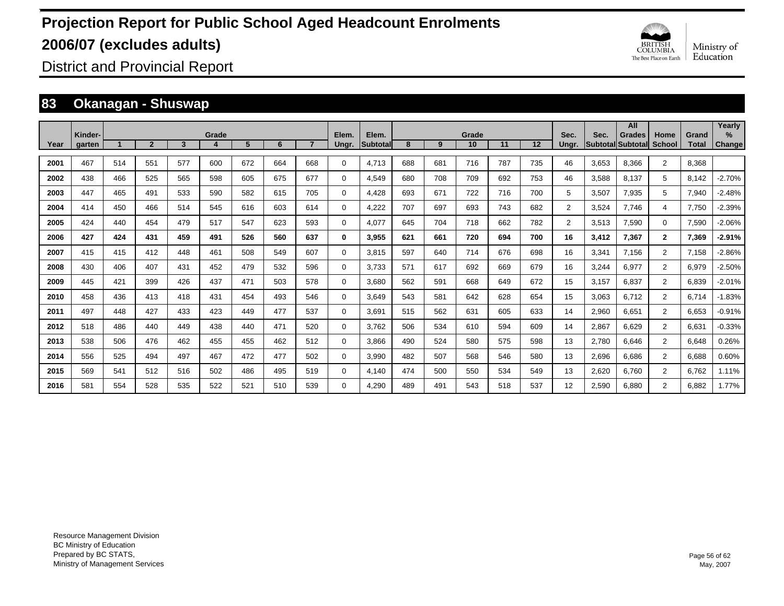

District and Provincial Report

### **83 Okanagan - Shuswap**

|      |                   |     |              |              |       |                |     |     |                |                          |     |     |             |     |     |                |       | All                                 |                       |                       | Yearly                |
|------|-------------------|-----|--------------|--------------|-------|----------------|-----|-----|----------------|--------------------------|-----|-----|-------------|-----|-----|----------------|-------|-------------------------------------|-----------------------|-----------------------|-----------------------|
| Year | Kinder-<br>garten |     | $\mathbf{2}$ | $\mathbf{3}$ | Grade | 5 <sup>5</sup> | 6   |     | Elem.<br>Ungr. | Elem.<br><b>Subtotal</b> | 8   | 9   | Grade<br>10 | 11  | 12  | Sec.<br>Ungr.  | Sec.  | <b>Grades</b><br>lSubtotallSubtotal | Home<br><b>School</b> | Grand<br><b>Total</b> | $\%$<br><b>Change</b> |
|      |                   |     |              |              |       |                |     |     |                |                          |     |     |             |     |     |                |       |                                     |                       |                       |                       |
| 2001 | 467               | 514 | 551          | 577          | 600   | 672            | 664 | 668 | $\Omega$       | 4,713                    | 688 | 681 | 716         | 787 | 735 | 46             | 3,653 | 8,366                               | $\overline{2}$        | 8,368                 |                       |
| 2002 | 438               | 466 | 525          | 565          | 598   | 605            | 675 | 677 | $\Omega$       | 4.549                    | 680 | 708 | 709         | 692 | 753 | 46             | 3,588 | 8.137                               | 5                     | 8,142                 | $-2.70%$              |
| 2003 | 447               | 465 | 491          | 533          | 590   | 582            | 615 | 705 | $\Omega$       | 4,428                    | 693 | 671 | 722         | 716 | 700 | 5              | 3,507 | 7,935                               | 5                     | 7,940                 | $-2.48%$              |
| 2004 | 414               | 450 | 466          | 514          | 545   | 616            | 603 | 614 | $\Omega$       | 4,222                    | 707 | 697 | 693         | 743 | 682 | $\overline{2}$ | 3,524 | 7.746                               | 4                     | 7,750                 | $-2.39%$              |
| 2005 | 424               | 440 | 454          | 479          | 517   | 547            | 623 | 593 | $\Omega$       | 4,077                    | 645 | 704 | 718         | 662 | 782 | $\overline{2}$ | 3,513 | 7,590                               | $\Omega$              | 7,590                 | $-2.06%$              |
| 2006 | 427               | 424 | 431          | 459          | 491   | 526            | 560 | 637 | 0              | 3.955                    | 621 | 661 | 720         | 694 | 700 | 16             | 3,412 | 7.367                               | $\mathbf{2}$          | 7,369                 | $-2.91%$              |
| 2007 | 415               | 415 | 412          | 448          | 461   | 508            | 549 | 607 | $\Omega$       | 3.815                    | 597 | 640 | 714         | 676 | 698 | 16             | 3,341 | 7.156                               | $\overline{2}$        | 7,158                 | $-2.86%$              |
| 2008 | 430               | 406 | 407          | 431          | 452   | 479            | 532 | 596 | $\Omega$       | 3.733                    | 571 | 617 | 692         | 669 | 679 | 16             | 3,244 | 6,977                               | 2                     | 6,979                 | $-2.50%$              |
| 2009 | 445               | 421 | 399          | 426          | 437   | 471            | 503 | 578 | $\Omega$       | 3,680                    | 562 | 591 | 668         | 649 | 672 | 15             | 3,157 | 6,837                               | $\overline{2}$        | 6,839                 | $-2.01%$              |
| 2010 | 458               | 436 | 413          | 418          | 431   | 454            | 493 | 546 | $\Omega$       | 3.649                    | 543 | 581 | 642         | 628 | 654 | 15             | 3,063 | 6.712                               | $\overline{2}$        | 6.714                 | $-1.83%$              |
| 2011 | 497               | 448 | 427          | 433          | 423   | 449            | 477 | 537 | 0              | 3,691                    | 515 | 562 | 631         | 605 | 633 | 14             | 2,960 | 6,651                               | $\overline{2}$        | 6,653                 | $-0.91%$              |
| 2012 | 518               | 486 | 440          | 449          | 438   | 440            | 471 | 520 | $\Omega$       | 3,762                    | 506 | 534 | 610         | 594 | 609 | 14             | 2,867 | 6,629                               | $\overline{2}$        | 6,631                 | $-0.33%$              |
| 2013 | 538               | 506 | 476          | 462          | 455   | 455            | 462 | 512 | $\Omega$       | 3,866                    | 490 | 524 | 580         | 575 | 598 | 13             | 2,780 | 6,646                               | $\overline{2}$        | 6,648                 | 0.26%                 |
| 2014 | 556               | 525 | 494          | 497          | 467   | 472            | 477 | 502 | $\Omega$       | 3.990                    | 482 | 507 | 568         | 546 | 580 | 13             | 2,696 | 6.686                               | $\overline{2}$        | 6,688                 | 0.60%                 |
| 2015 | 569               | 541 | 512          | 516          | 502   | 486            | 495 | 519 | 0              | 4.140                    | 474 | 500 | 550         | 534 | 549 | 13             | 2,620 | 6.760                               | $\overline{2}$        | 6.762                 | 1.11%                 |
| 2016 | 581               | 554 | 528          | 535          | 522   | 521            | 510 | 539 | $\Omega$       | 4.290                    | 489 | 491 | 543         | 518 | 537 | 12             | 2,590 | 6.880                               | 2                     | 6.882                 | 1.77%                 |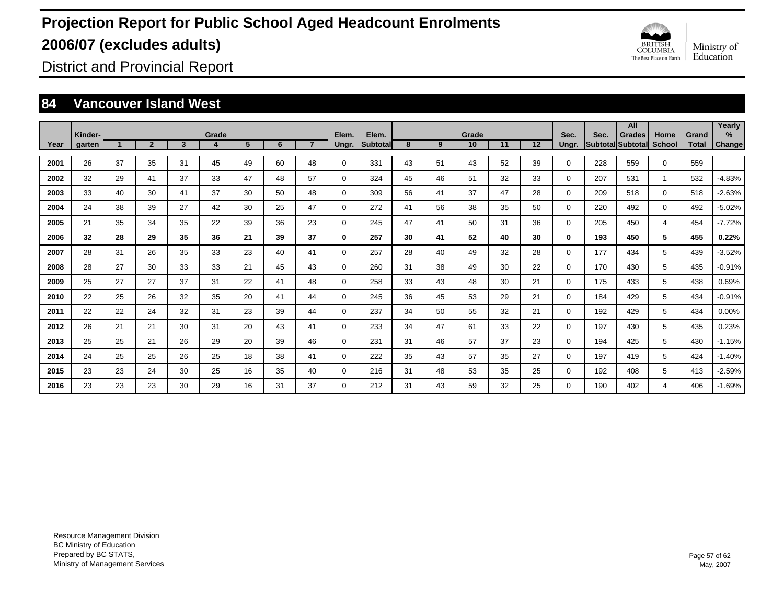

District and Provincial Report

### **84 Vancouver Island West**

|      |                   |    |                |              |            |                |    |                |                |                   |    |    |             |    |    |               |      | All                                       |                |                       | Yearly             |
|------|-------------------|----|----------------|--------------|------------|----------------|----|----------------|----------------|-------------------|----|----|-------------|----|----|---------------|------|-------------------------------------------|----------------|-----------------------|--------------------|
| Year | Kinder-<br>garten |    | $\overline{2}$ | $\mathbf{3}$ | Grade<br>4 | 5 <sup>5</sup> | 6  | $\overline{ }$ | Elem.<br>Ungr. | Elem.<br>Subtotal | 8  | 9  | Grade<br>10 | 11 | 12 | Sec.<br>Ungr. | Sec. | <b>Grades</b><br>Subtotal Subtotal School | Home           | Grand<br><b>Total</b> | %<br><b>Change</b> |
|      |                   |    |                |              |            |                |    |                |                |                   |    |    |             |    |    |               |      |                                           |                |                       |                    |
| 2001 | 26                | 37 | 35             | 31           | 45         | 49             | 60 | 48             | $\Omega$       | 331               | 43 | 51 | 43          | 52 | 39 | $\mathbf 0$   | 228  | 559                                       | $\mathbf 0$    | 559                   |                    |
| 2002 | 32                | 29 | 41             | 37           | 33         | 47             | 48 | 57             | $\mathbf 0$    | 324               | 45 | 46 | 51          | 32 | 33 | $\mathbf 0$   | 207  | 531                                       | $\overline{1}$ | 532                   | $-4.83%$           |
| 2003 | 33                | 40 | 30             | 41           | 37         | 30             | 50 | 48             | $\mathbf 0$    | 309               | 56 | 41 | 37          | 47 | 28 | $\mathbf 0$   | 209  | 518                                       | $\mathbf 0$    | 518                   | $-2.63%$           |
| 2004 | 24                | 38 | 39             | 27           | 42         | 30             | 25 | 47             | $\mathbf 0$    | 272               | 41 | 56 | 38          | 35 | 50 | $\Omega$      | 220  | 492                                       | $\Omega$       | 492                   | $-5.02%$           |
| 2005 | 21                | 35 | 34             | 35           | 22         | 39             | 36 | 23             | $\mathbf 0$    | 245               | 47 | 41 | 50          | 31 | 36 | $\mathbf 0$   | 205  | 450                                       | 4              | 454                   | $-7.72%$           |
| 2006 | 32                | 28 | 29             | 35           | 36         | 21             | 39 | 37             | 0              | 257               | 30 | 41 | 52          | 40 | 30 | $\bf{0}$      | 193  | 450                                       | 5              | 455                   | 0.22%              |
| 2007 | 28                | 31 | 26             | 35           | 33         | 23             | 40 | 41             | 0              | 257               | 28 | 40 | 49          | 32 | 28 | $\mathbf 0$   | 177  | 434                                       | 5              | 439                   | $-3.52%$           |
| 2008 | 28                | 27 | 30             | 33           | 33         | 21             | 45 | 43             | $\mathbf 0$    | 260               | 31 | 38 | 49          | 30 | 22 | 0             | 170  | 430                                       | 5              | 435                   | $-0.91%$           |
| 2009 | 25                | 27 | 27             | 37           | 31         | 22             | 41 | 48             | $\mathbf 0$    | 258               | 33 | 43 | 48          | 30 | 21 | 0             | 175  | 433                                       | 5              | 438                   | 0.69%              |
| 2010 | 22                | 25 | 26             | 32           | 35         | 20             | 41 | 44             | $\mathbf 0$    | 245               | 36 | 45 | 53          | 29 | 21 | $\mathbf 0$   | 184  | 429                                       | 5              | 434                   | $-0.91%$           |
| 2011 | 22                | 22 | 24             | 32           | 31         | 23             | 39 | 44             | $\mathbf 0$    | 237               | 34 | 50 | 55          | 32 | 21 | 0             | 192  | 429                                       | 5              | 434                   | 0.00%              |
| 2012 | 26                | 21 | 21             | 30           | 31         | 20             | 43 | 41             | $\mathbf 0$    | 233               | 34 | 47 | 61          | 33 | 22 | 0             | 197  | 430                                       | 5              | 435                   | 0.23%              |
| 2013 | 25                | 25 | 21             | 26           | 29         | 20             | 39 | 46             | $\mathbf 0$    | 231               | 31 | 46 | 57          | 37 | 23 | 0             | 194  | 425                                       | 5              | 430                   | $-1.15%$           |
| 2014 | 24                | 25 | 25             | 26           | 25         | 18             | 38 | 41             | $\mathbf 0$    | 222               | 35 | 43 | 57          | 35 | 27 | 0             | 197  | 419                                       | 5              | 424                   | $-1.40%$           |
| 2015 | 23                | 23 | 24             | 30           | 25         | 16             | 35 | 40             | 0              | 216               | 31 | 48 | 53          | 35 | 25 | 0             | 192  | 408                                       | 5              | 413                   | $-2.59%$           |
| 2016 | 23                | 23 | 23             | 30           | 29         | 16             | 31 | 37             | $\Omega$       | 212               | 31 | 43 | 59          | 32 | 25 | $\Omega$      | 190  | 402                                       | 4              | 406                   | $-1.69%$           |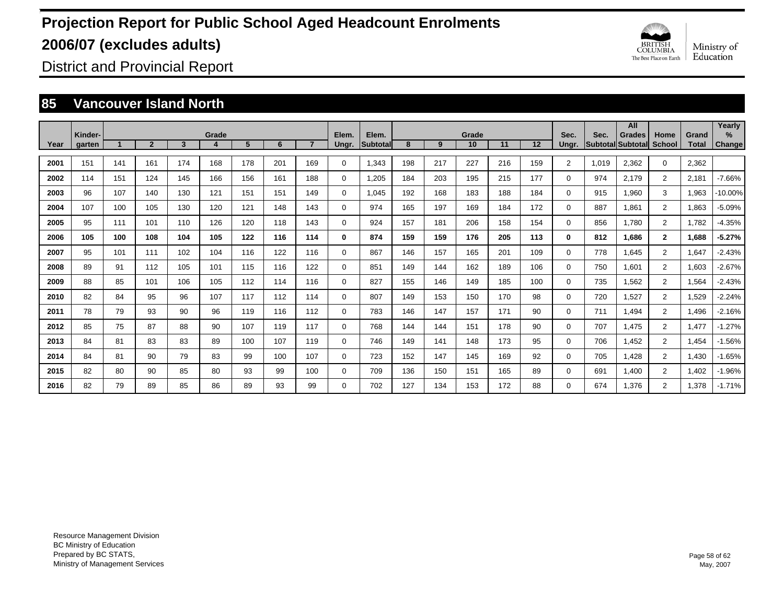

District and Provincial Report

### **85 Vancouver Island North**

|      |                   |     |              |     |            |     |     |     |                |                   |     |     |             |     |     |                |       | All                                |                       |                | Yearly         |
|------|-------------------|-----|--------------|-----|------------|-----|-----|-----|----------------|-------------------|-----|-----|-------------|-----|-----|----------------|-------|------------------------------------|-----------------------|----------------|----------------|
| Year | Kinder-<br>garten |     | $\mathbf{2}$ | 3   | Grade<br>4 | 5   | 6   |     | Elem.<br>Ungr. | Elem.<br>Subtotal | 8   | 9   | Grade<br>10 | 11  | 12  | Sec.<br>Ungr.  | Sec.  | <b>Grades</b><br>Subtotal Subtotal | Home<br><b>School</b> | Grand<br>Total | $\%$<br>Change |
|      |                   |     |              |     |            |     |     |     |                |                   |     |     |             |     |     |                |       |                                    |                       |                |                |
| 2001 | 151               | 141 | 161          | 174 | 168        | 178 | 201 | 169 | $\Omega$       | 1,343             | 198 | 217 | 227         | 216 | 159 | $\overline{2}$ | 1.019 | 2,362                              | $\mathbf 0$           | 2,362          |                |
| 2002 | 114               | 151 | 124          | 145 | 166        | 156 | 161 | 188 | $\mathbf 0$    | 1,205             | 184 | 203 | 195         | 215 | 177 | $\Omega$       | 974   | 2,179                              | $\overline{2}$        | 2,181          | $-7.66%$       |
| 2003 | 96                | 107 | 140          | 130 | 121        | 151 | 151 | 149 | 0              | 1.045             | 192 | 168 | 183         | 188 | 184 | $\Omega$       | 915   | 1,960                              | 3                     | 1,963          | $-10.00%$      |
| 2004 | 107               | 100 | 105          | 130 | 120        | 121 | 148 | 143 | $\Omega$       | 974               | 165 | 197 | 169         | 184 | 172 | $\Omega$       | 887   | 1,861                              | $\overline{2}$        | 1,863          | $-5.09%$       |
| 2005 | 95                | 111 | 101          | 110 | 126        | 120 | 118 | 143 | $\Omega$       | 924               | 157 | 181 | 206         | 158 | 154 | $\Omega$       | 856   | 1,780                              | $\overline{2}$        | 1,782          | $-4.35%$       |
| 2006 | 105               | 100 | 108          | 104 | 105        | 122 | 116 | 114 | 0              | 874               | 159 | 159 | 176         | 205 | 113 | $\bf{0}$       | 812   | 1.686                              | $\mathbf{2}$          | 1,688          | $-5.27%$       |
| 2007 | 95                | 101 | 111          | 102 | 104        | 116 | 122 | 116 | 0              | 867               | 146 | 157 | 165         | 201 | 109 | 0              | 778   | 1.645                              | $\overline{2}$        | 1,647          | $-2.43%$       |
| 2008 | 89                | 91  | 112          | 105 | 101        | 115 | 116 | 122 | 0              | 851               | 149 | 144 | 162         | 189 | 106 | 0              | 750   | 1,601                              | $\overline{2}$        | 1,603          | $-2.67%$       |
| 2009 | 88                | 85  | 101          | 106 | 105        | 112 | 114 | 116 | 0              | 827               | 155 | 146 | 149         | 185 | 100 | 0              | 735   | 1,562                              | $\overline{2}$        | 1,564          | $-2.43%$       |
| 2010 | 82                | 84  | 95           | 96  | 107        | 117 | 112 | 114 | $\Omega$       | 807               | 149 | 153 | 150         | 170 | 98  | 0              | 720   | 1,527                              | $\overline{2}$        | 1,529          | $-2.24%$       |
| 2011 | 78                | 79  | 93           | 90  | 96         | 119 | 116 | 112 | $\Omega$       | 783               | 146 | 147 | 157         | 171 | 90  | $\Omega$       | 711   | 1,494                              | $\overline{2}$        | .496           | $-2.16%$       |
| 2012 | 85                | 75  | 87           | 88  | 90         | 107 | 119 | 117 | 0              | 768               | 144 | 144 | 151         | 178 | 90  | 0              | 707   | 1.475                              | $\overline{2}$        | 1.477          | $-1.27%$       |
| 2013 | 84                | 81  | 83           | 83  | 89         | 100 | 107 | 119 | 0              | 746               | 149 | 141 | 148         | 173 | 95  | 0              | 706   | 1.452                              | $\overline{2}$        | 1,454          | $-1.56%$       |
| 2014 | 84                | 81  | 90           | 79  | 83         | 99  | 100 | 107 | 0              | 723               | 152 | 147 | 145         | 169 | 92  | 0              | 705   | 1.428                              | $\overline{2}$        | 1,430          | $-1.65%$       |
| 2015 | 82                | 80  | 90           | 85  | 80         | 93  | 99  | 100 | 0              | 709               | 136 | 150 | 151         | 165 | 89  | 0              | 691   | 1,400                              | $\overline{2}$        | 1,402          | $-1.96%$       |
| 2016 | 82                | 79  | 89           | 85  | 86         | 89  | 93  | 99  | $\Omega$       | 702               | 127 | 134 | 153         | 172 | 88  | 0              | 674   | 1,376                              | $\overline{2}$        | .378           | $-1.71%$       |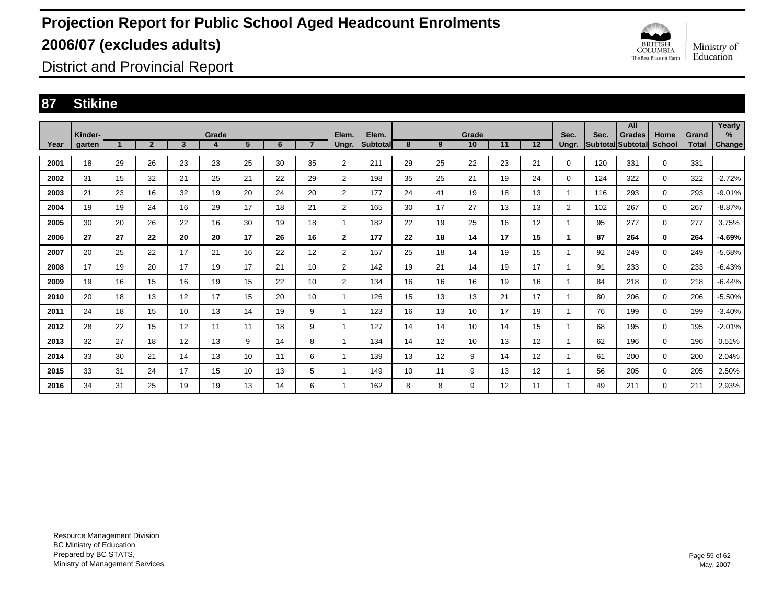

District and Provincial Report

### **87 Stikine**

|      |                   |    |                |                |            |    |    |                |                |                          |         |    |                 |    |    |               |      | All                                |                       |                       | Yearly         |
|------|-------------------|----|----------------|----------------|------------|----|----|----------------|----------------|--------------------------|---------|----|-----------------|----|----|---------------|------|------------------------------------|-----------------------|-----------------------|----------------|
| Year | Kinder-<br>garten |    | $\overline{2}$ | $\overline{3}$ | Grade<br>4 | 5  | 6  | $\overline{7}$ | Elem.<br>Ungr. | Elem.<br><b>Subtotal</b> | 8       | 9  | Grade<br>10     | 11 | 12 | Sec.<br>Ungr. | Sec. | <b>Grades</b><br>Subtotal Subtotal | Home<br><b>School</b> | Grand<br><b>Total</b> | $\%$<br>Change |
|      |                   |    |                |                |            |    |    |                |                |                          |         |    |                 |    |    |               |      |                                    |                       |                       |                |
| 2001 | 18                | 29 | 26             | 23             | 23         | 25 | 30 | 35             | $\overline{2}$ | 211                      | 29      | 25 | 22              | 23 | 21 | $\Omega$      | 120  | 331                                | $\mathbf 0$           | 331                   |                |
| 2002 | 31                | 15 | 32             | 21             | 25         | 21 | 22 | 29             | $\overline{2}$ | 198                      | 35      | 25 | 21              | 19 | 24 | $\Omega$      | 124  | 322                                | $\mathbf 0$           | 322                   | $-2.72%$       |
| 2003 | 21                | 23 | 16             | 32             | 19         | 20 | 24 | 20             | $\overline{2}$ | 177                      | 24      | 41 | 19              | 18 | 13 | 1             | 116  | 293                                | $\mathbf 0$           | 293                   | $-9.01%$       |
| 2004 | 19                | 19 | 24             | 16             | 29         | 17 | 18 | 21             | $\overline{2}$ | 165                      | 30      | 17 | 27              | 13 | 13 | 2             | 102  | 267                                | $\mathbf 0$           | 267                   | $-8.87%$       |
| 2005 | 30                | 20 | 26             | 22             | 16         | 30 | 19 | 18             |                | 182                      | 22      | 19 | 25              | 16 | 12 | 1             | 95   | 277                                | $\mathbf 0$           | 277                   | 3.75%          |
| 2006 | 27                | 27 | 22             | 20             | 20         | 17 | 26 | 16             | $\mathbf{2}$   | 177                      | $22 \,$ | 18 | 14              | 17 | 15 | 1             | 87   | 264                                | $\bf{0}$              | 264                   | $-4.69%$       |
| 2007 | 20                | 25 | 22             | 17             | 21         | 16 | 22 | 12             | $\overline{2}$ | 157                      | 25      | 18 | 14              | 19 | 15 | 1             | 92   | 249                                | $\mathbf 0$           | 249                   | $-5.68%$       |
| 2008 | 17                | 19 | 20             | 17             | 19         | 17 | 21 | 10             | $\overline{2}$ | 142                      | 19      | 21 | 14              | 19 | 17 | 1             | 91   | 233                                | $\mathbf 0$           | 233                   | -6.43%         |
| 2009 | 19                | 16 | 15             | 16             | 19         | 15 | 22 | 10             | $\overline{2}$ | 134                      | 16      | 16 | 16              | 19 | 16 | 1             | 84   | 218                                | $\mathbf 0$           | 218                   | $-6.44%$       |
| 2010 | 20                | 18 | 13             | 12             | 17         | 15 | 20 | 10             |                | 126                      | 15      | 13 | 13              | 21 | 17 | 1             | 80   | 206                                | $\mathbf 0$           | 206                   | $-5.50%$       |
| 2011 | 24                | 18 | 15             | 10             | 13         | 14 | 19 | 9              |                | 123                      | 16      | 13 | 10              | 17 | 19 | 1             | 76   | 199                                | $\mathbf 0$           | 199                   | $-3.40%$       |
| 2012 | 28                | 22 | 15             | 12             | 11         | 11 | 18 | 9              |                | 127                      | 14      | 14 | 10 <sup>1</sup> | 14 | 15 | 1             | 68   | 195                                | $\mathbf 0$           | 195                   | $-2.01%$       |
| 2013 | 32                | 27 | 18             | 12             | 13         | 9  | 14 | 8              |                | 134                      | 14      | 12 | 10 <sup>1</sup> | 13 | 12 | 1             | 62   | 196                                | $\mathbf 0$           | 196                   | 0.51%          |
| 2014 | 33                | 30 | 21             | 14             | 13         | 10 | 11 | 6              |                | 139                      | 13      | 12 | 9               | 14 | 12 | 1             | 61   | 200                                | $\mathbf 0$           | 200                   | 2.04%          |
| 2015 | 33                | 31 | 24             | 17             | 15         | 10 | 13 | 5              |                | 149                      | 10      | 11 | 9               | 13 | 12 | 1             | 56   | 205                                | $\mathbf 0$           | 205                   | 2.50%          |
| 2016 | 34                | 31 | 25             | 19             | 19         | 13 | 14 | 6              |                | 162                      | 8       | 8  | 9               | 12 | 11 | 1             | 49   | 211                                | 0                     | 211                   | 2.93%          |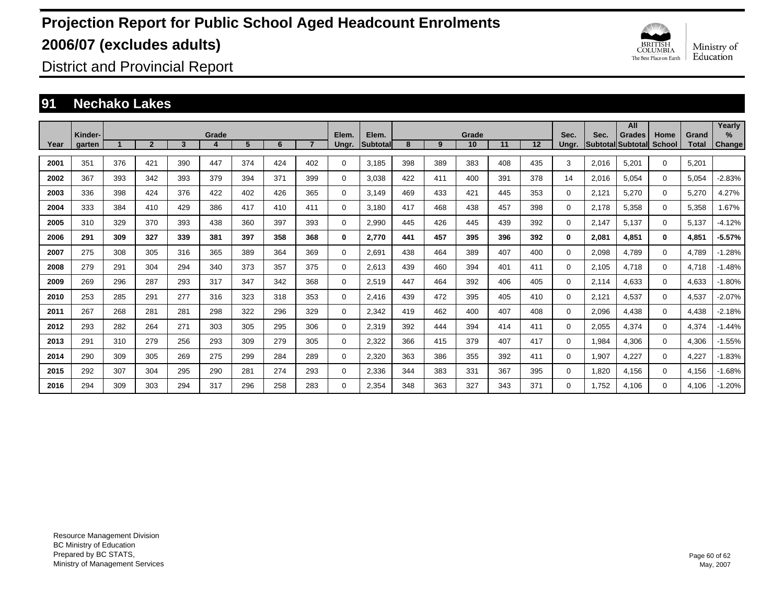

District and Provincial Report

### **91 Nechako Lakes**

|      | Kinder- |     |                |     | Grade |     |     |     | Elem.    | Elem.           |     |     | Grade |     |     | Sec.     | Sec.  | All<br><b>Grades</b> | Home         | Grand        | Yearly<br>$\%$ |
|------|---------|-----|----------------|-----|-------|-----|-----|-----|----------|-----------------|-----|-----|-------|-----|-----|----------|-------|----------------------|--------------|--------------|----------------|
| Year | garten  |     | $\overline{2}$ | 3   |       | 5   | 6   |     | Ungr.    | <b>Subtotal</b> | 8   | 9   | 10    | 11  | 12  | Ungr.    |       | Subtotal Subtotal    | School       | <b>Total</b> | <b>Change</b>  |
| 2001 | 351     | 376 | 421            | 390 | 447   | 374 | 424 | 402 | 0        | 3,185           | 398 | 389 | 383   | 408 | 435 | 3        | 2,016 | 5,201                | $\Omega$     | 5,201        |                |
| 2002 | 367     | 393 | 342            | 393 | 379   | 394 | 371 | 399 | 0        | 3,038           | 422 | 411 | 400   | 391 | 378 | 14       | 2,016 | 5,054                | $\Omega$     | 5,054        | $-2.83%$       |
| 2003 | 336     | 398 | 424            | 376 | 422   | 402 | 426 | 365 | 0        | 3.149           | 469 | 433 | 421   | 445 | 353 | 0        | 2,121 | 5,270                | 0            | 5,270        | 4.27%          |
| 2004 | 333     | 384 | 410            | 429 | 386   | 417 | 410 | 411 | 0        | 3.180           | 417 | 468 | 438   | 457 | 398 | 0        | 2,178 | 5,358                | 0            | 5,358        | .67%           |
| 2005 | 310     | 329 | 370            | 393 | 438   | 360 | 397 | 393 | 0        | 2,990           | 445 | 426 | 445   | 439 | 392 | 0        | 2,147 | 5.137                | $\Omega$     | 5,137        | $-4.12%$       |
| 2006 | 291     | 309 | 327            | 339 | 381   | 397 | 358 | 368 | 0        | 2.770           | 441 | 457 | 395   | 396 | 392 | 0        | 2,081 | 4.851                | $\mathbf{0}$ | 4,851        | $-5.57%$       |
| 2007 | 275     | 308 | 305            | 316 | 365   | 389 | 364 | 369 | 0        | 2.691           | 438 | 464 | 389   | 407 | 400 | $\Omega$ | 2,098 | 4.789                | $\Omega$     | 4.789        | $-1.28%$       |
| 2008 | 279     | 291 | 304            | 294 | 340   | 373 | 357 | 375 | 0        | 2,613           | 439 | 460 | 394   | 401 | 411 | $\Omega$ | 2,105 | 4,718                | $\Omega$     | 4,718        | $-1.48%$       |
| 2009 | 269     | 296 | 287            | 293 | 317   | 347 | 342 | 368 | 0        | 2,519           | 447 | 464 | 392   | 406 | 405 | $\Omega$ | 2,114 | 4,633                | $\Omega$     | 4,633        | $-1.80%$       |
| 2010 | 253     | 285 | 291            | 277 | 316   | 323 | 318 | 353 | 0        | 2,416           | 439 | 472 | 395   | 405 | 410 | $\Omega$ | 2,121 | 4,537                | $\Omega$     | 4,537        | $-2.07%$       |
| 2011 | 267     | 268 | 281            | 281 | 298   | 322 | 296 | 329 | 0        | 2,342           | 419 | 462 | 400   | 407 | 408 | 0        | 2,096 | 4,438                | $\Omega$     | 4,438        | $-2.18%$       |
| 2012 | 293     | 282 | 264            | 271 | 303   | 305 | 295 | 306 | 0        | 2,319           | 392 | 444 | 394   | 414 | 411 | 0        | 2,055 | 4,374                | 0            | 4,374        | $-1.44%$       |
| 2013 | 291     | 310 | 279            | 256 | 293   | 309 | 279 | 305 | 0        | 2,322           | 366 | 415 | 379   | 407 | 417 | 0        | 1,984 | 4,306                | 0            | 4,306        | $-1.55%$       |
| 2014 | 290     | 309 | 305            | 269 | 275   | 299 | 284 | 289 | 0        | 2,320           | 363 | 386 | 355   | 392 | 411 | 0        | 1,907 | 4,227                | 0            | 4,227        | $-1.83%$       |
| 2015 | 292     | 307 | 304            | 295 | 290   | 281 | 274 | 293 | 0        | 2,336           | 344 | 383 | 331   | 367 | 395 | 0        | 1,820 | 4,156                | $\Omega$     | 4,156        | $-1.68%$       |
| 2016 | 294     | 309 | 303            | 294 | 317   | 296 | 258 | 283 | $\Omega$ | 2.354           | 348 | 363 | 327   | 343 | 371 | $\Omega$ | 1.752 | 4.106                | $\Omega$     | 4.106        | $-1.20%$       |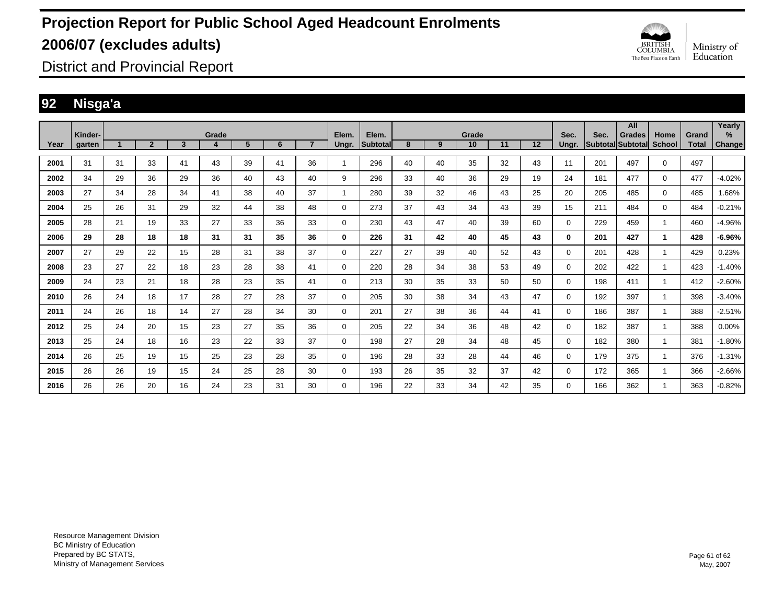

District and Provincial Report

### **92 Nisga'a**

|      | Kinder- |    |                |    | Grade |    |    |    | Elem.       | Elem.           |    |    | Grade           |    |    | Sec.     | Sec. | All<br><b>Grades</b> | Home          | Grand | Yearly<br>$\%$ |
|------|---------|----|----------------|----|-------|----|----|----|-------------|-----------------|----|----|-----------------|----|----|----------|------|----------------------|---------------|-------|----------------|
| Year | garten  |    | $\overline{2}$ | 3  | 4     | 5  | 6  |    | Ungr.       | <b>Subtotal</b> | 8  | 9  | 10 <sup>1</sup> | 11 | 12 | Ungr.    |      | Subtotal Subtotal    | <b>School</b> | Total | Change         |
| 2001 | 31      | 31 | 33             | 41 | 43    | 39 | 41 | 36 |             | 296             | 40 | 40 | 35              | 32 | 43 | 11       | 201  | 497                  | $\mathbf 0$   | 497   |                |
| 2002 | 34      | 29 | 36             | 29 | 36    | 40 | 43 | 40 | 9           | 296             | 33 | 40 | 36              | 29 | 19 | 24       | 181  | 477                  | $\mathbf 0$   | 477   | $-4.02%$       |
| 2003 | 27      | 34 | 28             | 34 | 41    | 38 | 40 | 37 |             | 280             | 39 | 32 | 46              | 43 | 25 | 20       | 205  | 485                  | $\mathbf 0$   | 485   | 1.68%          |
| 2004 | 25      | 26 | 31             | 29 | 32    | 44 | 38 | 48 | 0           | 273             | 37 | 43 | 34              | 43 | 39 | 15       | 211  | 484                  | $\mathbf 0$   | 484   | $-0.21%$       |
| 2005 | 28      | 21 | 19             | 33 | 27    | 33 | 36 | 33 | 0           | 230             | 43 | 47 | 40              | 39 | 60 | 0        | 229  | 459                  |               | 460   | $-4.96%$       |
| 2006 | 29      | 28 | 18             | 18 | 31    | 31 | 35 | 36 | 0           | 226             | 31 | 42 | 40              | 45 | 43 | 0        | 201  | 427                  | 1             | 428   | $-6.96%$       |
| 2007 | 27      | 29 | 22             | 15 | 28    | 31 | 38 | 37 | 0           | 227             | 27 | 39 | 40              | 52 | 43 | 0        | 201  | 428                  |               | 429   | 0.23%          |
| 2008 | 23      | 27 | 22             | 18 | 23    | 28 | 38 | 41 | $\mathbf 0$ | 220             | 28 | 34 | 38              | 53 | 49 | $\Omega$ | 202  | 422                  |               | 423   | $-1.40%$       |
| 2009 | 24      | 23 | 21             | 18 | 28    | 23 | 35 | 41 | 0           | 213             | 30 | 35 | 33              | 50 | 50 | $\Omega$ | 198  | 411                  |               | 412   | $-2.60%$       |
| 2010 | 26      | 24 | 18             | 17 | 28    | 27 | 28 | 37 | 0           | 205             | 30 | 38 | 34              | 43 | 47 | $\Omega$ | 192  | 397                  |               | 398   | $-3.40%$       |
| 2011 | 24      | 26 | 18             | 14 | 27    | 28 | 34 | 30 | 0           | 201             | 27 | 38 | 36              | 44 | 41 | $\Omega$ | 186  | 387                  |               | 388   | $-2.51%$       |
| 2012 | 25      | 24 | 20             | 15 | 23    | 27 | 35 | 36 | 0           | 205             | 22 | 34 | 36              | 48 | 42 | $\Omega$ | 182  | 387                  |               | 388   | $0.00\%$       |
| 2013 | 25      | 24 | 18             | 16 | 23    | 22 | 33 | 37 | 0           | 198             | 27 | 28 | 34              | 48 | 45 | $\Omega$ | 182  | 380                  |               | 381   | $-1.80%$       |
| 2014 | 26      | 25 | 19             | 15 | 25    | 23 | 28 | 35 | 0           | 196             | 28 | 33 | 28              | 44 | 46 | $\Omega$ | 179  | 375                  |               | 376   | $-1.31%$       |
| 2015 | 26      | 26 | 19             | 15 | 24    | 25 | 28 | 30 | 0           | 193             | 26 | 35 | 32              | 37 | 42 | $\Omega$ | 172  | 365                  |               | 366   | $-2.66%$       |
| 2016 | 26      | 26 | 20             | 16 | 24    | 23 | 31 | 30 | 0           | 196             | 22 | 33 | 34              | 42 | 35 | $\Omega$ | 166  | 362                  |               | 363   | $-0.82%$       |